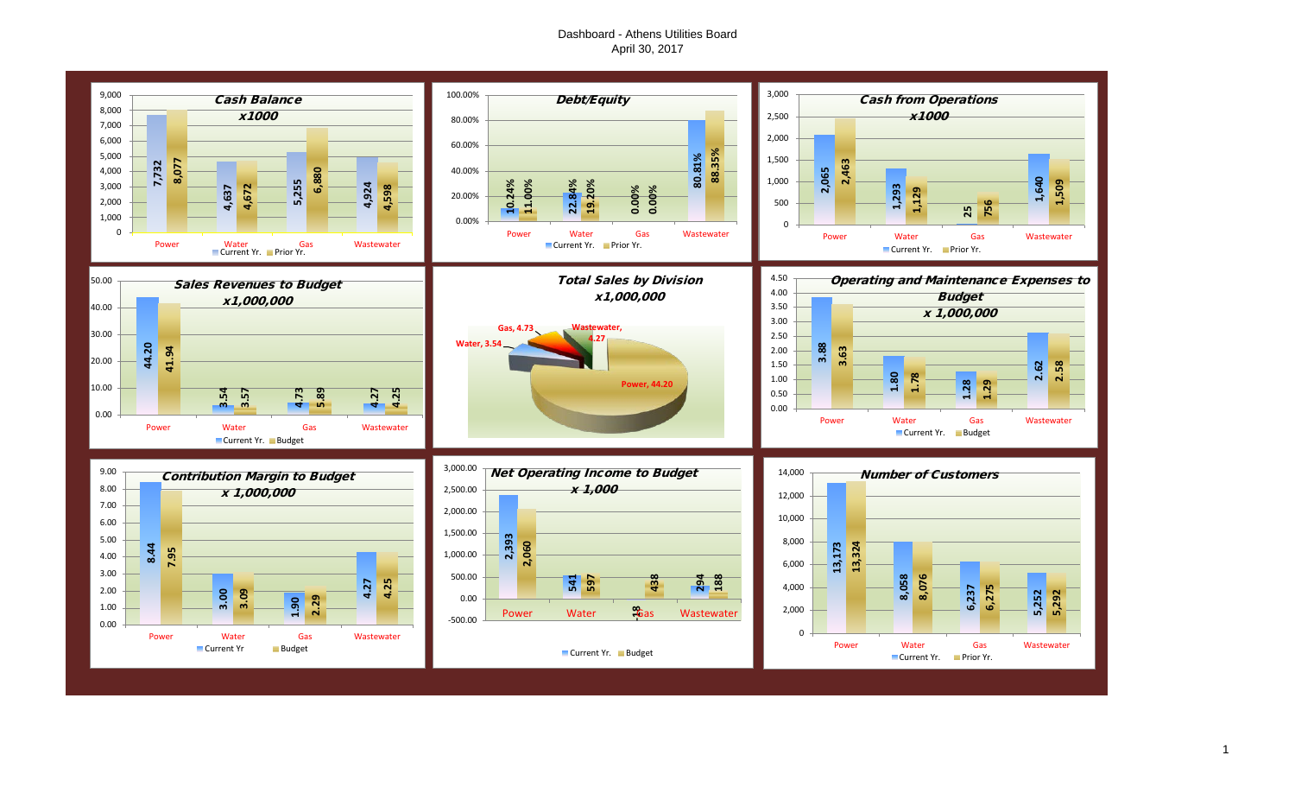## Dashboard - Athens Utilities Board April 30, 2017

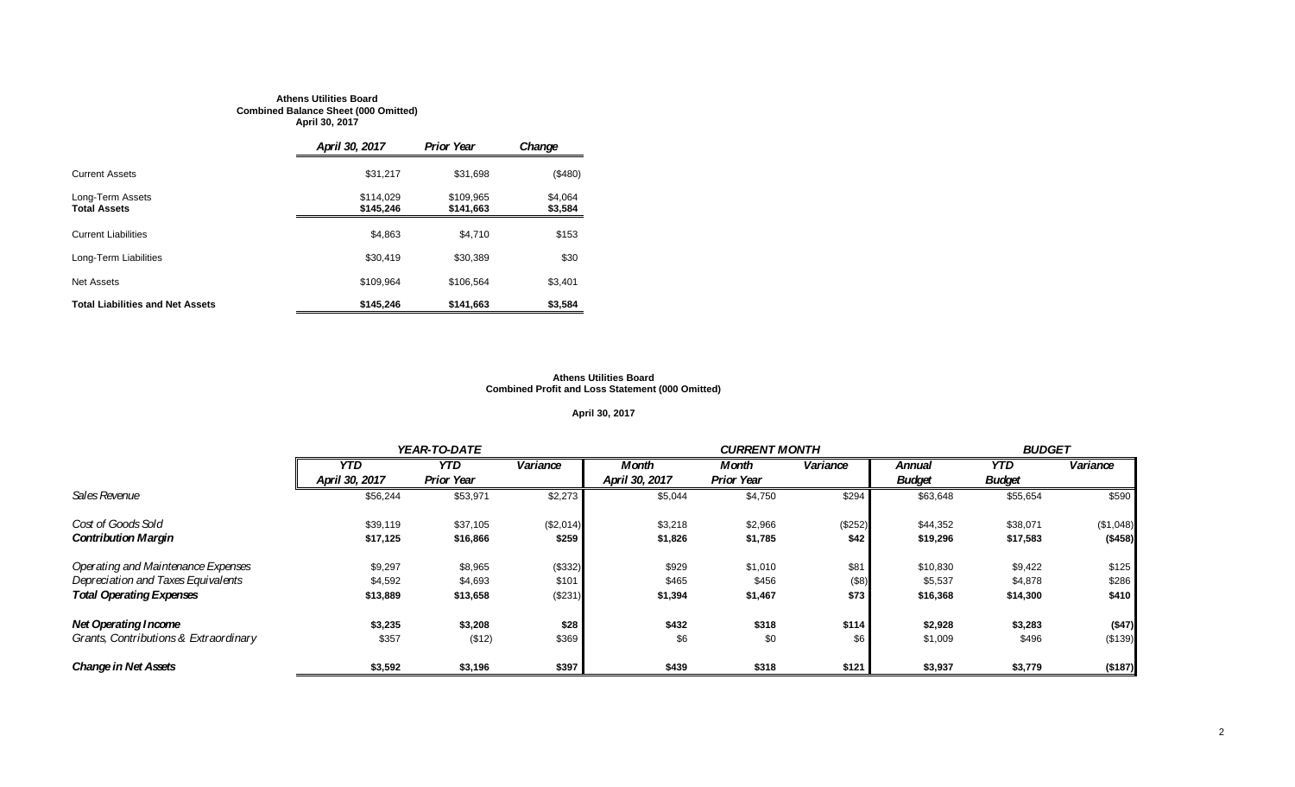#### **Athens Utilities Board Combined Balance Sheet (000 Omitted) April 30, 2017**

|                                         | April 30, 2017         | <b>Prior Year</b>      | Change             |
|-----------------------------------------|------------------------|------------------------|--------------------|
| <b>Current Assets</b>                   | \$31,217               | \$31,698               | (\$480)            |
| Long-Term Assets<br><b>Total Assets</b> | \$114.029<br>\$145,246 | \$109.965<br>\$141.663 | \$4,064<br>\$3,584 |
| <b>Current Liabilities</b>              | \$4,863                | \$4.710                | \$153              |
| Long-Term Liabilities                   | \$30,419               | \$30,389               | \$30               |
| <b>Net Assets</b>                       | \$109.964              | \$106.564              | \$3.401            |
| <b>Total Liabilities and Net Assets</b> | \$145,246              | \$141.663              | \$3,584            |

#### **Athens Utilities Board Combined Profit and Loss Statement (000 Omitted)**

#### **April 30, 2017**

|                                       |                | <b>YEAR-TO-DATE</b> |           |                | <b>CURRENT MONTH</b> |          |               |               | <b>BUDGET</b> |  |
|---------------------------------------|----------------|---------------------|-----------|----------------|----------------------|----------|---------------|---------------|---------------|--|
|                                       | <b>YTD</b>     | <b>YTD</b>          | Variance  | Month          | Month                | Variance | <b>Annual</b> | YTD.          | Variance      |  |
|                                       | April 30, 2017 | <b>Prior Year</b>   |           | April 30, 2017 | <b>Prior Year</b>    |          | <b>Budget</b> | <b>Budget</b> |               |  |
| Sales Revenue                         | \$56,244       | \$53,971            | \$2,273   | \$5,044        | \$4,750              | \$294    | \$63,648      | \$55,654      | \$590         |  |
| Cost of Goods Sold                    | \$39,119       | \$37,105            | (\$2,014) | \$3,218        | \$2,966              | (\$252)  | \$44,352      | \$38,071      | (\$1,048)     |  |
| <b>Contribution Margin</b>            | \$17.125       | \$16,866            | \$259     | \$1,826        | \$1,785              | \$42     | \$19,296      | \$17,583      | (\$458)       |  |
| Operating and Maintenance Expenses    | \$9,297        | \$8,965             | (\$332)   | \$929          | \$1,010              | \$81     | \$10,830      | \$9,422       | \$125         |  |
| Depreciation and Taxes Equivalents    | \$4,592        | \$4,693             | \$101     | \$465          | \$456                | (\$8)    | \$5,537       | \$4,878       | \$286         |  |
| <b>Total Operating Expenses</b>       | \$13,889       | \$13,658            | (\$231)   | \$1,394        | \$1,467              | \$73     | \$16,368      | \$14,300      | \$410         |  |
| <b>Net Operating Income</b>           | \$3,235        | \$3,208             | \$28      | \$432          | \$318                | \$114    | \$2,928       | \$3,283       | (\$47)        |  |
| Grants, Contributions & Extraordinary | \$357          | (\$12)              | \$369     | \$6            | \$0                  | \$6      | \$1,009       | \$496         | (\$139)       |  |
| <b>Change in Net Assets</b>           | \$3,592        | \$3,196             | \$397     | \$439          | \$318                | \$121    | \$3,937       | \$3,779       | (\$187)       |  |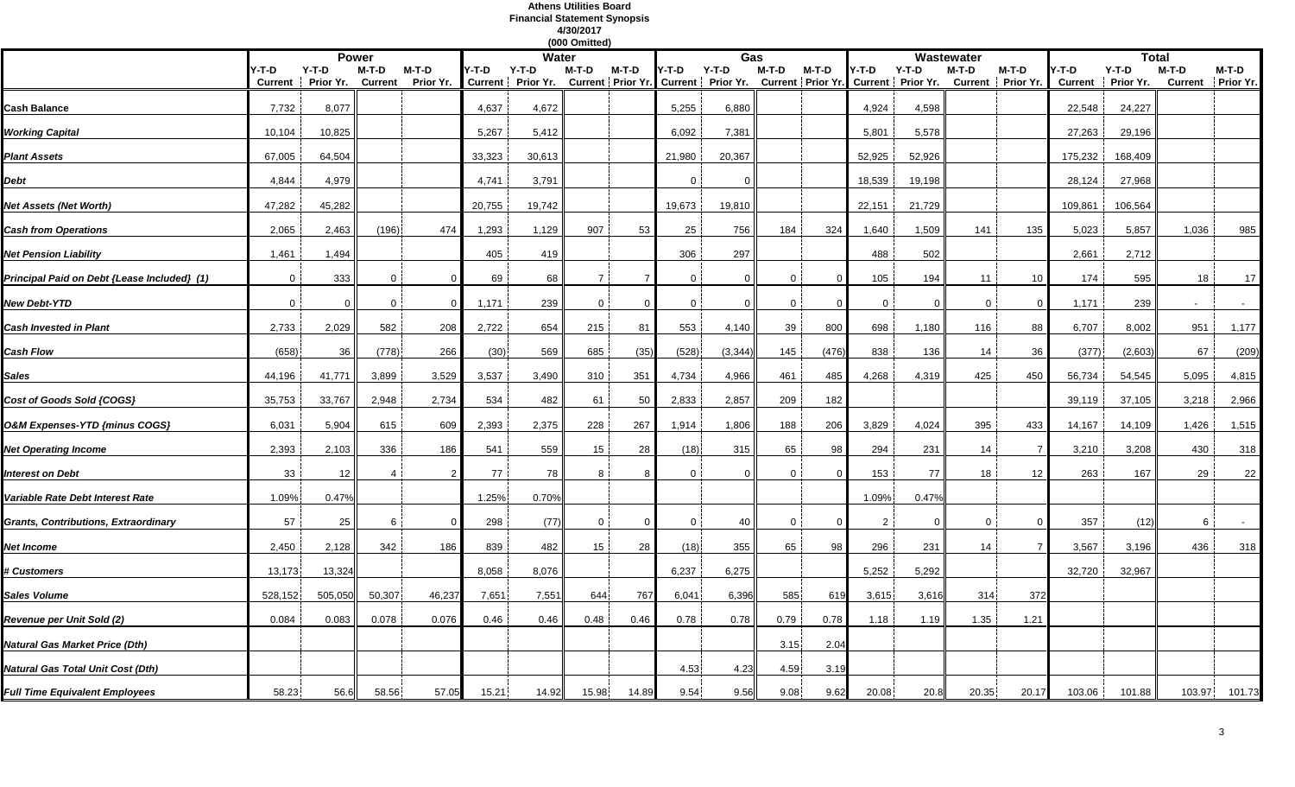#### **Athens Utilities Board Financial Statement Synopsis 4/30/2017**

|                                             |              |                                      |              |                    |        |                              | (000 Omitted)  |          |                |                                                                                    |              |          |                |          |             |                            |                         |                      |                         |                           |
|---------------------------------------------|--------------|--------------------------------------|--------------|--------------------|--------|------------------------------|----------------|----------|----------------|------------------------------------------------------------------------------------|--------------|----------|----------------|----------|-------------|----------------------------|-------------------------|----------------------|-------------------------|---------------------------|
|                                             |              |                                      | <b>Power</b> |                    |        | Water                        |                |          |                | Gas                                                                                |              |          |                |          | Wastewater  |                            |                         | Total                |                         |                           |
|                                             | $Y-T-D$      | $Y-T-D$<br>Current Prior Yr. Current | M-T-D        | M-T-D<br>Prior Yr. | /-T-D  | $Y-T-D$<br>Current Prior Yr. | M-T-D          | M-T-D    | Y-T-D          | $Y-T-D$<br>Current Prior Yr. Current Prior Yr. Current Prior Yr. Current Prior Yr. | M-T-D        | M-T-D    | /-T-D          | Y-T-D    | M-T-D       | M-T-D<br>Current Prior Yr. | '-T-D<br><b>Current</b> | $Y-T-D$<br>Prior Yr. | M-T-D<br><b>Current</b> | M-T-D<br><b>Prior Yr.</b> |
| <b>Cash Balance</b>                         | 7,732        | 8,077                                |              |                    | 4,637  | 4,672                        |                |          | 5,255          | 6,880                                                                              |              |          | 4,924          | 4,598    |             |                            | 22,548                  | 24,227               |                         |                           |
| Working Capital                             | 10,104       | 10,825                               |              |                    | 5,267  | 5,412                        |                |          | 6,092          | 7,381                                                                              |              |          | 5,801          | 5,578    |             |                            | 27,263                  | 29,196               |                         |                           |
| <b>Plant Assets</b>                         | 67,005       | 64,504                               |              |                    | 33,323 | 30,613                       |                |          | 21,980         | 20,367                                                                             |              |          | 52,925         | 52,926   |             |                            | 175,232                 | 168,409              |                         |                           |
| Debt                                        | 4,844        | 4,979                                |              |                    | 4,741  | 3,791                        |                |          |                | $\Omega$                                                                           |              |          | 18,539         | 19,198   |             |                            | 28,124                  | 27,968               |                         |                           |
| Net Assets (Net Worth)                      | 47,282       | 45,282                               |              |                    | 20,755 | 19,742                       |                |          | 19,673         | 19,810                                                                             |              |          | 22,151         | 21,729   |             |                            | 109,861                 | 106,564              |                         |                           |
| <b>Cash from Operations</b>                 | 2,065        | 2,463                                | (196)        | 474                | 1,293  | 1,129                        | 907            | 53       | 25             | 756                                                                                | 184          | 324      | 1,640          | 1,509    | 141         | 135                        | 5,023                   | 5,857                | 1,036                   | 985                       |
| <b>Net Pension Liability</b>                | 1,461        | 1,494                                |              |                    | 405    | 419                          |                |          | 306            | 297                                                                                |              |          | 488            | 502      |             |                            | 2,661                   | 2,712                |                         |                           |
| Principal Paid on Debt {Lease Included} (1) | $\Omega$     | 333                                  | $\Omega$     |                    | 69     | 68                           | $\overline{7}$ |          | $\Omega$       | $\Omega$                                                                           | $\Omega$     | $\Omega$ | 105            | 194      | 11          | 10                         | 174                     | 595                  | 18                      | 17                        |
| New Debt-YTD                                | $\mathbf{0}$ | $\mathbf{0}$                         | 0            | $\Omega$           | 1,171  | 239                          | $\mathbf 0$    | $\Omega$ | $\overline{0}$ | $\mathbf 0$                                                                        | $\mathbf 0$  | $\Omega$ | $\overline{0}$ | $\Omega$ | $\mathbf 0$ | $\Omega$                   | 1,171                   | 239                  |                         |                           |
| <b>Cash Invested in Plant</b>               | 2,733        | 2,029                                | 582          | 208                | 2,722  | 654                          | 215            | 81       | 553            | 4,140                                                                              | 39           | 800      | 698            | 1,180    | 116         | 88                         | 6,707                   | 8,002                | 951                     | 1,177                     |
| <b>Cash Flow</b>                            | (658)        | 36                                   | (778)        | 266                | (30)   | 569                          | 685            | (35)     | (528)          | (3, 344)                                                                           | 145          | (476)    | 838            | 136      | 14          | 36                         | (377)                   | (2,603)              | 67                      | (209)                     |
| <b>Sales</b>                                | 44,196       | 41,771                               | 3,899        | 3,529              | 3,537  | 3,490                        | 310            | 351      | 4,734          | 4,966                                                                              | 461          | 485      | 4,268          | 4,319    | 425         | 450                        | 56,734                  | 54,545               | 5,095                   | 4,815                     |
| Cost of Goods Sold {COGS}                   | 35,753       | 33,767                               | 2,948        | 2,734              | 534    | 482                          | 61             | 50       | 2,833          | 2,857                                                                              | 209          | 182      |                |          |             |                            | 39,119                  | 37,105               | 3,218                   | 2,966                     |
| O&M Expenses-YTD {minus COGS}               | 6,031        | 5,904                                | 615          | 609                | 2,393  | 2,375                        | 228            | 267      | 1,914          | 1,806                                                                              | 188          | 206      | 3,829          | 4,024    | 395         | 433                        | 14,167                  | 14,109               | 1,426                   | 1,515                     |
| <b>Net Operating Income</b>                 | 2,393        | 2,103                                | 336          | 186                | 541    | 559                          | 15             | 28       | (18)           | 315                                                                                | 65           | 98       | 294            | 231      | 14          | $\overline{7}$             | 3,210                   | 3,208                | 430                     | 318                       |
| Interest on Debt                            | 33           | 12                                   | 4            | $\mathcal{P}$      | 77     | 78                           | 8              |          | $\Omega$       | $\Omega$                                                                           | $\mathbf{0}$ | $\Omega$ | 153            | 77       | 18          | 12                         | 263                     | 167                  | 29                      | 22                        |
| Variable Rate Debt Interest Rate            | 1.09%        | 0.47%                                |              |                    | 1.25%  | 0.70%                        |                |          |                |                                                                                    |              |          | 1.09%          | 0.47%    |             |                            |                         |                      |                         |                           |
| Grants, Contributions, Extraordinary        | 57           | 25                                   | 6            | $\Omega$           | 298    | (77)                         | $\mathbf 0$    | $\Omega$ | $\Omega$       | 40                                                                                 | $\Omega$     | $\Omega$ | $\overline{2}$ | $\Omega$ | $\mathbf 0$ | $\Omega$                   | 357                     | (12)                 | 6                       | $\sim$                    |
| Net Income                                  | 2,450        | 2,128                                | 342          | 186                | 839    | 482                          | 15             | 28       | (18)           | 355                                                                                | 65           | 98       | 296            | 231      | 14          | $\overline{7}$             | 3,567                   | 3,196                | 436                     | 318                       |
| # Customers                                 | 13,173       | 13,324                               |              |                    | 8,058  | 8,076                        |                |          | 6,237          | 6,275                                                                              |              |          | 5,252          | 5,292    |             |                            | 32,720                  | 32,967               |                         |                           |
| <b>Sales Volume</b>                         | 528,152      | 505,050                              | 50,307       | 46,237             | 7,651  | 7,551                        | 644            | 767      | 6,041          | 6,396                                                                              | 585          | 619      | 3,615          | 3,616    | 314         | 372                        |                         |                      |                         |                           |
| Revenue per Unit Sold (2)                   | 0.084        | 0.083                                | 0.078        | 0.076              | 0.46   | 0.46                         | 0.48           | 0.46     | 0.78           | 0.78                                                                               | 0.79         | 0.78     | 1.18           | 1.19     | 1.35        | 1.21                       |                         |                      |                         |                           |
| Natural Gas Market Price (Dth)              |              |                                      |              |                    |        |                              |                |          |                |                                                                                    | 3.15         | 2.04     |                |          |             |                            |                         |                      |                         |                           |
| Natural Gas Total Unit Cost (Dth)           |              |                                      |              |                    |        |                              |                |          | 4.53           | 4.23                                                                               | 4.59         | 3.19     |                |          |             |                            |                         |                      |                         |                           |
| <b>Full Time Equivalent Employees</b>       | 58.23        | 56.6                                 | 58.56        | 57.05              | 15.21  | 14.92                        | 15.98          | 14.89    | 9.54           | 9.56                                                                               | 9.08         | 9.62     | 20.08          | 20.8     | 20.35       | 20.17                      | 103.06                  | 101.88               | 103.97                  | 101.73                    |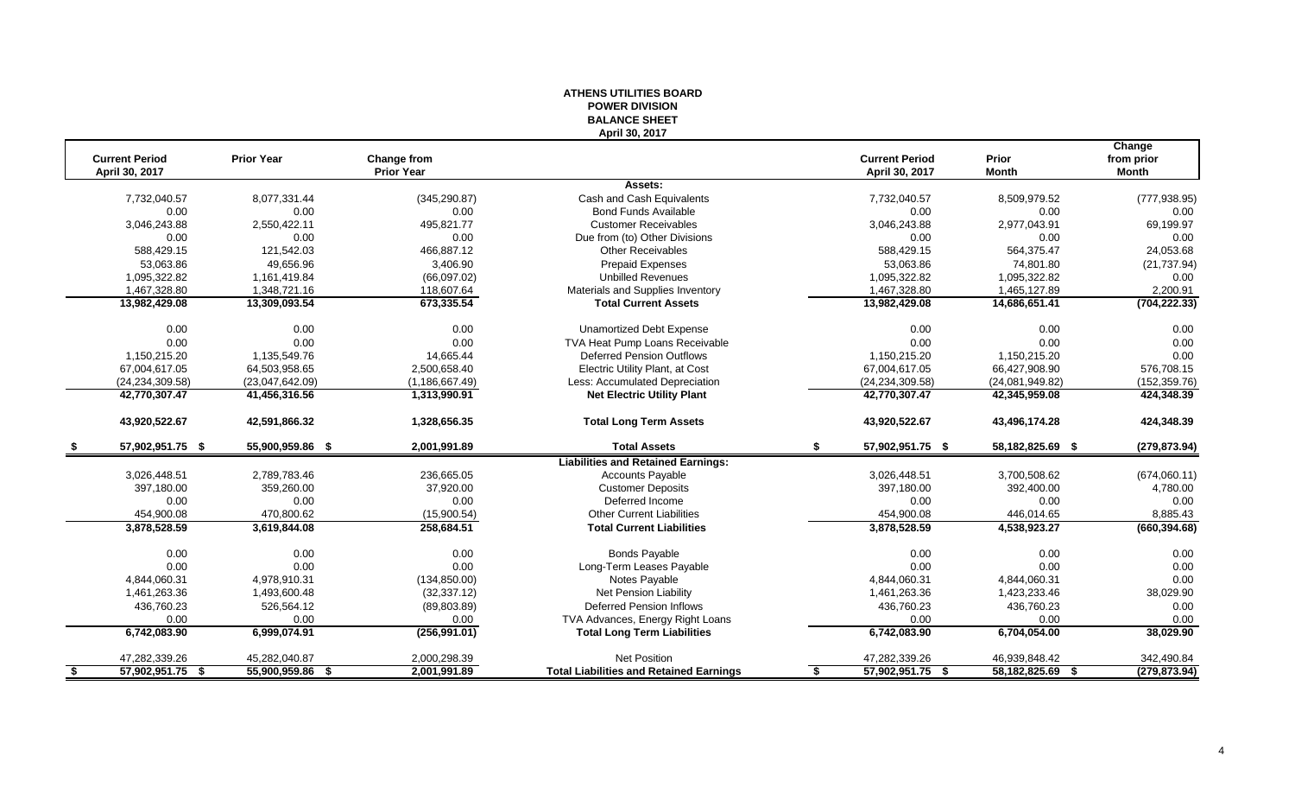|                                         |                      |                                  | <b>BALANCE SHEET</b><br>April 30, 2017                     |    |                                         |                       |                               |
|-----------------------------------------|----------------------|----------------------------------|------------------------------------------------------------|----|-----------------------------------------|-----------------------|-------------------------------|
| <b>Current Period</b><br>April 30, 2017 | <b>Prior Year</b>    | Change from<br><b>Prior Year</b> |                                                            |    | <b>Current Period</b><br>April 30, 2017 | Prior<br><b>Month</b> | Change<br>from prior<br>Month |
|                                         |                      |                                  | Assets:                                                    |    |                                         |                       |                               |
| 7,732,040.57                            | 8,077,331.44         | (345, 290.87)                    | Cash and Cash Equivalents                                  |    | 7,732,040.57                            | 8,509,979.52          | (777, 938.95)<br>0.00         |
| 0.00<br>3,046,243.88                    | 0.00<br>2,550,422.11 | 0.00<br>495,821.77               | <b>Bond Funds Available</b><br><b>Customer Receivables</b> |    | 0.00<br>3,046,243.88                    | 0.00<br>2,977,043.91  | 69,199.97                     |
| 0.00                                    | 0.00                 | 0.00                             | Due from (to) Other Divisions                              |    | 0.00                                    | 0.00                  | 0.00                          |
| 588,429.15                              | 121,542.03           | 466,887.12                       | <b>Other Receivables</b>                                   |    | 588,429.15                              | 564,375.47            | 24,053.68                     |
|                                         |                      |                                  |                                                            |    |                                         |                       |                               |
| 53.063.86                               | 49.656.96            | 3.406.90                         | <b>Prepaid Expenses</b>                                    |    | 53.063.86                               | 74,801.80             | (21, 737.94)                  |
| 1,095,322.82                            | 1,161,419.84         | (66,097.02)                      | <b>Unbilled Revenues</b>                                   |    | 1,095,322.82                            | 1,095,322.82          | 0.00                          |
| 1,467,328.80                            | 1,348,721.16         | 118,607.64                       | Materials and Supplies Inventory                           |    | 1,467,328.80                            | 1,465,127.89          | 2,200.91                      |
| 13,982,429.08                           | 13,309,093.54        | 673,335.54                       | <b>Total Current Assets</b>                                |    | 13,982,429.08                           | 14,686,651.41         | (704, 222.33)                 |
| 0.00                                    | 0.00                 | 0.00                             | <b>Unamortized Debt Expense</b>                            |    | 0.00                                    | 0.00                  | 0.00                          |
| 0.00                                    | 0.00                 | 0.00                             | TVA Heat Pump Loans Receivable                             |    | 0.00                                    | 0.00                  | 0.00                          |
| 1,150,215.20                            | 1,135,549.76         | 14,665.44                        | <b>Deferred Pension Outflows</b>                           |    | 1,150,215.20                            | 1,150,215.20          | 0.00                          |
| 67,004,617.05                           | 64,503,958.65        | 2,500,658.40                     | Electric Utility Plant, at Cost                            |    | 67,004,617.05                           | 66,427,908.90         | 576,708.15                    |
| (24, 234, 309.58)                       | (23,047,642.09)      | (1, 186, 667.49)                 | Less: Accumulated Depreciation                             |    | (24, 234, 309.58)                       | (24,081,949.82)       | (152, 359.76)                 |
| 42,770,307.47                           | 41,456,316.56        | 1,313,990.91                     | <b>Net Electric Utility Plant</b>                          |    | 42,770,307.47                           | 42,345,959.08         | 424,348.39                    |
| 43,920,522.67                           | 42,591,866.32        | 1,328,656.35                     | <b>Total Long Term Assets</b>                              |    | 43,920,522.67                           | 43,496,174.28         | 424,348.39                    |
| 57,902,951.75 \$                        | 55,900,959.86 \$     | 2,001,991.89                     | <b>Total Assets</b>                                        | S. | 57,902,951.75 \$                        | 58,182,825.69 \$      | (279, 873.94)                 |
|                                         |                      |                                  | <b>Liabilities and Retained Earnings:</b>                  |    |                                         |                       |                               |
| 3,026,448.51                            | 2,789,783.46         | 236,665.05                       | <b>Accounts Payable</b>                                    |    | 3,026,448.51                            | 3,700,508.62          | (674,060.11)                  |
| 397,180.00                              | 359,260.00           | 37,920.00                        | <b>Customer Deposits</b>                                   |    | 397,180.00                              | 392,400.00            | 4,780.00                      |
| 0.00                                    | 0.00                 | 0.00                             | Deferred Income                                            |    | 0.00                                    | 0.00                  | 0.00                          |
| 454,900.08                              | 470,800.62           | (15,900.54)                      | <b>Other Current Liabilities</b>                           |    | 454,900.08                              | 446,014.65            | 8,885.43                      |
| 3,878,528.59                            | 3,619,844.08         | 258,684.51                       | <b>Total Current Liabilities</b>                           |    | 3,878,528.59                            | 4,538,923.27          | (660, 394.68)                 |
| 0.00                                    | 0.00                 | 0.00                             | <b>Bonds Payable</b>                                       |    | 0.00                                    | 0.00                  | 0.00                          |
| 0.00                                    | 0.00                 | 0.00                             | Long-Term Leases Payable                                   |    | 0.00                                    | 0.00                  | 0.00                          |
| 4,844,060.31                            | 4,978,910.31         | (134, 850.00)                    | Notes Payable                                              |    | 4,844,060.31                            | 4,844,060.31          | 0.00                          |
| 1,461,263.36                            | 1,493,600.48         | (32, 337.12)                     | Net Pension Liability                                      |    | 1,461,263.36                            | 1,423,233.46          | 38,029.90                     |
| 436,760.23                              | 526,564.12           | (89, 803.89)                     | <b>Deferred Pension Inflows</b>                            |    | 436,760.23                              | 436,760.23            | 0.00                          |
| 0.00                                    | 0.00                 | 0.00                             | TVA Advances, Energy Right Loans                           |    | 0.00                                    | 0.00                  | 0.00                          |
| 6,742,083.90                            | 6,999,074.91         | (256, 991.01)                    | <b>Total Long Term Liabilities</b>                         |    | 6,742,083.90                            | 6,704,054.00          | 38,029.90                     |
| 47,282,339.26                           | 45,282,040.87        | 2,000,298.39                     | <b>Net Position</b>                                        |    | 47,282,339.26                           | 46,939,848.42         | 342,490.84                    |
| 57,902,951.75 \$                        | 55,900,959.86 \$     | 2,001,991.89                     | <b>Total Liabilities and Retained Earnings</b>             | \$ | 57,902,951.75 \$                        | 58,182,825.69 \$      | (279, 873.94)                 |
|                                         |                      |                                  |                                                            |    |                                         |                       |                               |

# **ATHENS UTILITIES BOARD POWER DIVISION**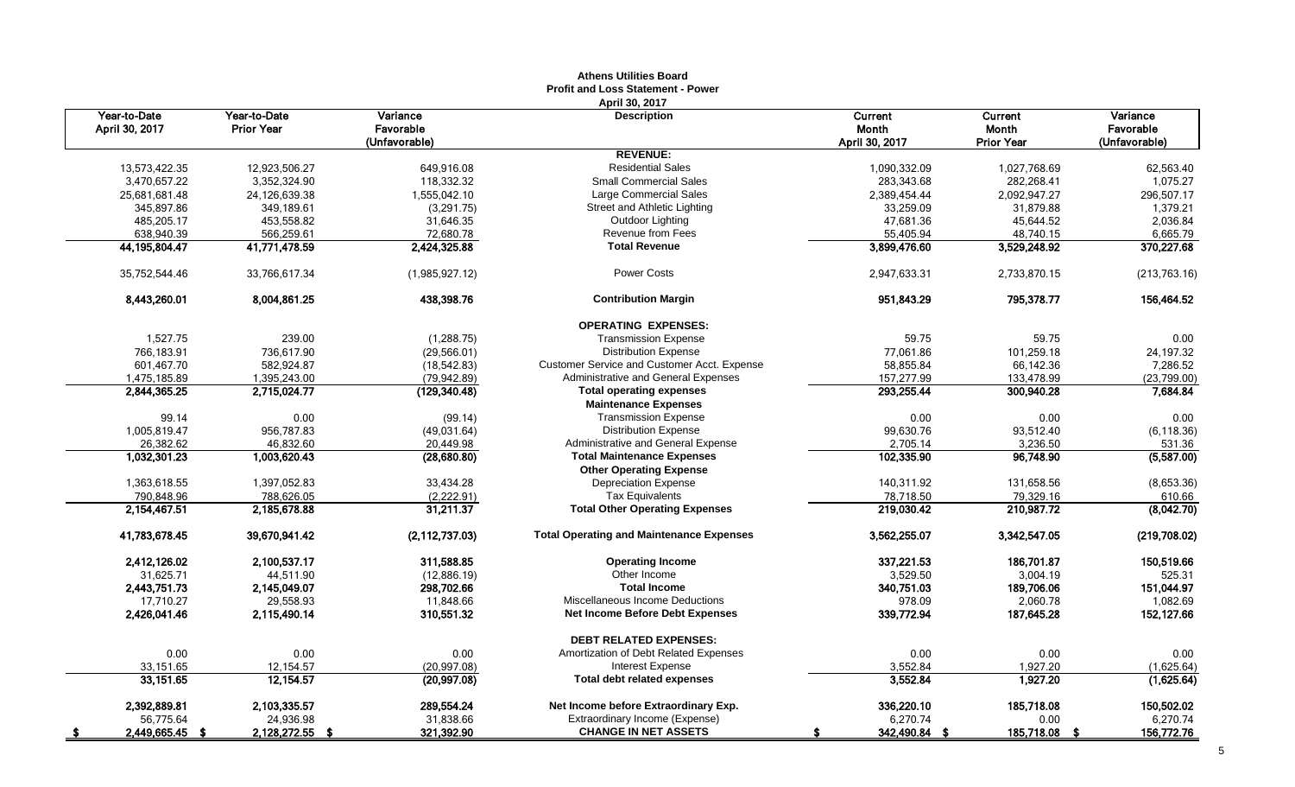|                         |                   |                  | <b>Athens Utilities Board</b>                   |                |                   |               |
|-------------------------|-------------------|------------------|-------------------------------------------------|----------------|-------------------|---------------|
|                         |                   |                  | <b>Profit and Loss Statement - Power</b>        |                |                   |               |
|                         |                   |                  | April 30, 2017                                  |                |                   |               |
| Year-to-Date            | Year-to-Date      | Variance         | <b>Description</b>                              | Current        | Current           | Variance      |
| April 30, 2017          | <b>Prior Year</b> | Favorable        |                                                 | <b>Month</b>   | <b>Month</b>      | Favorable     |
|                         |                   | (Unfavorable)    |                                                 | April 30, 2017 | <b>Prior Year</b> | (Unfavorable) |
|                         |                   |                  | <b>REVENUE:</b>                                 |                |                   |               |
| 13,573,422.35           | 12,923,506.27     | 649,916.08       | <b>Residential Sales</b>                        | 1,090,332.09   | 1,027,768.69      | 62,563.40     |
| 3,470,657.22            | 3.352.324.90      | 118.332.32       | <b>Small Commercial Sales</b>                   | 283.343.68     | 282,268.41        | 1,075.27      |
| 25,681,681.48           | 24,126,639.38     | 1,555,042.10     | Large Commercial Sales                          | 2,389,454.44   | 2,092,947.27      | 296,507.17    |
| 345,897.86              | 349,189.61        | (3,291.75)       | Street and Athletic Lighting                    | 33,259.09      | 31,879.88         | 1,379.21      |
| 485,205.17              | 453,558.82        | 31,646.35        | Outdoor Lighting                                | 47,681.36      | 45,644.52         | 2,036.84      |
| 638,940.39              | 566,259.61        | 72,680.78        | Revenue from Fees                               | 55,405.94      | 48.740.15         | 6,665.79      |
| 44, 195, 804. 47        | 41,771,478.59     | 2,424,325.88     | <b>Total Revenue</b>                            | 3,899,476.60   | 3,529,248.92      | 370,227.68    |
|                         |                   |                  |                                                 |                |                   |               |
| 35,752,544.46           | 33,766,617.34     | (1,985,927.12)   | Power Costs                                     | 2,947,633.31   | 2,733,870.15      | (213, 763.16) |
| 8,443,260.01            | 8,004,861.25      | 438,398.76       | <b>Contribution Margin</b>                      | 951,843.29     | 795,378.77        | 156,464.52    |
|                         |                   |                  | <b>OPERATING EXPENSES:</b>                      |                |                   |               |
| 1,527.75                | 239.00            | (1, 288.75)      | <b>Transmission Expense</b>                     | 59.75          | 59.75             | 0.00          |
| 766.183.91              | 736.617.90        | (29, 566.01)     | <b>Distribution Expense</b>                     | 77.061.86      | 101.259.18        | 24,197.32     |
| 601,467.70              | 582.924.87        | (18, 542.83)     | Customer Service and Customer Acct. Expense     | 58,855.84      | 66,142.36         | 7,286.52      |
| 1,475,185.89            | 1,395,243.00      | (79, 942.89)     | Administrative and General Expenses             | 157,277.99     | 133,478.99        | (23,799.00)   |
| 2,844,365.25            | 2,715,024.77      | (129, 340.48)    | <b>Total operating expenses</b>                 | 293,255.44     | 300,940.28        | 7,684.84      |
|                         |                   |                  | <b>Maintenance Expenses</b>                     |                |                   |               |
| 99.14                   | 0.00              | (99.14)          | <b>Transmission Expense</b>                     | 0.00           | 0.00              | 0.00          |
| 1,005,819.47            | 956,787.83        | (49,031.64)      | <b>Distribution Expense</b>                     | 99,630.76      | 93,512.40         | (6, 118.36)   |
| 26,382.62               | 46,832.60         | 20,449.98        | Administrative and General Expense              | 2,705.14       | 3,236.50          | 531.36        |
|                         |                   |                  | <b>Total Maintenance Expenses</b>               | 102,335.90     | 96.748.90         | (5,587.00)    |
| 1,032,301.23            | 1,003,620.43      | (28,680.80)      | <b>Other Operating Expense</b>                  |                |                   |               |
|                         |                   |                  |                                                 |                |                   |               |
| 1,363,618.55            | 1,397,052.83      | 33,434.28        | <b>Depreciation Expense</b>                     | 140,311.92     | 131,658.56        | (8,653.36)    |
| 790,848.96              | 788,626.05        | (2,222.91)       | <b>Tax Equivalents</b>                          | 78,718.50      | 79,329.16         | 610.66        |
| 2,154,467.51            | 2,185,678.88      | 31,211.37        | <b>Total Other Operating Expenses</b>           | 219,030.42     | 210,987.72        | (8,042.70)    |
| 41,783,678.45           | 39,670,941.42     | (2, 112, 737.03) | <b>Total Operating and Maintenance Expenses</b> | 3,562,255.07   | 3,342,547.05      | (219,708.02)  |
| 2,412,126.02            | 2,100,537.17      | 311,588.85       | <b>Operating Income</b>                         | 337,221.53     | 186,701.87        | 150,519.66    |
| 31,625.71               | 44,511.90         | (12,886.19)      | Other Income                                    | 3,529.50       | 3,004.19          | 525.31        |
| 2,443,751.73            | 2,145,049.07      | 298,702.66       | <b>Total Income</b>                             | 340,751.03     | 189,706.06        | 151,044.97    |
| 17,710.27               | 29,558.93         | 11,848.66        | Miscellaneous Income Deductions                 | 978.09         | 2,060.78          | 1,082.69      |
| 2,426,041.46            | 2,115,490.14      | 310,551.32       | <b>Net Income Before Debt Expenses</b>          | 339,772.94     | 187,645.28        | 152,127.66    |
|                         |                   |                  |                                                 |                |                   |               |
|                         |                   |                  | <b>DEBT RELATED EXPENSES:</b>                   |                |                   |               |
| 0.00                    | 0.00              | 0.00             | Amortization of Debt Related Expenses           | 0.00           | 0.00              | 0.00          |
| 33,151.65               | 12,154.57         | (20, 997.08)     | <b>Interest Expense</b>                         | 3,552.84       | 1,927.20          | (1,625.64)    |
| 33, 151.65              | 12,154.57         | (20, 997.08)     | <b>Total debt related expenses</b>              | 3,552.84       | 1,927.20          | (1,625.64)    |
| 2,392,889.81            | 2,103,335.57      | 289,554.24       | Net Income before Extraordinary Exp.            | 336,220.10     | 185,718.08        | 150,502.02    |
| 56,775.64               | 24,936.98         | 31,838.66        | Extraordinary Income (Expense)                  | 6,270.74       | 0.00              | 6,270.74      |
| 2,449,665.45 \$<br>- 56 | 2,128,272.55 \$   | 321,392.90       | <b>CHANGE IN NET ASSETS</b>                     | 342,490.84 \$  | 185,718.08 \$     | 156,772.76    |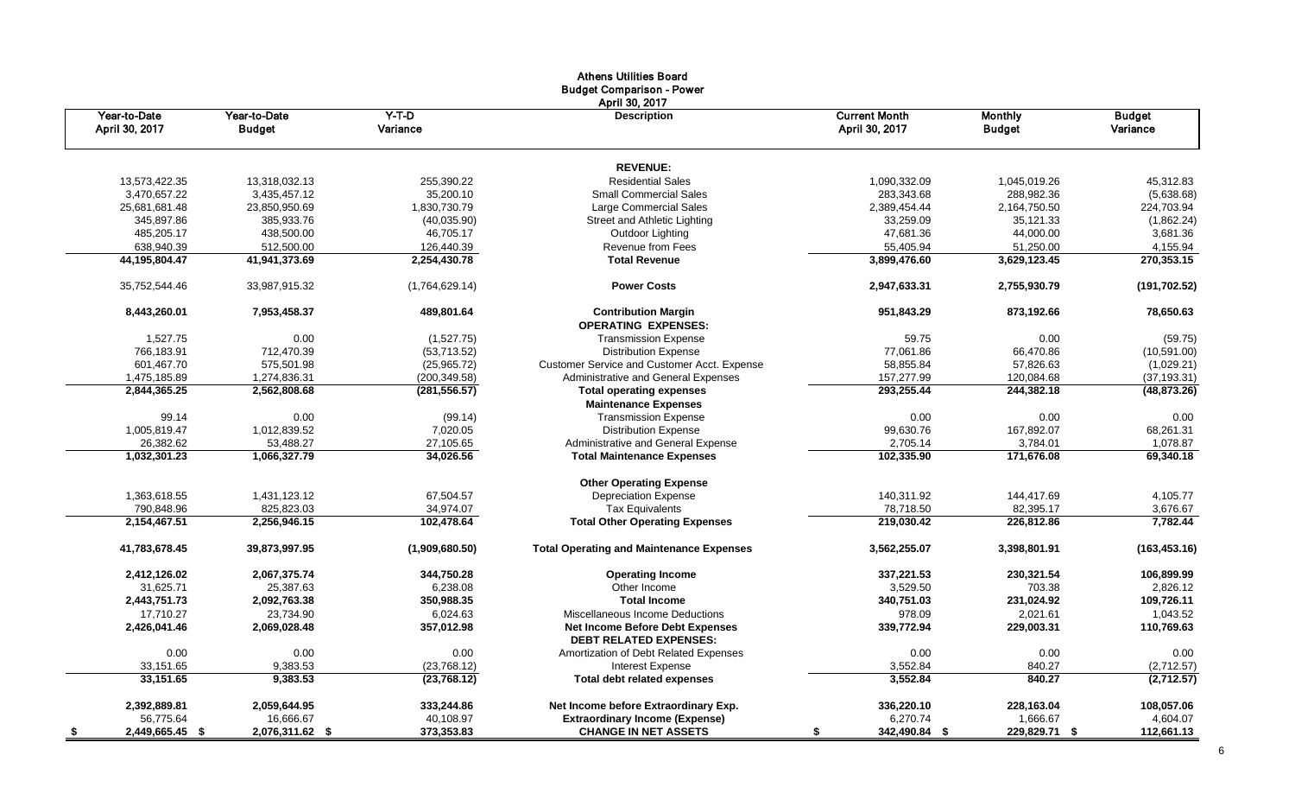|                                |                               |                     | <b>Athens Utilities Board</b><br><b>Budget Comparison - Power</b><br>April 30, 2017 |                                        |                                 |                           |
|--------------------------------|-------------------------------|---------------------|-------------------------------------------------------------------------------------|----------------------------------------|---------------------------------|---------------------------|
| Year-to-Date<br>April 30, 2017 | Year-to-Date<br><b>Budget</b> | $Y-T-D$<br>Variance | <b>Description</b>                                                                  | <b>Current Month</b><br>April 30, 2017 | <b>Monthly</b><br><b>Budget</b> | <b>Budget</b><br>Variance |
|                                |                               |                     | <b>REVENUE:</b>                                                                     |                                        |                                 |                           |
| 13,573,422.35                  | 13,318,032.13                 | 255,390.22          | <b>Residential Sales</b>                                                            | 1.090.332.09                           | 1.045.019.26                    | 45,312.83                 |
| 3,470,657.22                   | 3,435,457.12                  | 35,200.10           | <b>Small Commercial Sales</b>                                                       | 283,343.68                             | 288,982.36                      | (5,638.68)                |
| 25,681,681.48                  | 23,850,950.69                 | 1,830,730.79        | Large Commercial Sales                                                              | 2,389,454.44                           | 2,164,750.50                    | 224,703.94                |
| 345,897.86                     | 385,933.76                    | (40, 035.90)        | Street and Athletic Lighting                                                        | 33,259.09                              | 35,121.33                       | (1,862.24)                |
| 485,205.17                     | 438,500.00                    | 46,705.17           | Outdoor Lighting                                                                    | 47,681.36                              | 44,000.00                       | 3,681.36                  |
| 638,940.39                     | 512,500.00                    | 126,440.39          | Revenue from Fees                                                                   | 55,405.94                              | 51,250.00                       | 4,155.94                  |
| 44,195,804.47                  | 41,941,373.69                 | 2,254,430.78        | <b>Total Revenue</b>                                                                | 3,899,476.60                           | 3,629,123.45                    | 270,353.15                |
| 35,752,544.46                  | 33,987,915.32                 | (1,764,629.14)      | <b>Power Costs</b>                                                                  | 2,947,633.31                           | 2,755,930.79                    | (191, 702.52)             |
| 8,443,260.01                   | 7,953,458.37                  | 489,801.64          | <b>Contribution Margin</b><br><b>OPERATING EXPENSES:</b>                            | 951,843.29                             | 873,192.66                      | 78,650.63                 |
| 1,527.75                       | 0.00                          | (1,527.75)          | <b>Transmission Expense</b>                                                         | 59.75                                  | 0.00                            | (59.75)                   |
| 766,183.91                     | 712,470.39                    | (53, 713.52)        | <b>Distribution Expense</b>                                                         | 77,061.86                              | 66,470.86                       | (10,591.00)               |
| 601,467.70                     | 575,501.98                    | (25,965.72)         | <b>Customer Service and Customer Acct. Expense</b>                                  | 58.855.84                              | 57.826.63                       | (1,029.21)                |
| 1,475,185.89                   | 1,274,836.31                  | (200, 349.58)       | Administrative and General Expenses                                                 | 157,277.99                             | 120,084.68                      | (37, 193.31)              |
| 2,844,365.25                   | 2,562,808.68                  | (281, 556.57)       | <b>Total operating expenses</b>                                                     | 293,255.44                             | 244,382.18                      | (48, 873.26)              |
|                                |                               |                     | <b>Maintenance Expenses</b>                                                         |                                        |                                 |                           |
| 99.14                          | 0.00                          | (99.14)             | <b>Transmission Expense</b>                                                         | 0.00                                   | 0.00                            | 0.00                      |
| 1,005,819.47                   | 1,012,839.52                  | 7,020.05            | <b>Distribution Expense</b>                                                         | 99,630.76                              | 167,892.07                      | 68,261.31                 |
| 26,382.62                      | 53,488.27                     | 27,105.65           | Administrative and General Expense                                                  | 2,705.14                               | 3,784.01                        | 1,078.87                  |
| 1,032,301.23                   | 1,066,327.79                  | 34,026.56           | <b>Total Maintenance Expenses</b>                                                   | 102,335.90                             | 171,676.08                      | 69,340.18                 |
|                                |                               |                     | <b>Other Operating Expense</b>                                                      |                                        |                                 |                           |
| 1,363,618.55                   | 1,431,123.12                  | 67,504.57           | <b>Depreciation Expense</b>                                                         | 140,311.92                             | 144,417.69                      | 4,105.77                  |
| 790.848.96                     | 825,823.03                    | 34,974.07           | <b>Tax Equivalents</b>                                                              | 78,718.50                              | 82,395.17                       | 3,676.67                  |
| 2,154,467.51                   | 2,256,946.15                  | 102,478.64          | <b>Total Other Operating Expenses</b>                                               | 219,030.42                             | 226,812.86                      | 7,782.44                  |
| 41,783,678.45                  | 39,873,997.95                 | (1,909,680.50)      | <b>Total Operating and Maintenance Expenses</b>                                     | 3,562,255.07                           | 3,398,801.91                    | (163, 453.16)             |
| 2,412,126.02                   | 2,067,375.74                  | 344,750.28          | <b>Operating Income</b>                                                             | 337,221.53                             | 230,321.54                      | 106,899.99                |
| 31.625.71                      | 25.387.63                     | 6,238.08            | Other Income                                                                        | 3,529.50                               | 703.38                          | 2,826.12                  |
| 2,443,751.73                   | 2,092,763.38                  | 350,988.35          | <b>Total Income</b>                                                                 | 340,751.03                             | 231,024.92                      | 109,726.11                |
| 17.710.27                      | 23,734.90                     | 6,024.63            | Miscellaneous Income Deductions                                                     | 978.09                                 | 2.021.61                        | 1.043.52                  |
| 2,426,041.46                   | 2,069,028.48                  | 357,012.98          | <b>Net Income Before Debt Expenses</b><br><b>DEBT RELATED EXPENSES:</b>             | 339,772.94                             | 229,003.31                      | 110,769.63                |
| 0.00                           | 0.00                          | 0.00                | Amortization of Debt Related Expenses                                               | 0.00                                   | 0.00                            | 0.00                      |
| 33,151.65                      | 9,383.53                      | (23, 768.12)        | Interest Expense                                                                    | 3,552.84                               | 840.27                          | (2,712.57)                |
| 33,151.65                      | 9,383.53                      | (23, 768.12)        | <b>Total debt related expenses</b>                                                  | 3,552.84                               | 840.27                          | (2,712.57)                |
| 2,392,889.81                   | 2,059,644.95                  | 333,244.86          | Net Income before Extraordinary Exp.                                                | 336,220.10                             | 228,163.04                      | 108,057.06                |
| 56,775.64                      | 16,666.67                     | 40,108.97           | <b>Extraordinary Income (Expense)</b>                                               | 6,270.74                               | 1,666.67                        | 4,604.07                  |
| 2,449,665.45 \$                | 2,076,311.62 \$               | 373,353.83          | <b>CHANGE IN NET ASSETS</b>                                                         | 342,490.84 \$<br>\$                    | 229,829.71 \$                   | 112,661.13                |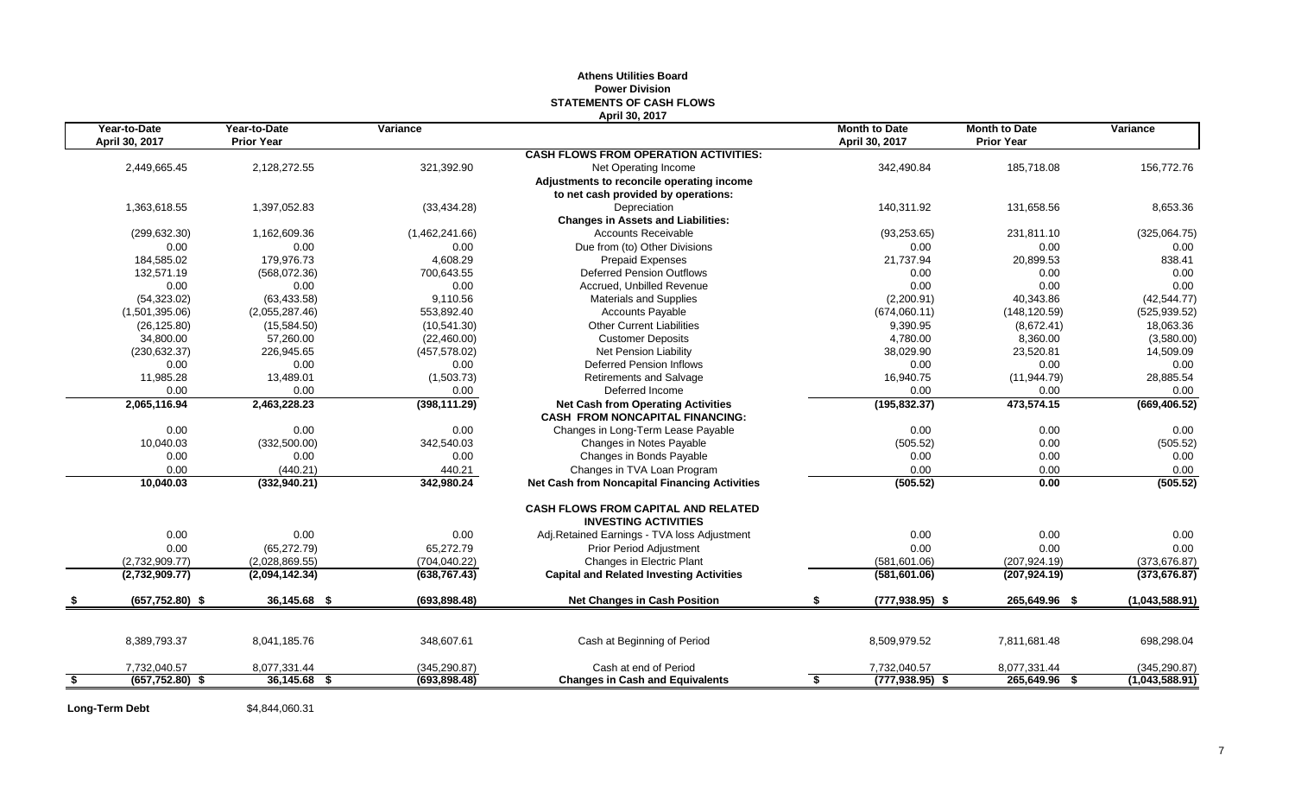### **Athens Utilities Board Power Division STATEMENTS OF CASH FLOWS April 30, 2017**

|                         | Year-to-Date<br>April 30, 2017 | Year-to-Date<br><b>Prior Year</b> | Variance       |                                                                                     | <b>Month to Date</b><br>April 30, 2017 | <b>Month to Date</b><br><b>Prior Year</b> | Variance       |
|-------------------------|--------------------------------|-----------------------------------|----------------|-------------------------------------------------------------------------------------|----------------------------------------|-------------------------------------------|----------------|
|                         |                                |                                   |                | <b>CASH FLOWS FROM OPERATION ACTIVITIES:</b>                                        |                                        |                                           |                |
|                         | 2,449,665.45                   | 2,128,272.55                      | 321,392.90     | Net Operating Income                                                                | 342,490.84                             | 185,718.08                                | 156,772.76     |
|                         |                                |                                   |                | Adjustments to reconcile operating income                                           |                                        |                                           |                |
|                         |                                |                                   |                | to net cash provided by operations:                                                 |                                        |                                           |                |
|                         | 1.363.618.55                   | 1,397,052.83                      | (33, 434.28)   | Depreciation                                                                        | 140.311.92                             | 131.658.56                                | 8,653.36       |
|                         |                                |                                   |                | <b>Changes in Assets and Liabilities:</b>                                           |                                        |                                           |                |
|                         | (299, 632.30)                  | 1,162,609.36                      | (1,462,241.66) | <b>Accounts Receivable</b>                                                          | (93, 253.65)                           | 231,811.10                                | (325,064.75)   |
|                         | 0.00                           | 0.00                              | 0.00           | Due from (to) Other Divisions                                                       | 0.00                                   | 0.00                                      | 0.00           |
|                         | 184,585.02                     | 179.976.73                        | 4,608.29       | <b>Prepaid Expenses</b>                                                             | 21,737.94                              | 20,899.53                                 | 838.41         |
|                         | 132,571.19                     | (568,072.36)                      | 700,643.55     | <b>Deferred Pension Outflows</b>                                                    | 0.00                                   | 0.00                                      | 0.00           |
|                         | 0.00                           | 0.00                              | 0.00           | Accrued, Unbilled Revenue                                                           | 0.00                                   | 0.00                                      | 0.00           |
|                         | (54, 323.02)                   | (63, 433.58)                      | 9.110.56       | <b>Materials and Supplies</b>                                                       | (2,200.91)                             | 40,343.86                                 | (42, 544.77)   |
|                         | (1,501,395.06)                 | (2,055,287.46)                    | 553,892.40     | <b>Accounts Payable</b>                                                             | (674,060.11)                           | (148, 120.59)                             | (525, 939.52)  |
|                         | (26, 125.80)                   | (15,584.50)                       | (10, 541.30)   | <b>Other Current Liabilities</b>                                                    | 9,390.95                               | (8,672.41)                                | 18,063.36      |
|                         | 34,800.00                      | 57,260.00                         | (22, 460.00)   | <b>Customer Deposits</b>                                                            | 4,780.00                               | 8,360.00                                  | (3,580.00)     |
|                         | (230, 632.37)                  | 226,945.65                        | (457, 578.02)  | Net Pension Liability                                                               | 38,029.90                              | 23,520.81                                 | 14,509.09      |
|                         | 0.00                           | 0.00                              | 0.00           | <b>Deferred Pension Inflows</b>                                                     | 0.00                                   | 0.00                                      | 0.00           |
|                         | 11,985.28                      | 13,489.01                         | (1,503.73)     | <b>Retirements and Salvage</b>                                                      | 16,940.75                              | (11, 944.79)                              | 28,885.54      |
|                         | 0.00                           | 0.00                              | 0.00           | Deferred Income                                                                     | 0.00                                   | 0.00                                      | 0.00           |
|                         | 2,065,116.94                   | 2,463,228.23                      | (398, 111.29)  | <b>Net Cash from Operating Activities</b><br><b>CASH FROM NONCAPITAL FINANCING:</b> | (195, 832.37)                          | 473,574.15                                | (669, 406.52)  |
|                         | 0.00                           | 0.00                              | 0.00           | Changes in Long-Term Lease Payable                                                  | 0.00                                   | 0.00                                      | 0.00           |
|                         | 10,040.03                      | (332,500.00)                      | 342,540.03     | Changes in Notes Payable                                                            | (505.52)                               | 0.00                                      | (505.52)       |
|                         | 0.00                           | 0.00                              | 0.00           | Changes in Bonds Payable                                                            | 0.00                                   | 0.00                                      | 0.00           |
|                         | 0.00                           | (440.21)                          | 440.21         | Changes in TVA Loan Program                                                         | 0.00                                   | 0.00                                      | 0.00           |
|                         | 10,040.03                      | (332, 940.21)                     | 342,980.24     | <b>Net Cash from Noncapital Financing Activities</b>                                | (505.52)                               | 0.00                                      | (505.52)       |
|                         |                                |                                   |                | <b>CASH FLOWS FROM CAPITAL AND RELATED</b><br><b>INVESTING ACTIVITIES</b>           |                                        |                                           |                |
|                         | 0.00                           | 0.00                              | 0.00           | Adj.Retained Earnings - TVA loss Adjustment                                         | 0.00                                   | 0.00                                      | 0.00           |
|                         | 0.00                           | (65, 272.79)                      | 65,272.79      | Prior Period Adjustment                                                             | 0.00                                   | 0.00                                      | 0.00           |
|                         | (2,732,909.77)                 | (2,028,869.55)                    | (704, 040.22)  | Changes in Electric Plant                                                           | (581,601.06)                           | (207, 924.19)                             | (373, 676.87)  |
|                         | (2,732,909.77)                 | (2,094,142.34)                    | (638, 767.43)  | <b>Capital and Related Investing Activities</b>                                     | (581,601.06)                           | (207, 924.19)                             | (373, 676.87)  |
|                         | $(657, 752.80)$ \$             | 36,145.68 \$                      | (693.898.48)   | <b>Net Changes in Cash Position</b>                                                 | \$.<br>$(777.938.95)$ \$               | 265,649.96 \$                             | (1,043,588.91) |
|                         |                                |                                   |                |                                                                                     |                                        |                                           |                |
|                         | 8,389,793.37                   | 8,041,185.76                      | 348,607.61     | Cash at Beginning of Period                                                         | 8,509,979.52                           | 7,811,681.48                              | 698,298.04     |
|                         | 7,732,040.57                   | 8,077,331.44                      | (345, 290.87)  | Cash at end of Period                                                               | 7,732,040.57                           | 8,077,331.44                              | (345, 290.87)  |
| $\overline{\mathbf{3}}$ | $(657, 752.80)$ \$             | $36,145.68$ \$                    | (693, 898.48)  | <b>Changes in Cash and Equivalents</b>                                              | $(777, 938.95)$ \$<br>\$               | 265,649.96 \$                             | (1,043,588.91) |

**Long-Term Debt** \$4,844,060.31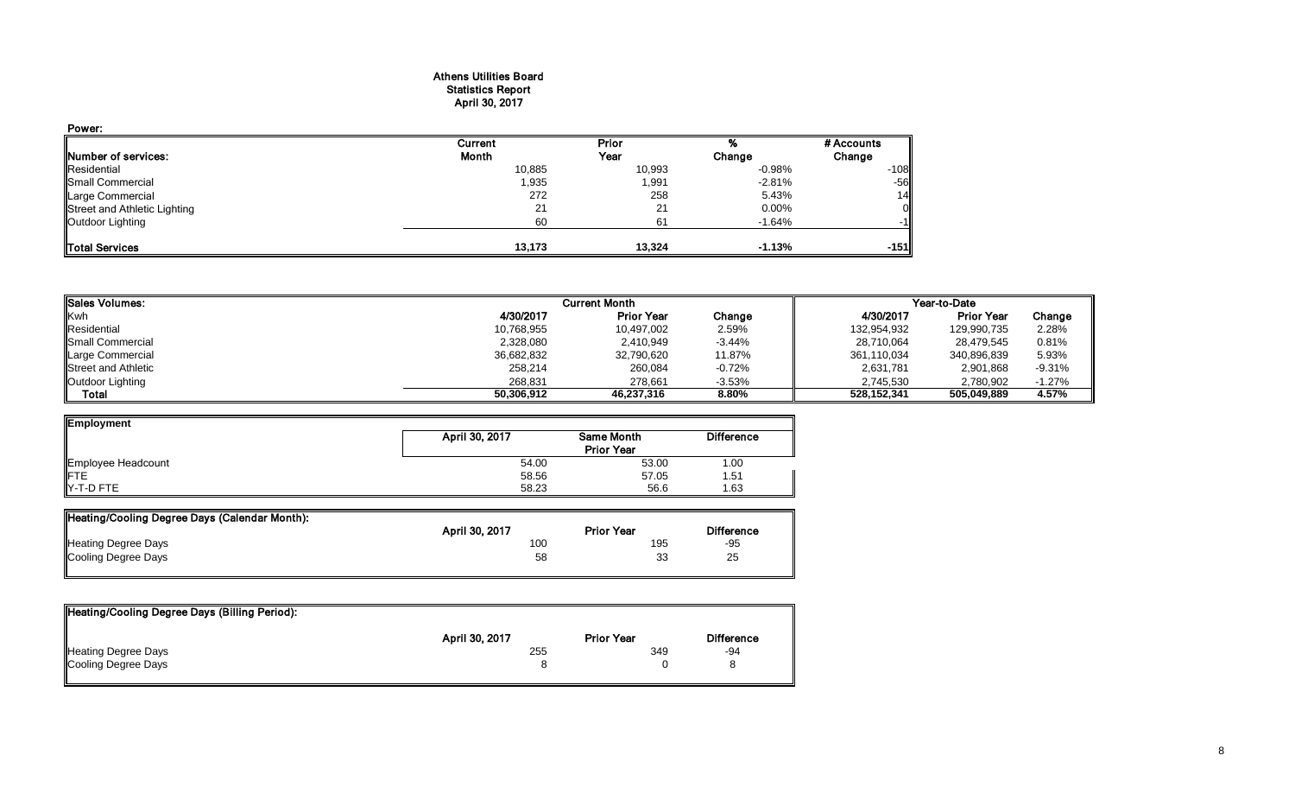#### Athens Utilities Board Statistics Report April 30, 2017

| Power:                       |              |        |           |            |
|------------------------------|--------------|--------|-----------|------------|
|                              | Current      | Prior  |           | # Accounts |
| Number of services:          | <b>Month</b> | Year   | Change    | Change     |
| Residential                  | 10,885       | 10,993 | $-0.98\%$ | $-108$     |
| Small Commercial             | 1,935        | 1,991  | $-2.81%$  | $-56$      |
| <b>Large Commercial</b>      | 272          | 258    | 5.43%     | 14         |
| Street and Athletic Lighting | 21           | 21     | 0.00%     | 0          |
| Outdoor Lighting             | 60           | 61     | $-1.64%$  | $-1$       |
| <b>ITotal Services</b>       | 13.173       | 13.324 | $-1.13%$  | $-151$     |

| Sales Volumes:      |            | Current Month     |          | Year-to-Date |                   |          |
|---------------------|------------|-------------------|----------|--------------|-------------------|----------|
| <b>Kwh</b>          | 4/30/2017  | <b>Prior Year</b> | Change   | 4/30/2017    | <b>Prior Year</b> | Change   |
| Residential         | 10,768,955 | 10,497,002        | 2.59%    | 132,954,932  | 129,990,735       | 2.28%    |
| Small Commercial    | 2,328,080  | 2,410,949         | $-3.44%$ | 28,710,064   | 28,479,545        | 0.81%    |
| Large Commercial    | 36,682,832 | 32,790,620        | 11.87%   | 361,110,034  | 340,896,839       | 5.93%    |
| Street and Athletic | 258.214    | 260,084           | $-0.72%$ | 2,631,781    | 2,901,868         | $-9.31%$ |
| Outdoor Lighting    | 268.831    | 278.661           | $-3.53%$ | 2,745,530    | 2.780.902         | $-1.27%$ |
| Total               | 50,306,912 | 46,237,316        | 8.80%    | 528.152.341  | 505,049,889       | 4.57%    |

| <b>Employment</b>  |                |                   |                   |
|--------------------|----------------|-------------------|-------------------|
|                    | April 30, 2017 | <b>Same Month</b> | <b>Difference</b> |
|                    |                | <b>Prior Year</b> |                   |
| Employee Headcount | 54.00          | 53.00             | 1.00              |
| <b>IFTE</b>        | 58.56          | 57.05             | 1.51              |
| <b>IY-T-D FTE</b>  | 58.23          | 56.6              | 1.63              |

| Heating/Cooling Degree Days (Calendar Month): |                |                   |                   |
|-----------------------------------------------|----------------|-------------------|-------------------|
|                                               | April 30, 2017 | <b>Prior Year</b> | <b>Difference</b> |
| <b>Heating Degree Days</b>                    | 100            | 195               | $-95$             |
| Cooling Degree Days                           | 58             | 33                | 25                |
|                                               |                |                   |                   |

| Heating/Cooling Degree Days (Billing Period): |                |                   |                   |
|-----------------------------------------------|----------------|-------------------|-------------------|
|                                               | April 30, 2017 | <b>Prior Year</b> | <b>Difference</b> |
| <b>Heating Degree Days</b>                    | 255            | 349               | -94               |
| Cooling Degree Days                           |                |                   |                   |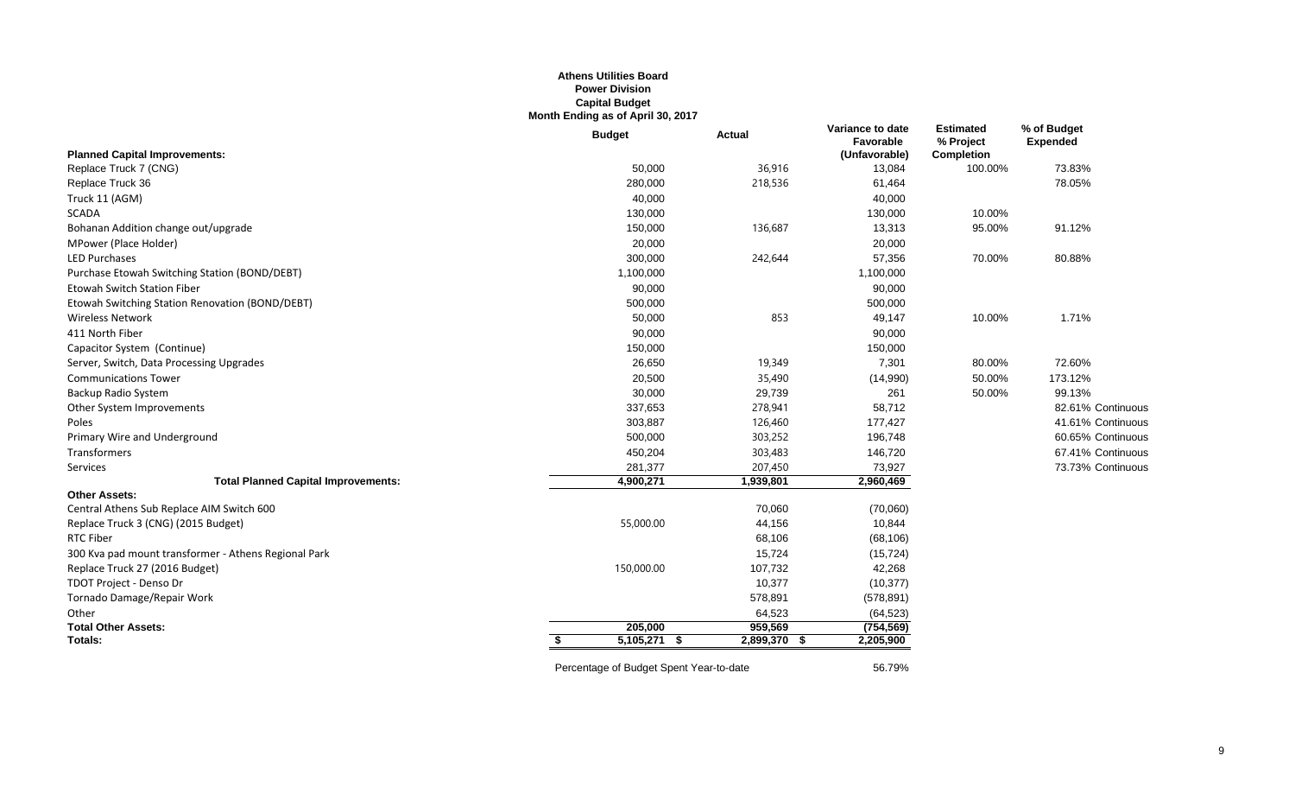## **Athens Utilities Board Power Division Capital Budget Month Ending as of April 30, 2017**

|                                                      | <b>Budget</b>  | <b>Actual</b> | Variance to date<br>Favorable | <b>Estimated</b><br>% Project | % of Budget<br><b>Expended</b> |
|------------------------------------------------------|----------------|---------------|-------------------------------|-------------------------------|--------------------------------|
| <b>Planned Capital Improvements:</b>                 |                |               | (Unfavorable)                 | <b>Completion</b>             |                                |
| Replace Truck 7 (CNG)                                | 50,000         | 36,916        | 13,084                        | 100.00%                       | 73.83%                         |
| Replace Truck 36                                     | 280,000        | 218,536       | 61,464                        |                               | 78.05%                         |
| Truck 11 (AGM)                                       | 40,000         |               | 40,000                        |                               |                                |
| <b>SCADA</b>                                         | 130,000        |               | 130,000                       | 10.00%                        |                                |
| Bohanan Addition change out/upgrade                  | 150,000        | 136,687       | 13,313                        | 95.00%                        | 91.12%                         |
| MPower (Place Holder)                                | 20,000         |               | 20,000                        |                               |                                |
| <b>LED Purchases</b>                                 | 300,000        | 242,644       | 57,356                        | 70.00%                        | 80.88%                         |
| Purchase Etowah Switching Station (BOND/DEBT)        | 1,100,000      |               | 1,100,000                     |                               |                                |
| <b>Etowah Switch Station Fiber</b>                   | 90,000         |               | 90,000                        |                               |                                |
| Etowah Switching Station Renovation (BOND/DEBT)      | 500,000        |               | 500,000                       |                               |                                |
| <b>Wireless Network</b>                              | 50,000         | 853           | 49,147                        | 10.00%                        | 1.71%                          |
| 411 North Fiber                                      | 90,000         |               | 90,000                        |                               |                                |
| Capacitor System (Continue)                          | 150,000        |               | 150,000                       |                               |                                |
| Server, Switch, Data Processing Upgrades             | 26,650         | 19,349        | 7,301                         | 80.00%                        | 72.60%                         |
| <b>Communications Tower</b>                          | 20,500         | 35,490        | (14,990)                      | 50.00%                        | 173.12%                        |
| Backup Radio System                                  | 30,000         | 29,739        | 261                           | 50.00%                        | 99.13%                         |
| Other System Improvements                            | 337,653        | 278,941       | 58,712                        |                               | 82.61% Continuous              |
| Poles                                                | 303,887        | 126,460       | 177,427                       |                               | 41.61% Continuous              |
| Primary Wire and Underground                         | 500,000        | 303,252       | 196,748                       |                               | 60.65% Continuous              |
| Transformers                                         | 450,204        | 303,483       | 146,720                       |                               | 67.41% Continuous              |
| Services                                             | 281,377        | 207,450       | 73,927                        |                               | 73.73% Continuous              |
| <b>Total Planned Capital Improvements:</b>           | 4,900,271      | 1,939,801     | 2,960,469                     |                               |                                |
| <b>Other Assets:</b>                                 |                |               |                               |                               |                                |
| Central Athens Sub Replace AIM Switch 600            |                | 70,060        | (70,060)                      |                               |                                |
| Replace Truck 3 (CNG) (2015 Budget)                  | 55,000.00      | 44,156        | 10,844                        |                               |                                |
| <b>RTC Fiber</b>                                     |                | 68,106        | (68, 106)                     |                               |                                |
| 300 Kva pad mount transformer - Athens Regional Park |                | 15,724        | (15, 724)                     |                               |                                |
| Replace Truck 27 (2016 Budget)                       | 150,000.00     | 107,732       | 42,268                        |                               |                                |
| TDOT Project - Denso Dr                              |                | 10,377        | (10, 377)                     |                               |                                |
| Tornado Damage/Repair Work                           |                | 578,891       | (578, 891)                    |                               |                                |
| Other                                                |                | 64,523        | (64, 523)                     |                               |                                |
| <b>Total Other Assets:</b>                           | 205,000        | 959,569       | (754, 569)                    |                               |                                |
| Totals:                                              | $5,105,271$ \$ | 2,899,370 \$  | 2,205,900                     |                               |                                |
|                                                      |                |               |                               |                               |                                |

Percentage of Budget Spent Year-to-date 56.79%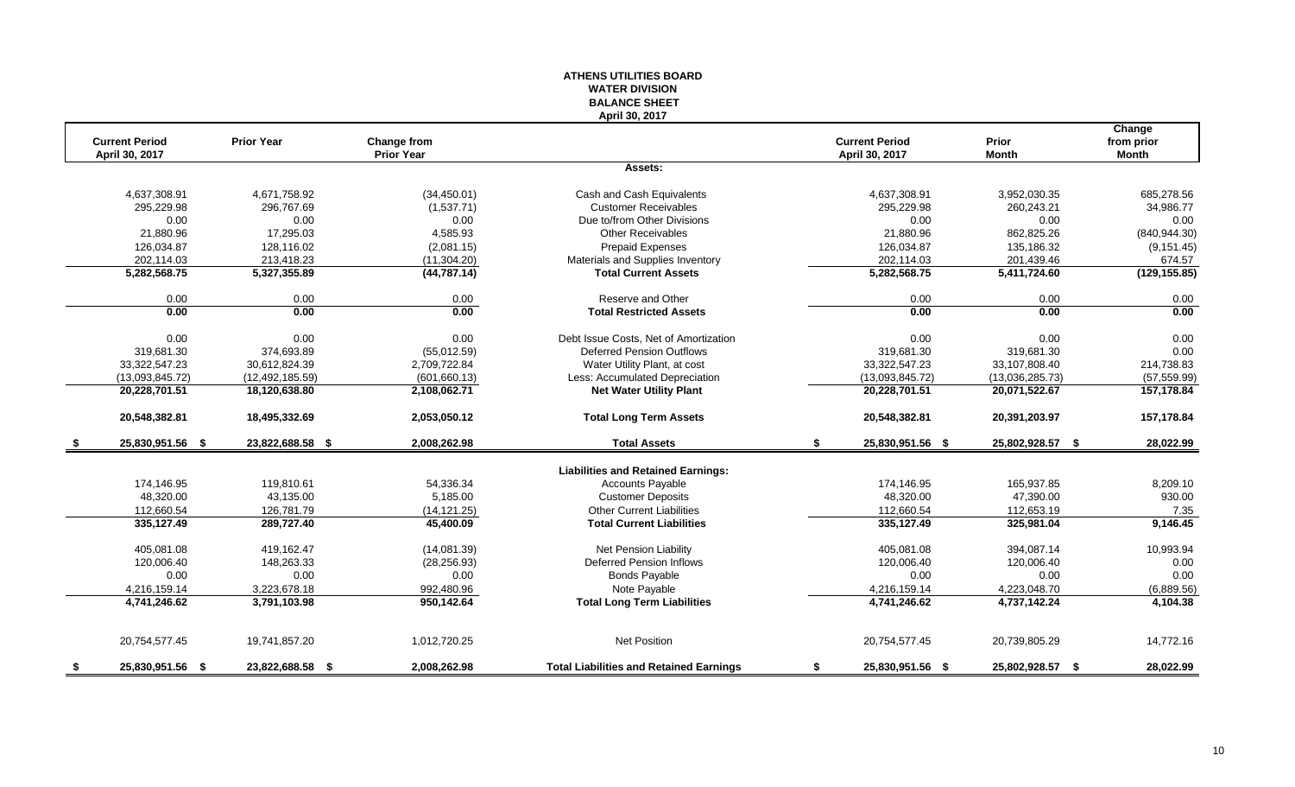#### **ATHENS UTILITIES BOARD WATER DIVISION BALANCE SHEET April 30, 2017**

|      | <b>Current Period</b> | <b>Prior Year</b> | Change from       |                                                | <b>Current Period</b>  | Prior            | Change<br>from prior |
|------|-----------------------|-------------------|-------------------|------------------------------------------------|------------------------|------------------|----------------------|
|      | April 30, 2017        |                   | <b>Prior Year</b> |                                                | April 30, 2017         | <b>Month</b>     | <b>Month</b>         |
|      |                       |                   |                   | Assets:                                        |                        |                  |                      |
|      | 4,637,308.91          | 4,671,758.92      | (34, 450.01)      | Cash and Cash Equivalents                      | 4,637,308.91           | 3,952,030.35     | 685,278.56           |
|      | 295.229.98            | 296.767.69        | (1,537.71)        | <b>Customer Receivables</b>                    | 295.229.98             | 260,243.21       | 34.986.77            |
|      | 0.00                  | 0.00              | 0.00              | Due to/from Other Divisions                    | 0.00                   | 0.00             | 0.00                 |
|      | 21,880.96             | 17,295.03         | 4,585.93          | <b>Other Receivables</b>                       | 21,880.96              | 862,825.26       | (840, 944.30)        |
|      | 126,034.87            | 128,116.02        | (2,081.15)        | <b>Prepaid Expenses</b>                        | 126,034.87             | 135,186.32       | (9, 151.45)          |
|      | 202,114.03            | 213,418.23        | (11, 304.20)      | Materials and Supplies Inventory               | 202,114.03             | 201,439.46       | 674.57               |
|      | 5,282,568.75          | 5,327,355.89      | (44, 787.14)      | <b>Total Current Assets</b>                    | 5,282,568.75           | 5,411,724.60     | (129, 155.85)        |
|      | 0.00                  | 0.00              | 0.00              | Reserve and Other                              | 0.00                   | 0.00             | 0.00                 |
|      | 0.00                  | 0.00              | 0.00              | <b>Total Restricted Assets</b>                 | 0.00                   | 0.00             | 0.00                 |
|      | 0.00                  | 0.00              | 0.00              | Debt Issue Costs, Net of Amortization          | 0.00                   | 0.00             | 0.00                 |
|      | 319.681.30            | 374.693.89        | (55,012.59)       | <b>Deferred Pension Outflows</b>               | 319.681.30             | 319.681.30       | 0.00                 |
|      | 33,322,547.23         | 30,612,824.39     | 2,709,722.84      | Water Utility Plant, at cost                   | 33, 322, 547. 23       | 33,107,808.40    | 214,738.83           |
|      | (13,093,845.72)       | (12, 492, 185.59) | (601, 660.13)     | Less: Accumulated Depreciation                 | (13,093,845.72)        | (13,036,285.73)  | (57, 559.99)         |
|      | 20,228,701.51         | 18,120,638.80     | 2,108,062.71      | <b>Net Water Utility Plant</b>                 | 20,228,701.51          | 20,071,522.67    | 157,178.84           |
|      | 20,548,382.81         | 18,495,332.69     | 2,053,050.12      | <b>Total Long Term Assets</b>                  | 20,548,382.81          | 20,391,203.97    | 157,178.84           |
| - 5  | 25,830,951.56 \$      | 23,822,688.58 \$  | 2,008,262.98      | <b>Total Assets</b>                            | \$<br>25,830,951.56 \$ | 25,802,928.57 \$ | 28,022.99            |
|      |                       |                   |                   | <b>Liabilities and Retained Earnings:</b>      |                        |                  |                      |
|      | 174,146.95            | 119,810.61        | 54,336.34         | <b>Accounts Payable</b>                        | 174,146.95             | 165.937.85       | 8,209.10             |
|      | 48,320.00             | 43,135.00         | 5,185.00          | <b>Customer Deposits</b>                       | 48,320.00              | 47,390.00        | 930.00               |
|      | 112,660.54            | 126,781.79        | (14, 121.25)      | <b>Other Current Liabilities</b>               | 112,660.54             | 112,653.19       | 7.35                 |
|      | 335,127.49            | 289,727.40        | 45,400.09         | <b>Total Current Liabilities</b>               | 335,127.49             | 325,981.04       | 9,146.45             |
|      | 405,081.08            | 419,162.47        | (14,081.39)       | Net Pension Liability                          | 405,081.08             | 394,087.14       | 10,993.94            |
|      | 120.006.40            | 148.263.33        | (28, 256.93)      | Deferred Pension Inflows                       | 120.006.40             | 120.006.40       | 0.00                 |
|      | 0.00                  | 0.00              | 0.00              | <b>Bonds Payable</b>                           | 0.00                   | 0.00             | 0.00                 |
|      | 4,216,159.14          | 3,223,678.18      | 992,480.96        | Note Payable                                   | 4,216,159.14           | 4,223,048.70     | (6,889.56)           |
|      | 4,741,246.62          | 3,791,103.98      | 950,142.64        | <b>Total Long Term Liabilities</b>             | 4,741,246.62           | 4,737,142.24     | 4,104.38             |
|      | 20,754,577.45         | 19,741,857.20     | 1,012,720.25      | <b>Net Position</b>                            | 20,754,577.45          | 20,739,805.29    | 14,772.16            |
| - \$ | 25,830,951.56 \$      | 23,822,688.58 \$  | 2,008,262.98      | <b>Total Liabilities and Retained Earnings</b> | \$<br>25,830,951.56 \$ | 25,802,928.57 \$ | 28,022.99            |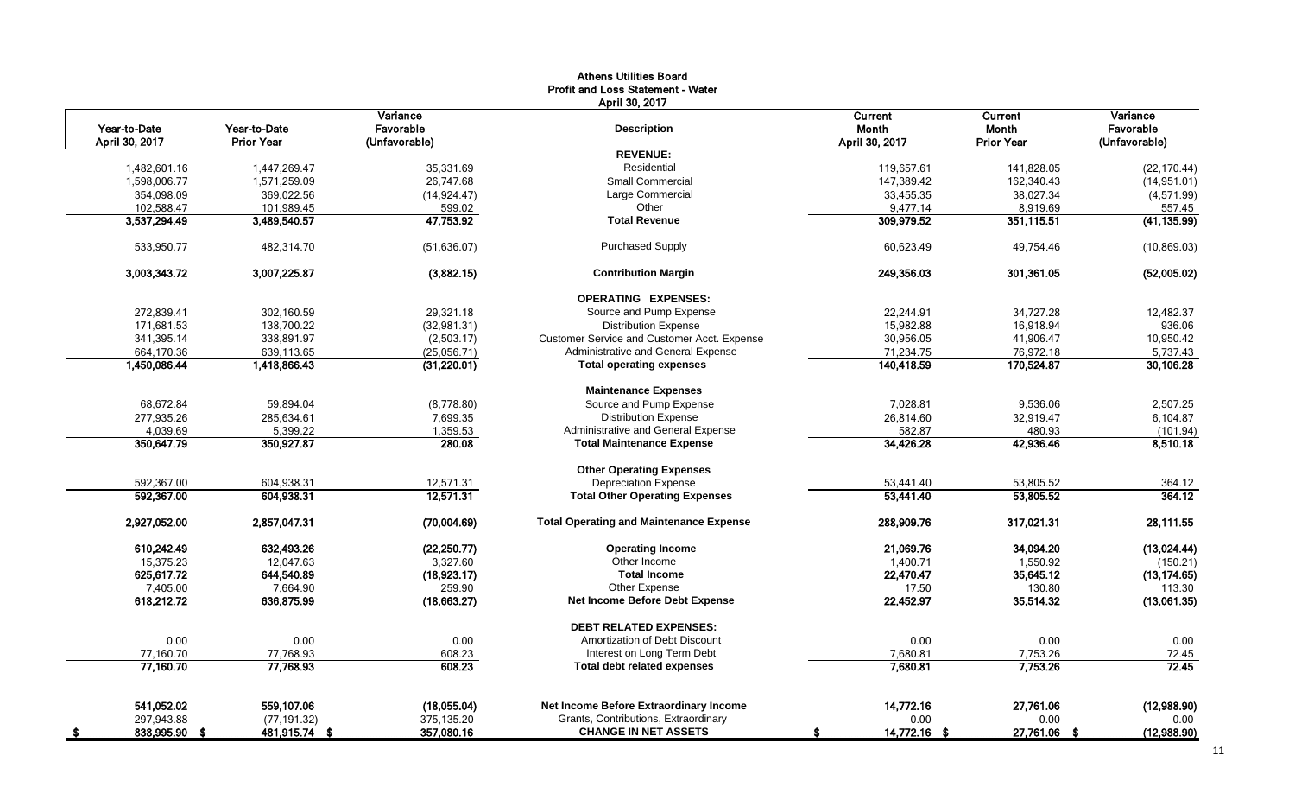|                                |                                   |                                        | <b>Athens Utilities Board</b><br><b>Profit and Loss Statement - Water</b><br>April 30, 2017 |                                    |                                       |                                        |
|--------------------------------|-----------------------------------|----------------------------------------|---------------------------------------------------------------------------------------------|------------------------------------|---------------------------------------|----------------------------------------|
| Year-to-Date<br>April 30, 2017 | Year-to-Date<br><b>Prior Year</b> | Variance<br>Favorable<br>(Unfavorable) | <b>Description</b>                                                                          | Current<br>Month<br>April 30, 2017 | Current<br>Month<br><b>Prior Year</b> | Variance<br>Favorable<br>(Unfavorable) |
|                                |                                   |                                        | <b>REVENUE:</b>                                                                             |                                    |                                       |                                        |
| 1,482,601.16                   | 1,447,269.47                      | 35,331.69                              | Residential                                                                                 | 119,657.61                         | 141,828.05                            | (22, 170.44)                           |
| 1,598,006.77                   | 1,571,259.09                      | 26,747.68                              | Small Commercial                                                                            | 147,389.42                         | 162,340.43                            | (14, 951.01)                           |
| 354,098.09                     | 369,022.56                        | (14, 924.47)                           | Large Commercial                                                                            | 33,455.35                          | 38,027.34                             | (4,571.99)                             |
| 102,588.47                     | 101,989.45                        | 599.02                                 | Other                                                                                       | 9,477.14                           | 8,919.69                              | 557.45                                 |
| 3,537,294.49                   | 3,489,540.57                      | 47,753.92                              | <b>Total Revenue</b>                                                                        | 309,979.52                         | 351,115.51                            | (41, 135.99)                           |
| 533,950.77                     | 482,314.70                        | (51, 636.07)                           | <b>Purchased Supply</b>                                                                     | 60,623.49                          | 49,754.46                             | (10, 869.03)                           |
| 3,003,343.72                   | 3,007,225.87                      | (3,882.15)                             | <b>Contribution Margin</b>                                                                  | 249,356.03                         | 301,361.05                            | (52,005.02)                            |
|                                |                                   |                                        | <b>OPERATING EXPENSES:</b>                                                                  |                                    |                                       |                                        |
| 272,839.41                     | 302,160.59                        | 29,321.18                              | Source and Pump Expense                                                                     | 22,244.91                          | 34,727.28                             | 12,482.37                              |
| 171,681.53                     | 138,700.22                        | (32,981.31)                            | <b>Distribution Expense</b>                                                                 | 15,982.88                          | 16,918.94                             | 936.06                                 |
| 341,395.14                     | 338,891.97                        | (2,503.17)                             | Customer Service and Customer Acct. Expense                                                 | 30,956.05                          | 41,906.47                             | 10,950.42                              |
| 664,170.36                     | 639,113.65                        | (25,056.71)                            | Administrative and General Expense                                                          | 71,234.75                          | 76,972.18                             | 5,737.43                               |
| 1,450,086.44                   | 1,418,866.43                      | (31,220.01)                            | <b>Total operating expenses</b>                                                             | 140,418.59                         | 170,524.87                            | 30,106.28                              |
|                                |                                   |                                        | <b>Maintenance Expenses</b>                                                                 |                                    |                                       |                                        |
| 68,672.84                      | 59,894.04                         | (8,778.80)                             | Source and Pump Expense                                                                     | 7,028.81                           | 9,536.06                              | 2,507.25                               |
| 277,935.26                     | 285,634.61                        | 7,699.35                               | <b>Distribution Expense</b>                                                                 | 26,814.60                          | 32,919.47                             | 6,104.87                               |
| 4,039.69                       | 5,399.22                          | 1,359.53                               | Administrative and General Expense                                                          | 582.87                             | 480.93                                | (101.94)                               |
| 350,647.79                     | 350,927.87                        | 280.08                                 | <b>Total Maintenance Expense</b>                                                            | 34,426.28                          | 42,936.46                             | 8,510.18                               |
|                                |                                   |                                        | <b>Other Operating Expenses</b>                                                             |                                    |                                       |                                        |
| 592,367.00                     | 604,938.31                        | 12,571.31                              | <b>Depreciation Expense</b>                                                                 | 53,441.40                          | 53,805.52                             | 364.12                                 |
| 592,367.00                     | 604,938.31                        | 12,571.31                              | <b>Total Other Operating Expenses</b>                                                       | 53,441.40                          | 53,805.52                             | 364.12                                 |
| 2,927,052.00                   | 2,857,047.31                      | (70,004.69)                            | <b>Total Operating and Maintenance Expense</b>                                              | 288,909.76                         | 317,021.31                            | 28,111.55                              |
| 610,242.49                     | 632,493.26                        | (22, 250.77)                           | <b>Operating Income</b>                                                                     | 21,069.76                          | 34,094.20                             | (13,024.44)                            |
| 15,375.23                      | 12,047.63                         | 3,327.60                               | Other Income                                                                                | 1,400.71                           | 1,550.92                              | (150.21)                               |
| 625,617.72                     | 644,540.89                        | (18,923.17)                            | <b>Total Income</b>                                                                         | 22,470.47                          | 35,645.12                             | (13, 174.65)                           |
| 7,405.00                       | 7,664.90                          | 259.90                                 | Other Expense                                                                               | 17.50                              | 130.80                                | 113.30                                 |
| 618,212.72                     | 636,875.99                        | (18,663.27)                            | Net Income Before Debt Expense                                                              | 22,452.97                          | 35,514.32                             | (13,061.35)                            |
|                                |                                   |                                        | <b>DEBT RELATED EXPENSES:</b>                                                               |                                    |                                       |                                        |
| 0.00                           | 0.00                              | 0.00                                   | Amortization of Debt Discount                                                               | 0.00                               | 0.00                                  | 0.00                                   |
| 77,160.70                      | 77,768.93                         | 608.23                                 | Interest on Long Term Debt                                                                  | 7,680.81                           | 7,753.26                              | 72.45                                  |
| 77,160.70                      | 77,768.93                         | 608.23                                 | <b>Total debt related expenses</b>                                                          | 7,680.81                           | 7,753.26                              | 72.45                                  |
|                                |                                   |                                        |                                                                                             |                                    |                                       |                                        |
| 541,052.02                     | 559,107.06                        | (18,055.04)                            | Net Income Before Extraordinary Income                                                      | 14,772.16                          | 27,761.06                             | (12,988.90)                            |
| 297,943.88                     | (77, 191.32)                      | 375,135.20                             | Grants, Contributions, Extraordinary<br><b>CHANGE IN NET ASSETS</b>                         | 0.00                               | 0.00                                  | 0.00                                   |
| 838,995.90 \$                  | 481,915.74 \$                     | 357,080.16                             |                                                                                             | 14,772.16 \$                       | 27,761.06 \$                          | (12,988.90)                            |

11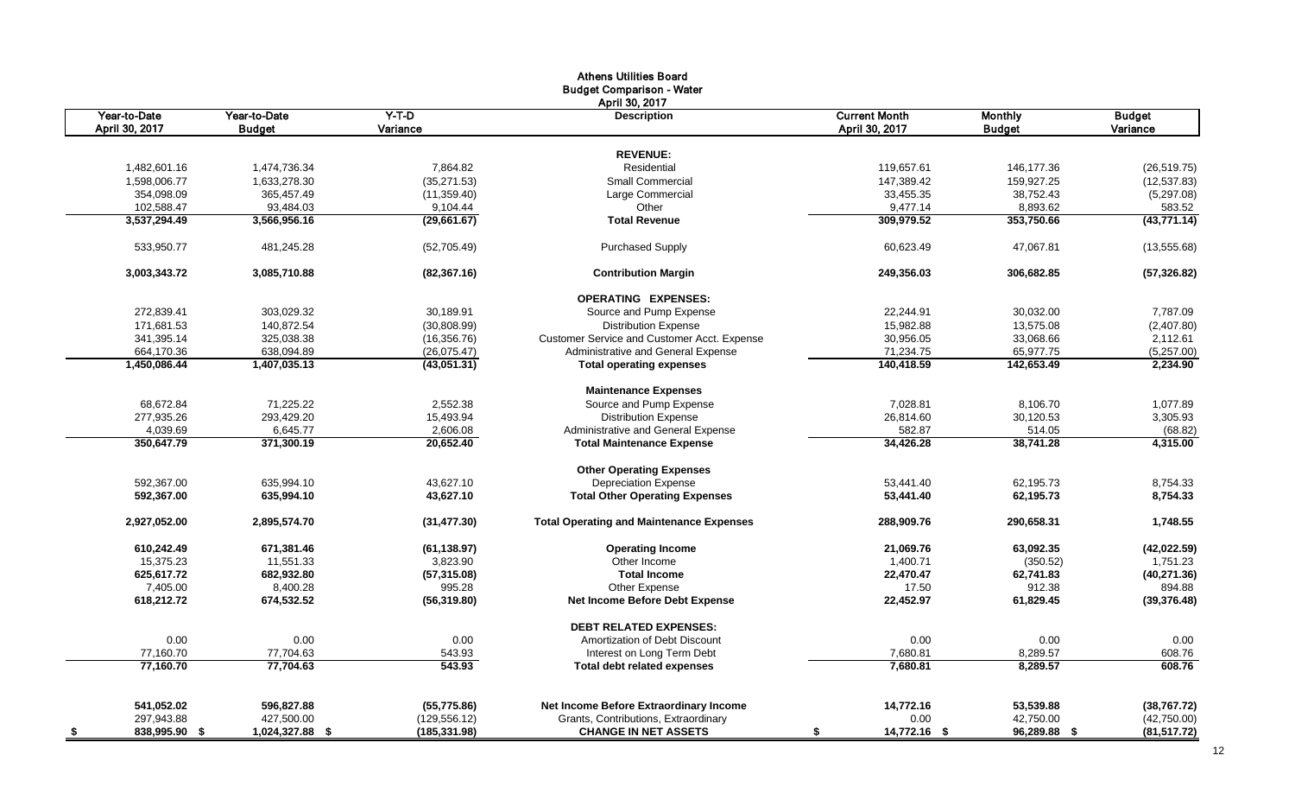|                       |                 |               | <b>Athens Utilities Board</b>                   |                      |                |               |
|-----------------------|-----------------|---------------|-------------------------------------------------|----------------------|----------------|---------------|
|                       |                 |               | <b>Budget Comparison - Water</b>                |                      |                |               |
|                       |                 |               | April 30, 2017                                  |                      |                |               |
| Year-to-Date          | Year-to-Date    | $Y-T-D$       | <b>Description</b>                              | <b>Current Month</b> | <b>Monthly</b> | <b>Budget</b> |
| April 30, 2017        | <b>Budget</b>   | Variance      |                                                 | April 30, 2017       | <b>Budget</b>  | Variance      |
|                       |                 |               | <b>REVENUE:</b>                                 |                      |                |               |
| 1,482,601.16          | 1,474,736.34    | 7,864.82      | Residential                                     | 119,657.61           | 146,177.36     | (26, 519.75)  |
| 1,598,006.77          | 1,633,278.30    | (35, 271.53)  | <b>Small Commercial</b>                         | 147,389.42           | 159,927.25     | (12, 537.83)  |
| 354,098.09            | 365,457.49      | (11, 359.40)  | Large Commercial                                | 33,455.35            | 38,752.43      | (5,297.08)    |
| 102,588.47            | 93,484.03       | 9,104.44      | Other                                           | 9,477.14             | 8,893.62       | 583.52        |
| 3,537,294.49          | 3,566,956.16    | (29,661.67)   | <b>Total Revenue</b>                            | 309,979.52           | 353,750.66     | (43,771.14)   |
|                       |                 |               |                                                 |                      |                |               |
| 533,950.77            | 481,245.28      | (52,705.49)   | <b>Purchased Supply</b>                         | 60,623.49            | 47,067.81      | (13, 555.68)  |
| 3,003,343.72          | 3,085,710.88    | (82, 367.16)  | <b>Contribution Margin</b>                      | 249.356.03           | 306,682.85     | (57, 326.82)  |
|                       |                 |               | <b>OPERATING EXPENSES:</b>                      |                      |                |               |
| 272,839.41            | 303,029.32      | 30,189.91     | Source and Pump Expense                         | 22,244.91            | 30,032.00      | 7,787.09      |
| 171,681.53            | 140,872.54      | (30,808.99)   | <b>Distribution Expense</b>                     | 15,982.88            | 13,575.08      | (2,407.80)    |
| 341,395.14            | 325,038.38      | (16, 356.76)  | Customer Service and Customer Acct. Expense     | 30,956.05            | 33,068.66      | 2,112.61      |
| 664,170.36            | 638,094.89      | (26,075.47)   | Administrative and General Expense              | 71,234.75            | 65,977.75      | (5,257.00)    |
| 1,450,086.44          | 1,407,035.13    | (43,051.31)   | <b>Total operating expenses</b>                 | 140,418.59           | 142,653.49     | 2,234.90      |
|                       |                 |               | <b>Maintenance Expenses</b>                     |                      |                |               |
| 68,672.84             | 71,225.22       | 2,552.38      | Source and Pump Expense                         | 7,028.81             | 8,106.70       | 1,077.89      |
| 277,935.26            | 293,429.20      | 15,493.94     | <b>Distribution Expense</b>                     | 26,814.60            | 30,120.53      | 3,305.93      |
| 4,039.69              | 6,645.77        | 2,606.08      | Administrative and General Expense              | 582.87               | 514.05         | (68.82)       |
| 350,647.79            | 371,300.19      | 20.652.40     | <b>Total Maintenance Expense</b>                | 34,426.28            | 38,741.28      | 4,315.00      |
|                       |                 |               | <b>Other Operating Expenses</b>                 |                      |                |               |
| 592.367.00            | 635.994.10      | 43.627.10     | <b>Depreciation Expense</b>                     | 53.441.40            | 62.195.73      | 8.754.33      |
| 592,367.00            | 635,994.10      | 43,627.10     | <b>Total Other Operating Expenses</b>           | 53,441.40            | 62,195.73      | 8,754.33      |
| 2,927,052.00          | 2,895,574.70    | (31, 477.30)  | <b>Total Operating and Maintenance Expenses</b> | 288,909.76           | 290,658.31     | 1,748.55      |
| 610,242.49            | 671,381.46      | (61, 138.97)  | <b>Operating Income</b>                         | 21,069.76            | 63,092.35      | (42, 022.59)  |
| 15,375.23             | 11,551.33       | 3,823.90      | Other Income                                    | 1,400.71             | (350.52)       | 1,751.23      |
| 625,617.72            | 682,932.80      | (57, 315.08)  | <b>Total Income</b>                             | 22,470.47            | 62,741.83      | (40, 271.36)  |
| 7,405.00              | 8,400.28        | 995.28        | Other Expense                                   | 17.50                | 912.38         | 894.88        |
| 618,212.72            | 674,532.52      | (56, 319.80)  | <b>Net Income Before Debt Expense</b>           | 22,452.97            | 61,829.45      | (39, 376.48)  |
|                       |                 |               | <b>DEBT RELATED EXPENSES:</b>                   |                      |                |               |
| 0.00                  | 0.00            | 0.00          | Amortization of Debt Discount                   | 0.00                 | 0.00           | 0.00          |
| 77,160.70             | 77,704.63       | 543.93        | Interest on Long Term Debt                      | 7,680.81             | 8,289.57       | 608.76        |
| 77,160.70             | 77,704.63       | 543.93        | <b>Total debt related expenses</b>              | 7,680.81             | 8,289.57       | 608.76        |
| 541,052.02            | 596,827.88      | (55, 775.86)  | Net Income Before Extraordinary Income          | 14,772.16            | 53,539.88      | (38, 767.72)  |
| 297,943.88            | 427,500.00      | (129, 556.12) | Grants, Contributions, Extraordinary            | 0.00                 | 42,750.00      | (42,750.00)   |
| 838,995.90 \$<br>- \$ | 1,024,327.88 \$ | (185,331.98)  | <b>CHANGE IN NET ASSETS</b>                     | 14,772.16 \$<br>\$   | 96,289.88 \$   | (81, 517.72)  |
|                       |                 |               |                                                 |                      |                |               |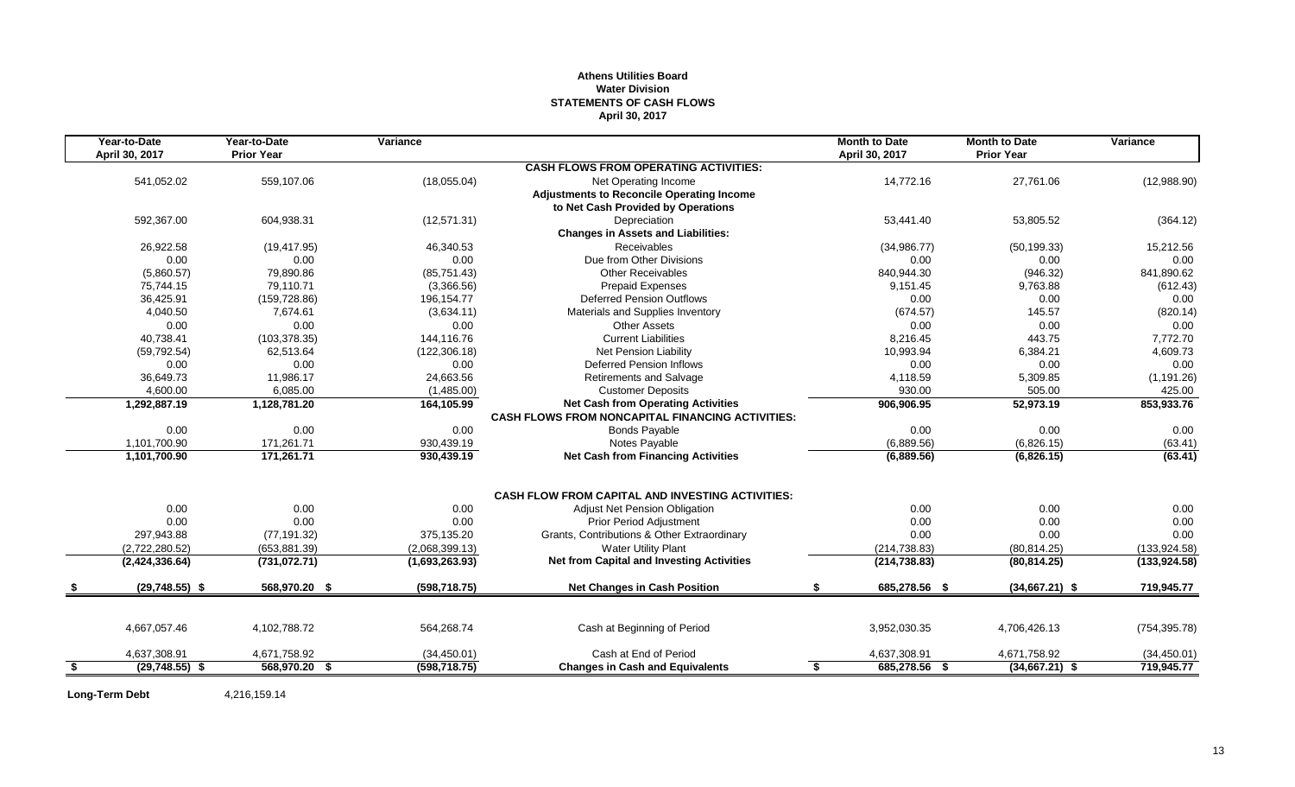## **Athens Utilities Board Water Division STATEMENTS OF CASH FLOWS April 30, 2017**

| Year-to-Date           | Year-to-Date      | Variance       |                                                         | <b>Month to Date</b> | <b>Month to Date</b> | Variance      |
|------------------------|-------------------|----------------|---------------------------------------------------------|----------------------|----------------------|---------------|
| April 30, 2017         | <b>Prior Year</b> |                |                                                         | April 30, 2017       | <b>Prior Year</b>    |               |
|                        |                   |                | <b>CASH FLOWS FROM OPERATING ACTIVITIES:</b>            |                      |                      |               |
| 541,052.02             | 559,107.06        | (18,055.04)    | Net Operating Income                                    | 14,772.16            | 27,761.06            | (12,988.90)   |
|                        |                   |                | <b>Adjustments to Reconcile Operating Income</b>        |                      |                      |               |
|                        |                   |                | to Net Cash Provided by Operations                      |                      |                      |               |
| 592,367.00             | 604,938.31        | (12, 571.31)   | Depreciation                                            | 53.441.40            | 53,805.52            | (364.12)      |
|                        |                   |                | <b>Changes in Assets and Liabilities:</b>               |                      |                      |               |
| 26,922.58              | (19, 417.95)      | 46.340.53      | <b>Receivables</b>                                      | (34,986.77)          | (50, 199.33)         | 15,212.56     |
| 0.00                   | 0.00              | 0.00           | Due from Other Divisions                                | 0.00                 | 0.00                 | 0.00          |
| (5,860.57)             | 79,890.86         | (85,751.43)    | <b>Other Receivables</b>                                | 840,944.30           | (946.32)             | 841,890.62    |
| 75,744.15              | 79,110.71         | (3,366.56)     | <b>Prepaid Expenses</b>                                 | 9,151.45             | 9,763.88             | (612.43)      |
| 36,425.91              | (159, 728.86)     | 196,154.77     | <b>Deferred Pension Outflows</b>                        | 0.00                 | 0.00                 | 0.00          |
| 4,040.50               | 7,674.61          | (3,634.11)     | Materials and Supplies Inventory                        | (674.57)             | 145.57               | (820.14)      |
| 0.00                   | 0.00              | 0.00           | Other Assets                                            | 0.00                 | 0.00                 | 0.00          |
| 40,738.41              | (103, 378.35)     | 144,116.76     | <b>Current Liabilities</b>                              | 8,216.45             | 443.75               | 7,772.70      |
| (59, 792.54)           | 62,513.64         | (122, 306.18)  | <b>Net Pension Liability</b>                            | 10,993.94            | 6,384.21             | 4,609.73      |
| 0.00                   | 0.00              | 0.00           | <b>Deferred Pension Inflows</b>                         | 0.00                 | 0.00                 | 0.00          |
| 36,649.73              | 11,986.17         | 24,663.56      | <b>Retirements and Salvage</b>                          | 4,118.59             | 5,309.85             | (1, 191.26)   |
| 4,600.00               | 6.085.00          | (1,485.00)     | <b>Customer Deposits</b>                                | 930.00               | 505.00               | 425.00        |
| 1,292,887.19           | 1,128,781.20      | 164,105.99     | <b>Net Cash from Operating Activities</b>               | 906,906.95           | 52,973.19            | 853,933.76    |
|                        |                   |                | <b>CASH FLOWS FROM NONCAPITAL FINANCING ACTIVITIES:</b> |                      |                      |               |
| 0.00                   | 0.00              | 0.00           | <b>Bonds Payable</b>                                    | 0.00                 | 0.00                 | 0.00          |
| 1,101,700.90           | 171,261.71        | 930,439.19     | Notes Payable                                           | (6,889.56)           | (6,826.15)           | (63.41)       |
| 1,101,700.90           | 171,261.71        | 930,439.19     | <b>Net Cash from Financing Activities</b>               | (6,889.56)           | (6,826.15)           | (63.41)       |
|                        |                   |                | <b>CASH FLOW FROM CAPITAL AND INVESTING ACTIVITIES:</b> |                      |                      |               |
| 0.00                   | 0.00              | 0.00           | Adjust Net Pension Obligation                           | 0.00                 | 0.00                 | 0.00          |
| 0.00                   | 0.00              | 0.00           | <b>Prior Period Adjustment</b>                          | 0.00                 | 0.00                 | 0.00          |
| 297,943.88             | (77, 191.32)      | 375,135.20     | Grants, Contributions & Other Extraordinary             | 0.00                 | 0.00                 | 0.00          |
| (2,722,280.52)         | (653, 881.39)     | (2,068,399.13) | <b>Water Utility Plant</b>                              | (214, 738.83)        | (80, 814.25)         | (133, 924.58) |
| (2,424,336.64)         | (731.072.71)      | (1,693,263.93) | <b>Net from Capital and Investing Activities</b>        | (214, 738.83)        | (80, 814.25)         | (133.924.58)  |
| $(29,748.55)$ \$       | 568,970.20 \$     | (598, 718.75)  | <b>Net Changes in Cash Position</b>                     | 685,278.56 \$<br>\$  | $(34,667.21)$ \$     | 719,945.77    |
|                        |                   |                |                                                         |                      |                      |               |
| 4,667,057.46           | 4,102,788.72      | 564,268.74     | Cash at Beginning of Period                             | 3,952,030.35         | 4,706,426.13         | (754, 395.78) |
| 4,637,308.91           | 4,671,758.92      | (34, 450.01)   | Cash at End of Period                                   | 4,637,308.91         | 4,671,758.92         | (34, 450.01)  |
| \$<br>$(29,748.55)$ \$ | 568,970.20 \$     | (598, 718.75)  | <b>Changes in Cash and Equivalents</b>                  | 685,278.56 \$<br>\$  | $(34,667.21)$ \$     | 719,945.77    |

**Long-Term Debt** 4,216,159.14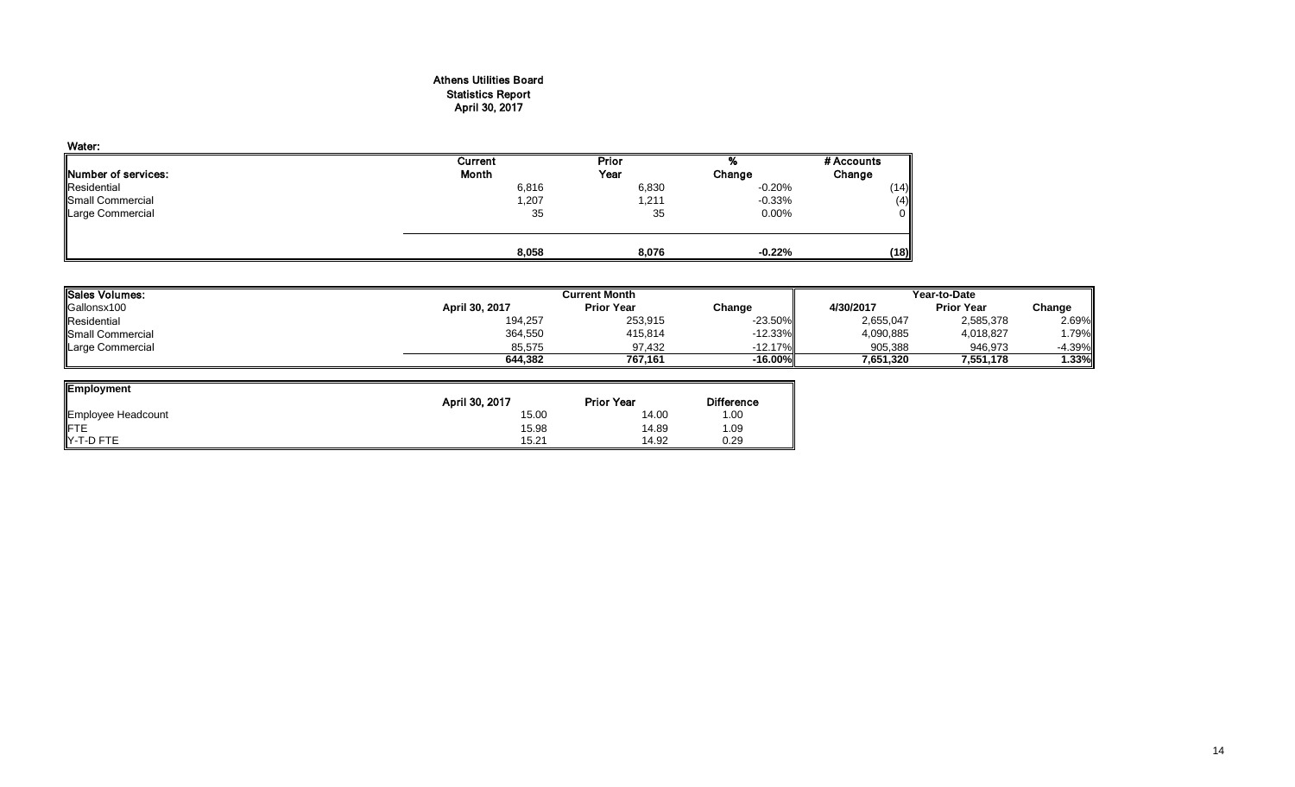## Athens Utilities Board Statistics Report April 30, 2017

| Water:                      |         |       |           |            |
|-----------------------------|---------|-------|-----------|------------|
|                             | Current | Prior | 70        | # Accounts |
| <b>INumber of services:</b> | Month   | Year  | Change    | Change     |
| Residential                 | 6,816   | 6,830 | $-0.20%$  | (14)       |
| <b>Small Commercial</b>     | 1,207   | 1,211 | $-0.33\%$ | (4)        |
| Large Commercial            | 35      | 35    | $0.00\%$  | 0          |
|                             | 8,058   | 8,076 | $-0.22%$  | (18)       |

| Sales Volumes:   |                | Current Month     | Year-to-Date |           |                   |           |
|------------------|----------------|-------------------|--------------|-----------|-------------------|-----------|
| Gallonsx100      | April 30, 2017 | <b>Prior Year</b> | Change       | 4/30/2017 | <b>Prior Year</b> | Change    |
| Residential      | 194,257        | 253,915           | $-23.50\%$   | 2,655,047 | 2,585,378         | 2.69%     |
| Small Commercial | 364,550        | 415,814           | $-12.33\%$   | 4,090,885 | 4,018,827         | .79%      |
| Large Commercial | 85.575         | 97.432            | $-12.17\%$   | 905.388   | 946.973           | $-4.39\%$ |
|                  | 644.382        | 767.161           | -16.00%      | 7.651.320 | 7,551,178         | 1.33%     |

| Employment         |                |                   |                   |
|--------------------|----------------|-------------------|-------------------|
|                    | April 30, 2017 | <b>Prior Year</b> | <b>Difference</b> |
| Employee Headcount | 15.00          | 14.00             | .00               |
|                    | 15.98          | 14.89             | .09               |
| Y-T-D FTE          | 15.21          | 14.92             | 0.29              |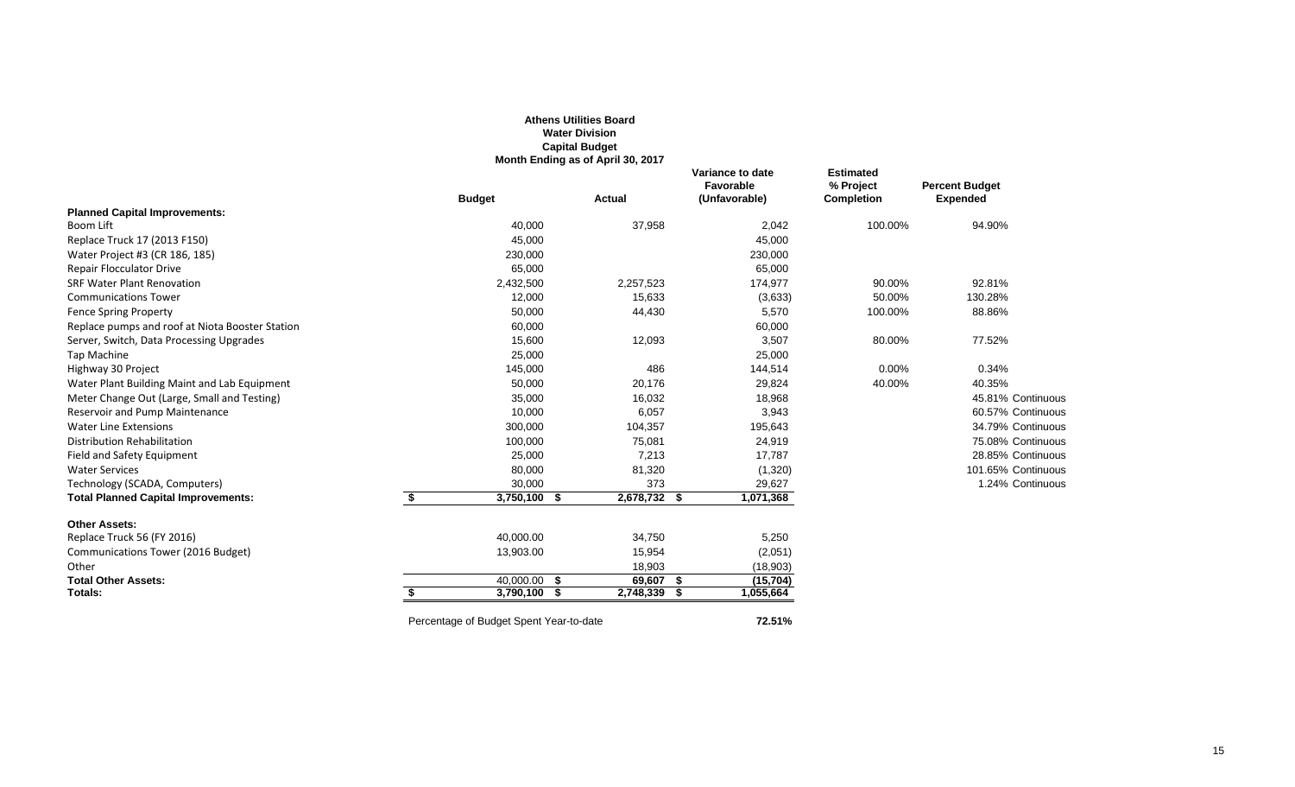|                                                 |                                         | <b>Athens Utilities Board</b><br><b>Water Division</b><br><b>Capital Budget</b><br>Month Ending as of April 30, 2017 |                                                |                                                    |                                          |
|-------------------------------------------------|-----------------------------------------|----------------------------------------------------------------------------------------------------------------------|------------------------------------------------|----------------------------------------------------|------------------------------------------|
|                                                 | <b>Budget</b>                           | <b>Actual</b>                                                                                                        | Variance to date<br>Favorable<br>(Unfavorable) | <b>Estimated</b><br>% Project<br><b>Completion</b> | <b>Percent Budget</b><br><b>Expended</b> |
| <b>Planned Capital Improvements:</b>            |                                         |                                                                                                                      |                                                |                                                    |                                          |
| Boom Lift                                       | 40,000                                  | 37,958                                                                                                               | 2,042                                          | 100.00%                                            | 94.90%                                   |
| Replace Truck 17 (2013 F150)                    | 45,000                                  |                                                                                                                      | 45,000                                         |                                                    |                                          |
| Water Project #3 (CR 186, 185)                  | 230,000                                 |                                                                                                                      | 230,000                                        |                                                    |                                          |
| <b>Repair Flocculator Drive</b>                 | 65,000                                  |                                                                                                                      | 65,000                                         |                                                    |                                          |
| <b>SRF Water Plant Renovation</b>               | 2,432,500                               | 2,257,523                                                                                                            | 174,977                                        | 90.00%                                             | 92.81%                                   |
| <b>Communications Tower</b>                     | 12,000                                  | 15,633                                                                                                               | (3,633)                                        | 50.00%                                             | 130.28%                                  |
| <b>Fence Spring Property</b>                    | 50,000                                  | 44,430                                                                                                               | 5,570                                          | 100.00%                                            | 88.86%                                   |
| Replace pumps and roof at Niota Booster Station | 60,000                                  |                                                                                                                      | 60,000                                         |                                                    |                                          |
| Server, Switch, Data Processing Upgrades        | 15,600                                  | 12,093                                                                                                               | 3,507                                          | 80.00%                                             | 77.52%                                   |
| <b>Tap Machine</b>                              | 25,000                                  |                                                                                                                      | 25,000                                         |                                                    |                                          |
| Highway 30 Project                              | 145,000                                 | 486                                                                                                                  | 144,514                                        | $0.00\%$                                           | 0.34%                                    |
| Water Plant Building Maint and Lab Equipment    | 50,000                                  | 20,176                                                                                                               | 29,824                                         | 40.00%                                             | 40.35%                                   |
| Meter Change Out (Large, Small and Testing)     | 35,000                                  | 16,032                                                                                                               | 18,968                                         |                                                    | 45.81% Continuous                        |
| Reservoir and Pump Maintenance                  | 10,000                                  | 6,057                                                                                                                | 3,943                                          |                                                    | 60.57% Continuous                        |
| <b>Water Line Extensions</b>                    | 300,000                                 | 104,357                                                                                                              | 195,643                                        |                                                    | 34.79% Continuous                        |
| <b>Distribution Rehabilitation</b>              | 100,000                                 | 75,081                                                                                                               | 24,919                                         |                                                    | 75.08% Continuous                        |
| Field and Safety Equipment                      | 25,000                                  | 7,213                                                                                                                | 17,787                                         |                                                    | 28.85% Continuous                        |
| <b>Water Services</b>                           | 80,000                                  | 81,320                                                                                                               | (1,320)                                        |                                                    | 101.65% Continuous                       |
| Technology (SCADA, Computers)                   | 30,000                                  | 373                                                                                                                  | 29,627                                         |                                                    | 1.24% Continuous                         |
| <b>Total Planned Capital Improvements:</b>      | \$<br>3,750,100 \$                      | $2,678,732$ \$                                                                                                       | 1,071,368                                      |                                                    |                                          |
| <b>Other Assets:</b>                            |                                         |                                                                                                                      |                                                |                                                    |                                          |
| Replace Truck 56 (FY 2016)                      | 40,000.00                               | 34,750                                                                                                               | 5,250                                          |                                                    |                                          |
| Communications Tower (2016 Budget)              | 13,903.00                               | 15,954                                                                                                               | (2,051)                                        |                                                    |                                          |
| Other                                           |                                         | 18,903                                                                                                               | (18,903)                                       |                                                    |                                          |
| <b>Total Other Assets:</b>                      | $40,000.00$ \$                          | 69,607 \$                                                                                                            | (15, 704)                                      |                                                    |                                          |
| Totals:                                         | $3,790,100$ \$<br>£.                    | 2,748,339<br>- \$                                                                                                    | 1,055,664                                      |                                                    |                                          |
|                                                 | Percentage of Budget Spent Year-to-date |                                                                                                                      | 72.51%                                         |                                                    |                                          |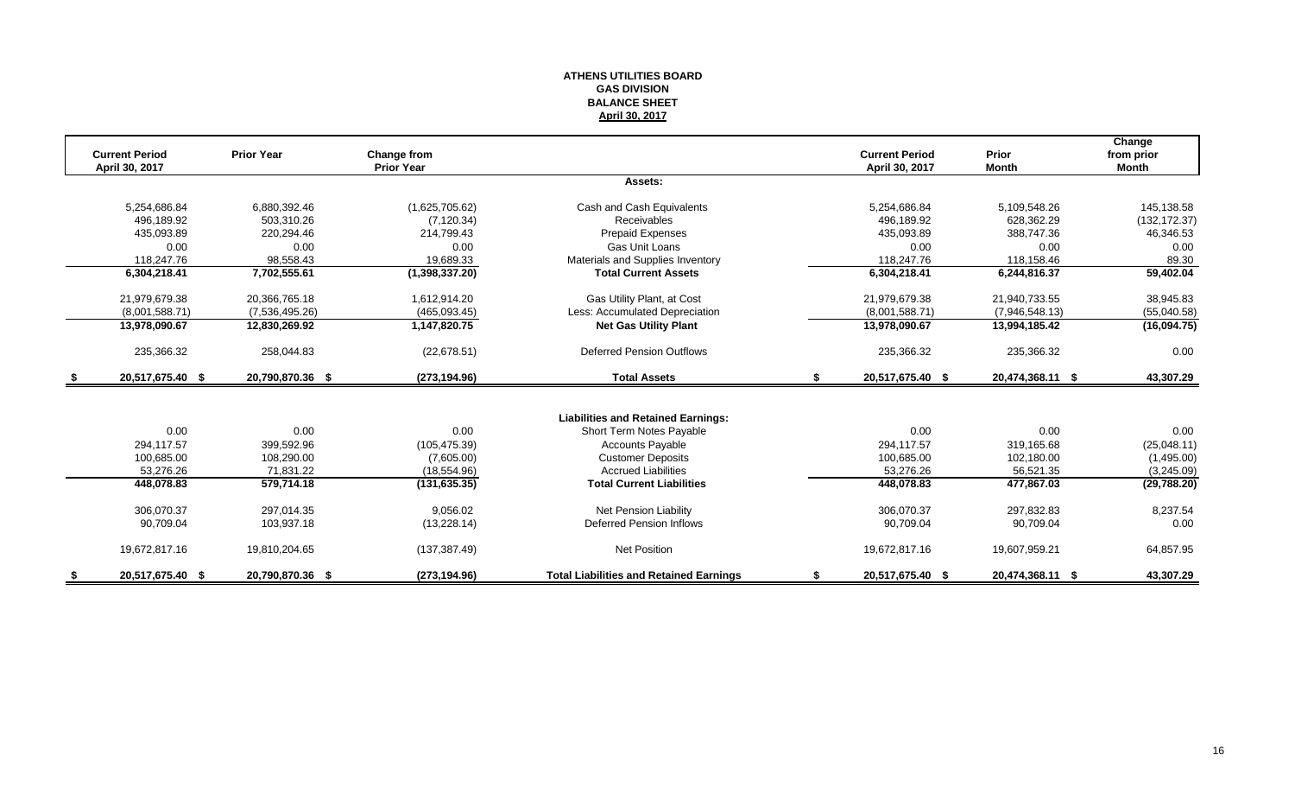#### **ATHENS UTILITIES BOARD GAS DIVISION BALANCE SHEET April 30, 2017**

|      | <b>Current Period</b> | <b>Prior Year</b> | Change from       |                                                |    | <b>Current Period</b> | <b>Prior</b>     | Change<br>from prior |
|------|-----------------------|-------------------|-------------------|------------------------------------------------|----|-----------------------|------------------|----------------------|
|      | April 30, 2017        |                   | <b>Prior Year</b> |                                                |    | April 30, 2017        | <b>Month</b>     | Month                |
|      |                       |                   |                   | Assets:                                        |    |                       |                  |                      |
|      | 5,254,686.84          | 6,880,392.46      | (1,625,705.62)    | Cash and Cash Equivalents                      |    | 5,254,686.84          | 5,109,548.26     | 145,138.58           |
|      | 496.189.92            | 503.310.26        | (7, 120.34)       | Receivables                                    |    | 496.189.92            | 628.362.29       | (132, 172.37)        |
|      | 435,093.89            | 220,294.46        | 214,799.43        | Prepaid Expenses                               |    | 435,093.89            | 388,747.36       | 46,346.53            |
|      | 0.00                  | 0.00              | 0.00              | Gas Unit Loans                                 |    | 0.00                  | 0.00             | 0.00                 |
|      | 118.247.76            | 98,558.43         | 19,689.33         | Materials and Supplies Inventory               |    | 118,247.76            | 118.158.46       | 89.30                |
|      | 6,304,218.41          | 7,702,555.61      | (1,398,337.20)    | <b>Total Current Assets</b>                    |    | 6,304,218.41          | 6,244,816.37     | 59,402.04            |
|      | 21,979,679.38         | 20,366,765.18     | 1,612,914.20      | Gas Utility Plant, at Cost                     |    | 21,979,679.38         | 21,940,733.55    | 38,945.83            |
|      | (8,001,588.71)        | (7,536,495.26)    | (465,093.45)      | Less: Accumulated Depreciation                 |    | (8,001,588.71)        | (7,946,548.13)   | (55,040.58)          |
|      | 13,978,090.67         | 12,830,269.92     | 1,147,820.75      | <b>Net Gas Utility Plant</b>                   |    | 13,978,090.67         | 13,994,185.42    | (16,094.75)          |
|      | 235,366.32            | 258,044.83        | (22,678.51)       | <b>Deferred Pension Outflows</b>               |    | 235,366.32            | 235,366.32       | 0.00                 |
| - \$ | 20,517,675.40 \$      | 20,790,870.36 \$  | (273, 194.96)     | <b>Total Assets</b>                            | S. | 20,517,675.40 \$      | 20,474,368.11 \$ | 43,307.29            |
|      |                       |                   |                   |                                                |    |                       |                  |                      |
|      |                       |                   |                   | <b>Liabilities and Retained Earnings:</b>      |    |                       |                  |                      |
|      | 0.00                  | 0.00              | 0.00              | Short Term Notes Payable                       |    | 0.00                  | 0.00             | 0.00                 |
|      | 294.117.57            | 399,592.96        | (105, 475.39)     | <b>Accounts Payable</b>                        |    | 294,117.57            | 319,165.68       | (25,048.11)          |
|      | 100.685.00            | 108,290.00        | (7,605.00)        | <b>Customer Deposits</b>                       |    | 100,685.00            | 102,180.00       | (1,495.00)           |
|      | 53,276.26             | 71,831.22         | (18,554.96)       | <b>Accrued Liabilities</b>                     |    | 53,276.26             | 56,521.35        | (3,245.09)           |
|      | 448,078.83            | 579,714.18        | (131, 635.35)     | <b>Total Current Liabilities</b>               |    | 448,078.83            | 477,867.03       | (29,788.20)          |
|      | 306,070.37            | 297,014.35        | 9,056.02          | <b>Net Pension Liability</b>                   |    | 306,070.37            | 297,832.83       | 8,237.54             |
|      | 90.709.04             | 103,937.18        | (13, 228.14)      | <b>Deferred Pension Inflows</b>                |    | 90,709.04             | 90,709.04        | 0.00                 |
|      | 19,672,817.16         | 19,810,204.65     | (137, 387.49)     | <b>Net Position</b>                            |    | 19,672,817.16         | 19,607,959.21    | 64,857.95            |
|      | 20,517,675.40 \$      | 20,790,870.36 \$  | (273, 194.96)     | <b>Total Liabilities and Retained Earnings</b> |    | 20,517,675.40 \$      | 20,474,368.11 \$ | 43,307.29            |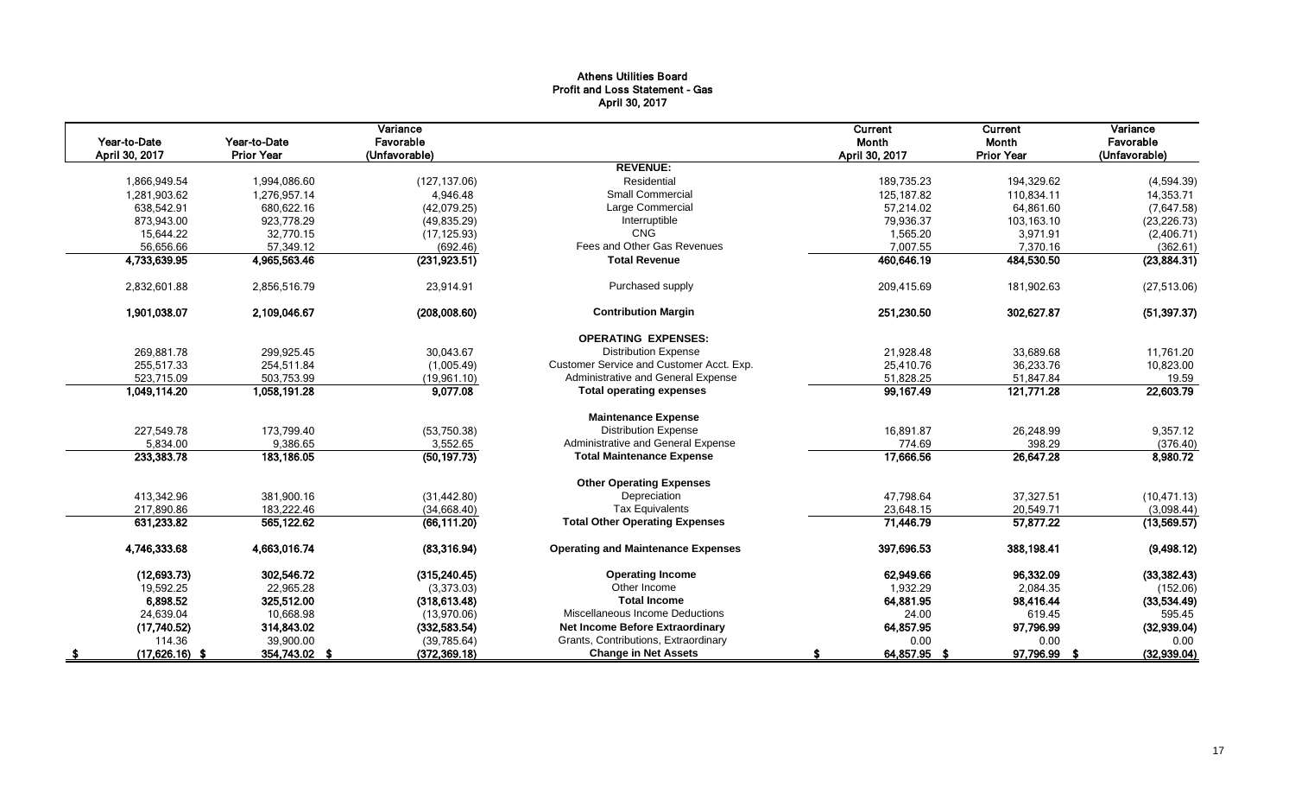## Athens Utilities Board Profit and Loss Statement - Gas April 30, 2017

|      | Year-to-Date<br>April 30, 2017 | Year-to-Date<br><b>Prior Year</b> | Variance<br>Favorable<br>(Unfavorable) |                                           | Current<br>Month<br>April 30, 2017 | Current<br>Month<br><b>Prior Year</b> | Variance<br>Favorable<br>(Unfavorable) |
|------|--------------------------------|-----------------------------------|----------------------------------------|-------------------------------------------|------------------------------------|---------------------------------------|----------------------------------------|
|      |                                |                                   |                                        | <b>REVENUE:</b>                           |                                    |                                       |                                        |
|      | 1.866.949.54                   | 1.994.086.60                      | (127, 137.06)                          | Residential                               | 189.735.23                         | 194.329.62                            | (4,594.39)                             |
|      | 1,281,903.62                   | 1,276,957.14                      | 4,946.48                               | <b>Small Commercial</b>                   | 125, 187.82                        | 110,834.11                            | 14,353.71                              |
|      | 638,542.91                     | 680,622.16                        | (42,079.25)                            | Large Commercial                          | 57,214.02                          | 64,861.60                             | (7,647.58)                             |
|      | 873,943.00                     | 923,778.29                        | (49, 835.29)                           | Interruptible                             | 79,936.37                          | 103,163.10                            | (23, 226.73)                           |
|      | 15,644.22                      | 32.770.15                         | (17, 125.93)                           | <b>CNG</b>                                | 1,565.20                           | 3,971.91                              | (2,406.71)                             |
|      | 56,656.66                      | 57,349.12                         | (692.46)                               | Fees and Other Gas Revenues               | 7,007.55                           | 7,370.16                              | (362.61)                               |
|      | 4,733,639.95                   | 4,965,563.46                      | (231, 923.51)                          | <b>Total Revenue</b>                      | 460,646.19                         | 484,530.50                            | (23,884.31)                            |
|      | 2,832,601.88                   | 2,856,516.79                      | 23,914.91                              | Purchased supply                          | 209,415.69                         | 181,902.63                            | (27, 513.06)                           |
|      | 1,901,038.07                   | 2,109,046.67                      | (208,008.60)                           | <b>Contribution Margin</b>                | 251,230.50                         | 302,627.87                            | (51, 397.37)                           |
|      |                                |                                   |                                        | <b>OPERATING EXPENSES:</b>                |                                    |                                       |                                        |
|      | 269,881.78                     | 299,925.45                        | 30,043.67                              | <b>Distribution Expense</b>               | 21,928.48                          | 33,689.68                             | 11,761.20                              |
|      | 255,517.33                     | 254,511.84                        | (1,005.49)                             | Customer Service and Customer Acct. Exp.  | 25,410.76                          | 36,233.76                             | 10,823.00                              |
|      | 523,715.09                     | 503,753.99                        | (19,961.10)                            | Administrative and General Expense        | 51,828.25                          | 51,847.84                             | 19.59                                  |
|      | 1,049,114.20                   | 1,058,191.28                      | 9,077.08                               | <b>Total operating expenses</b>           | 99,167.49                          | 121,771.28                            | 22,603.79                              |
|      |                                |                                   |                                        | <b>Maintenance Expense</b>                |                                    |                                       |                                        |
|      | 227,549.78                     | 173,799.40                        | (53,750.38)                            | <b>Distribution Expense</b>               | 16,891.87                          | 26,248.99                             | 9,357.12                               |
|      | 5,834.00                       | 9,386.65                          | 3,552.65                               | Administrative and General Expense        | 774.69                             | 398.29                                | (376.40)                               |
|      | 233,383.78                     | 183,186.05                        | (50, 197.73)                           | <b>Total Maintenance Expense</b>          | 17,666.56                          | 26,647.28                             | 8,980.72                               |
|      |                                |                                   |                                        | <b>Other Operating Expenses</b>           |                                    |                                       |                                        |
|      | 413,342.96                     | 381,900.16                        | (31, 442.80)                           | Depreciation                              | 47,798.64                          | 37,327.51                             | (10, 471.13)                           |
|      | 217,890.86                     | 183,222.46                        | (34,668.40)                            | <b>Tax Equivalents</b>                    | 23,648.15                          | 20,549.71                             | (3,098.44)                             |
|      | 631,233.82                     | 565,122.62                        | (66, 111.20)                           | <b>Total Other Operating Expenses</b>     | 71,446.79                          | 57,877.22                             | (13,569.57)                            |
|      | 4,746,333.68                   | 4,663,016.74                      | (83, 316.94)                           | <b>Operating and Maintenance Expenses</b> | 397,696.53                         | 388,198.41                            | (9,498.12)                             |
|      | (12,693.73)                    | 302.546.72                        | (315, 240.45)                          | <b>Operating Income</b>                   | 62.949.66                          | 96.332.09                             | (33, 382.43)                           |
|      | 19,592.25                      | 22,965.28                         | (3,373.03)                             | Other Income                              | 1,932.29                           | 2,084.35                              | (152.06)                               |
|      | 6,898.52                       | 325,512.00                        | (318, 613.48)                          | <b>Total Income</b>                       | 64,881.95                          | 98,416.44                             | (33,534.49)                            |
|      | 24,639.04                      | 10,668.98                         | (13,970.06)                            | Miscellaneous Income Deductions           | 24.00                              | 619.45                                | 595.45                                 |
|      | (17,740.52)                    | 314,843.02                        | (332, 583.54)                          | <b>Net Income Before Extraordinary</b>    | 64,857.95                          | 97,796.99                             | (32,939.04)                            |
|      | 114.36                         | 39,900.00                         | (39, 785.64)                           | Grants, Contributions, Extraordinary      | 0.00                               | 0.00                                  | 0.00                                   |
| - 35 | $(17,626.16)$ \$               | 354,743.02 \$                     | (372, 369.18)                          | <b>Change in Net Assets</b>               | 64,857.95 \$                       | 97,796.99 \$                          | (32,939.04)                            |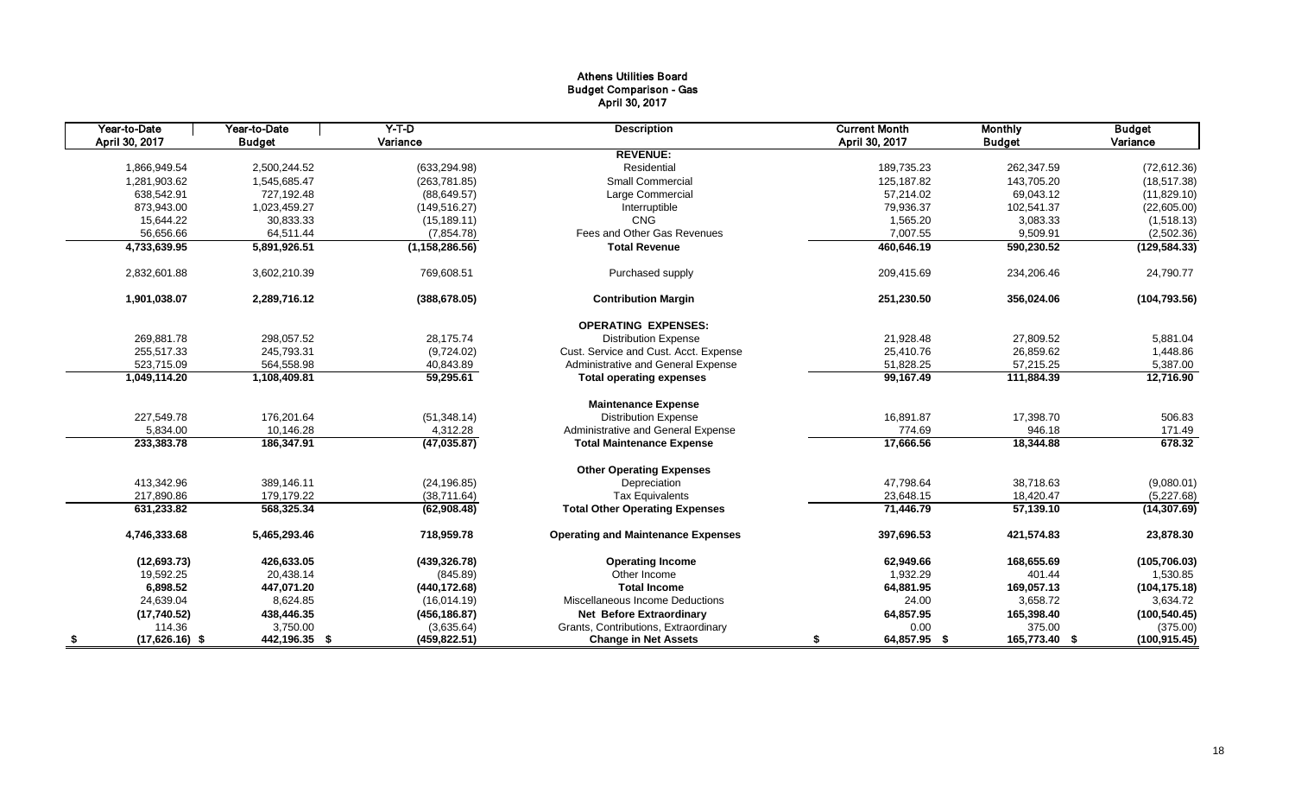## Athens Utilities Board Budget Comparison - Gas April 30, 2017

| Year-to-Date           | Year-to-Date  | $Y-T-D$          | <b>Description</b>                        | <b>Current Month</b> | <b>Monthly</b> | <b>Budget</b> |
|------------------------|---------------|------------------|-------------------------------------------|----------------------|----------------|---------------|
| April 30, 2017         | <b>Budget</b> | Variance         |                                           | April 30, 2017       | <b>Budget</b>  | Variance      |
|                        |               |                  | <b>REVENUE:</b>                           |                      |                |               |
| 1,866,949.54           | 2,500,244.52  | (633, 294.98)    | Residential                               | 189,735.23           | 262,347.59     | (72, 612.36)  |
| 1,281,903.62           | 1,545,685.47  | (263, 781.85)    | <b>Small Commercial</b>                   | 125,187.82           | 143,705.20     | (18, 517.38)  |
| 638,542.91             | 727,192.48    | (88, 649.57)     | Large Commercial                          | 57,214.02            | 69,043.12      | (11,829.10)   |
| 873,943.00             | 1,023,459.27  | (149, 516.27)    | Interruptible                             | 79,936.37            | 102,541.37     | (22,605.00)   |
| 15,644.22              | 30,833.33     | (15, 189.11)     | <b>CNG</b>                                | 1,565.20             | 3,083.33       | (1,518.13)    |
| 56,656.66              | 64,511.44     | (7,854.78)       | Fees and Other Gas Revenues               | 7,007.55             | 9,509.91       | (2,502.36)    |
| 4,733,639.95           | 5,891,926.51  | (1, 158, 286.56) | <b>Total Revenue</b>                      | 460,646.19           | 590,230.52     | (129, 584.33) |
| 2,832,601.88           | 3,602,210.39  | 769,608.51       | Purchased supply                          | 209,415.69           | 234,206.46     | 24,790.77     |
| 1,901,038.07           | 2,289,716.12  | (388, 678.05)    | <b>Contribution Margin</b>                | 251,230.50           | 356,024.06     | (104, 793.56) |
|                        |               |                  | <b>OPERATING EXPENSES:</b>                |                      |                |               |
| 269,881.78             | 298,057.52    | 28,175.74        | <b>Distribution Expense</b>               | 21,928.48            | 27,809.52      | 5,881.04      |
| 255,517.33             | 245,793.31    | (9,724.02)       | Cust. Service and Cust. Acct. Expense     | 25,410.76            | 26,859.62      | 1,448.86      |
| 523,715.09             | 564,558.98    | 40,843.89        | Administrative and General Expense        | 51,828.25            | 57,215.25      | 5,387.00      |
| 1,049,114.20           | 1,108,409.81  | 59,295.61        | <b>Total operating expenses</b>           | 99,167.49            | 111,884.39     | 12,716.90     |
|                        |               |                  | <b>Maintenance Expense</b>                |                      |                |               |
| 227,549.78             | 176,201.64    | (51, 348.14)     | <b>Distribution Expense</b>               | 16,891.87            | 17,398.70      | 506.83        |
| 5,834.00               | 10,146.28     | 4,312.28         | Administrative and General Expense        | 774.69               | 946.18         | 171.49        |
| 233,383.78             | 186,347.91    | (47, 035.87)     | <b>Total Maintenance Expense</b>          | 17,666.56            | 18,344.88      | 678.32        |
|                        |               |                  | <b>Other Operating Expenses</b>           |                      |                |               |
| 413,342.96             | 389,146.11    | (24, 196.85)     | Depreciation                              | 47,798.64            | 38,718.63      | (9,080.01)    |
| 217,890.86             | 179,179.22    | (38,711.64)      | <b>Tax Equivalents</b>                    | 23,648.15            | 18,420.47      | (5,227.68)    |
| 631,233.82             | 568,325.34    | (62,908.48)      | <b>Total Other Operating Expenses</b>     | 71,446.79            | 57,139.10      | (14, 307.69)  |
| 4,746,333.68           | 5,465,293.46  | 718,959.78       | <b>Operating and Maintenance Expenses</b> | 397,696.53           | 421,574.83     | 23,878.30     |
| (12,693.73)            | 426,633.05    | (439, 326.78)    | <b>Operating Income</b>                   | 62,949.66            | 168,655.69     | (105, 706.03) |
| 19,592.25              | 20,438.14     | (845.89)         | Other Income                              | 1,932.29             | 401.44         | 1,530.85      |
| 6,898.52               | 447,071.20    | (440, 172.68)    | <b>Total Income</b>                       | 64,881.95            | 169,057.13     | (104, 175.18) |
| 24,639.04              | 8,624.85      | (16,014.19)      | Miscellaneous Income Deductions           | 24.00                | 3,658.72       | 3,634.72      |
| (17,740.52)            | 438,446.35    | (456, 186.87)    | <b>Net Before Extraordinary</b>           | 64,857.95            | 165,398.40     | (100, 540.45) |
| 114.36                 | 3,750.00      | (3,635.64)       | Grants, Contributions, Extraordinary      | 0.00                 | 375.00         | (375.00)      |
| \$<br>$(17,626.16)$ \$ | 442,196.35 \$ | (459, 822.51)    | <b>Change in Net Assets</b>               | 64,857.95 \$<br>\$   | 165,773.40 \$  | (100, 915.45) |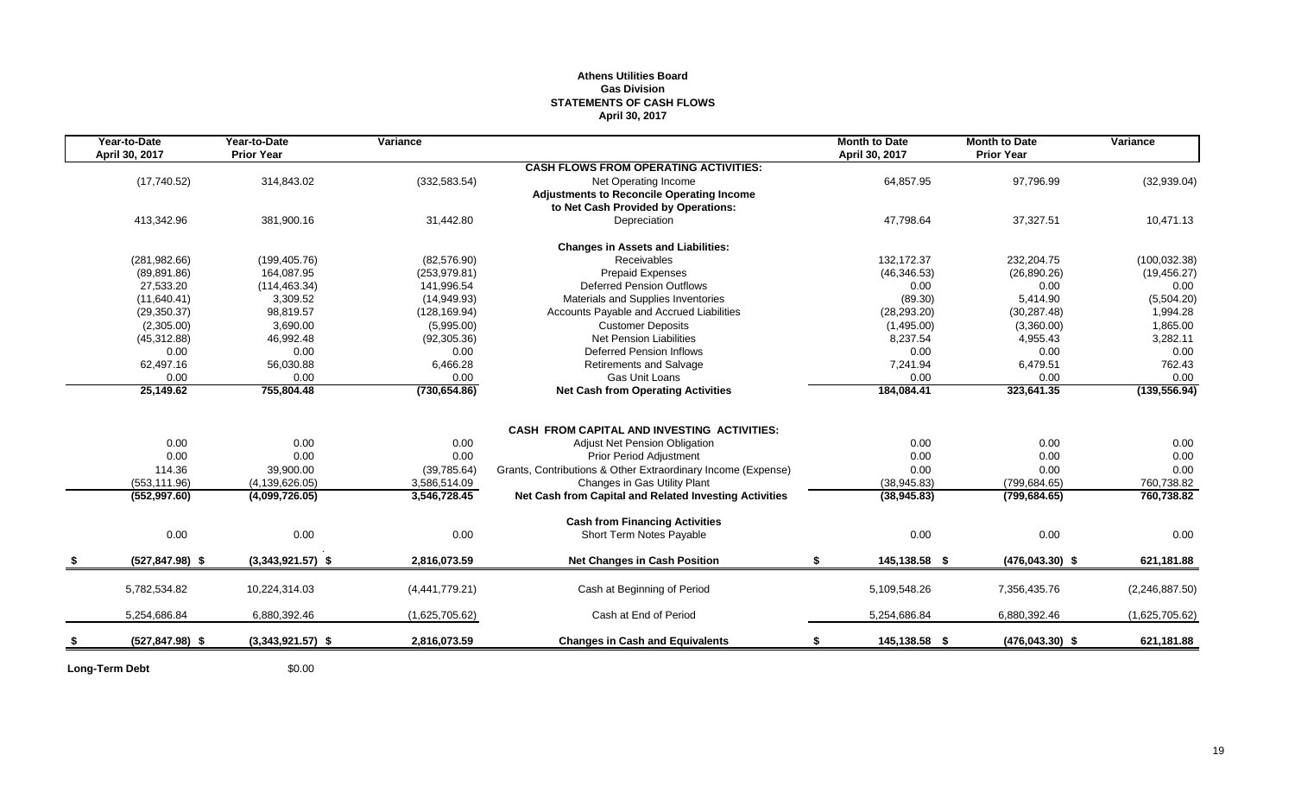## **Athens Utilities Board Gas Division STATEMENTS OF CASH FLOWS April 30, 2017**

| Year-to-Date<br>April 30, 2017 | Year-to-Date<br><b>Prior Year</b> | Variance       |                                                              | <b>Month to Date</b><br>April 30, 2017 | <b>Month to Date</b><br><b>Prior Year</b> | Variance       |
|--------------------------------|-----------------------------------|----------------|--------------------------------------------------------------|----------------------------------------|-------------------------------------------|----------------|
|                                |                                   |                | <b>CASH FLOWS FROM OPERATING ACTIVITIES:</b>                 |                                        |                                           |                |
| (17,740.52)                    | 314,843.02                        | (332, 583.54)  | Net Operating Income                                         | 64,857.95                              | 97,796.99                                 | (32,939.04)    |
|                                |                                   |                | <b>Adjustments to Reconcile Operating Income</b>             |                                        |                                           |                |
|                                |                                   |                | to Net Cash Provided by Operations:                          |                                        |                                           |                |
| 413,342.96                     | 381,900.16                        | 31,442.80      | Depreciation                                                 | 47,798.64                              | 37,327.51                                 | 10,471.13      |
|                                |                                   |                | <b>Changes in Assets and Liabilities:</b>                    |                                        |                                           |                |
| (281, 982.66)                  | (199, 405.76)                     | (82, 576.90)   | <b>Receivables</b>                                           | 132.172.37                             | 232,204.75                                | (100, 032.38)  |
| (89, 891.86)                   | 164,087.95                        | (253, 979.81)  | <b>Prepaid Expenses</b>                                      | (46, 346.53)                           | (26, 890.26)                              | (19, 456.27)   |
| 27,533.20                      | (114, 463.34)                     | 141,996.54     | <b>Deferred Pension Outflows</b>                             | 0.00                                   | 0.00                                      | 0.00           |
| (11,640.41)                    | 3,309.52                          | (14,949.93)    | Materials and Supplies Inventories                           | (89.30)                                | 5,414.90                                  | (5,504.20)     |
| (29, 350.37)                   | 98,819.57                         | (128, 169.94)  | Accounts Payable and Accrued Liabilities                     | (28, 293.20)                           | (30, 287.48)                              | 1,994.28       |
| (2,305.00)                     | 3,690.00                          | (5,995.00)     | <b>Customer Deposits</b>                                     | (1,495.00)                             | (3,360.00)                                | 1,865.00       |
| (45, 312.88)                   | 46,992.48                         | (92, 305.36)   | <b>Net Pension Liabilities</b>                               | 8,237.54                               | 4,955.43                                  | 3,282.11       |
| 0.00                           | 0.00                              | 0.00           | Deferred Pension Inflows                                     | 0.00                                   | 0.00                                      | 0.00           |
| 62,497.16                      | 56,030.88                         | 6,466.28       | <b>Retirements and Salvage</b>                               | 7,241.94                               | 6,479.51                                  | 762.43         |
| 0.00                           | 0.00                              | 0.00           | Gas Unit Loans                                               | 0.00                                   | 0.00                                      | 0.00           |
| 25,149.62                      | 755,804.48                        | (730, 654.86)  | <b>Net Cash from Operating Activities</b>                    | 184,084.41                             | 323,641.35                                | (139, 556.94)  |
|                                |                                   |                |                                                              |                                        |                                           |                |
|                                |                                   |                | <b>CASH FROM CAPITAL AND INVESTING ACTIVITIES:</b>           |                                        |                                           |                |
| 0.00                           | 0.00                              | 0.00           | Adjust Net Pension Obligation                                | 0.00                                   | 0.00                                      | 0.00           |
| 0.00                           | 0.00                              | 0.00           | <b>Prior Period Adjustment</b>                               | 0.00                                   | 0.00                                      | 0.00           |
| 114.36                         | 39,900.00                         | (39, 785.64)   | Grants, Contributions & Other Extraordinary Income (Expense) | 0.00                                   | 0.00                                      | 0.00           |
| (553, 111.96)                  | (4, 139, 626.05)                  | 3,586,514.09   | Changes in Gas Utility Plant                                 | (38, 945.83)                           | (799, 684.65)                             | 760,738.82     |
| (552, 997.60)                  | (4,099,726.05)                    | 3,546,728.45   | Net Cash from Capital and Related Investing Activities       | (38, 945.83)                           | (799, 684.65)                             | 760,738.82     |
|                                |                                   |                | <b>Cash from Financing Activities</b>                        |                                        |                                           |                |
| 0.00                           | 0.00                              | 0.00           | Short Term Notes Payable                                     | 0.00                                   | 0.00                                      | 0.00           |
| $(527, 847.98)$ \$             | $(3,343,921.57)$ \$               | 2,816,073.59   | <b>Net Changes in Cash Position</b>                          | \$<br>145,138.58 \$                    | $(476, 043.30)$ \$                        | 621,181.88     |
| 5,782,534.82                   | 10,224,314.03                     | (4,441,779.21) | Cash at Beginning of Period                                  | 5,109,548.26                           | 7,356,435.76                              | (2,246,887.50) |
| 5,254,686.84                   | 6,880,392.46                      | (1,625,705.62) | Cash at End of Period                                        | 5,254,686.84                           | 6,880,392.46                              | (1,625,705.62) |
|                                |                                   |                |                                                              |                                        |                                           |                |
| $(527, 847.98)$ \$             | $(3,343,921.57)$ \$               | 2,816,073.59   | <b>Changes in Cash and Equivalents</b>                       | 145,138.58 \$                          | $(476, 043.30)$ \$                        | 621,181.88     |
|                                |                                   |                |                                                              |                                        |                                           |                |

Long-Term Debt  $$0.00$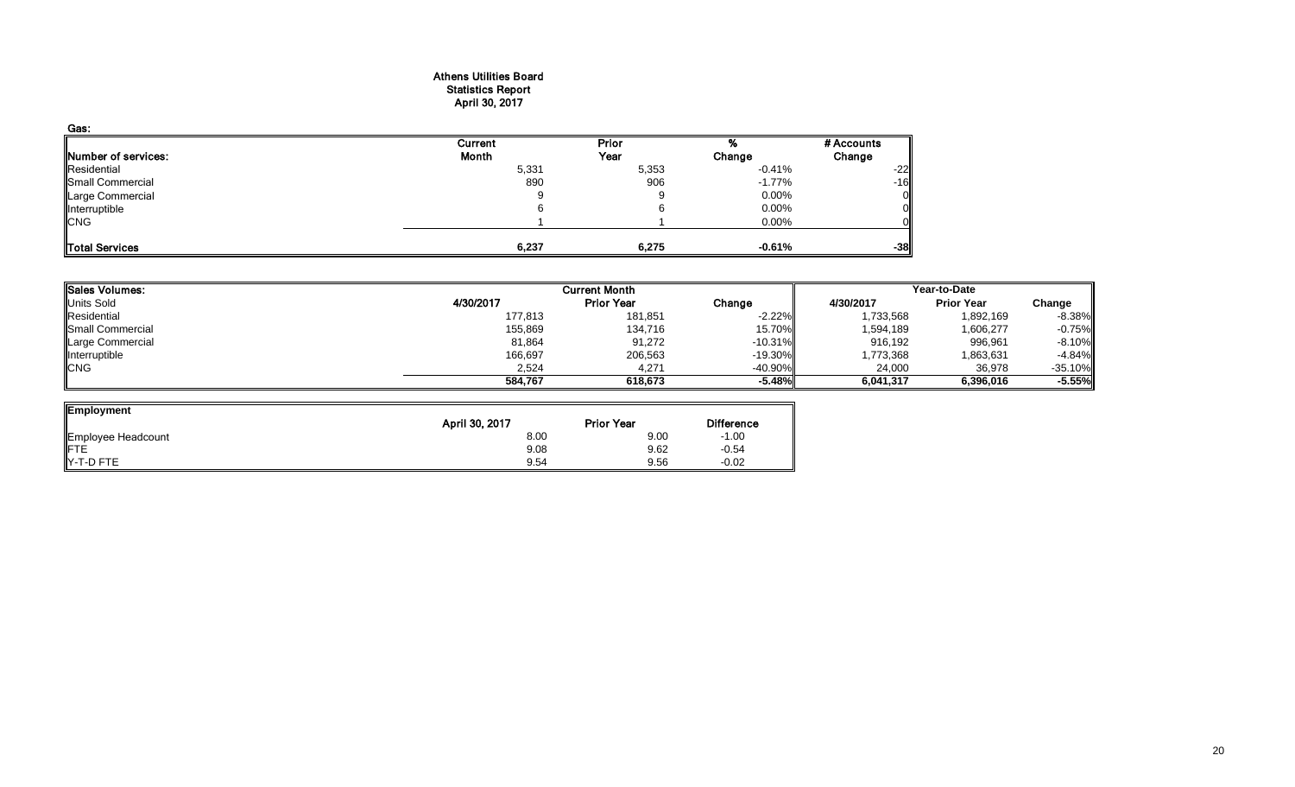#### Athens Utilities Board Statistics Report April 30, 2017

| Gas:                |         |       |           |            |
|---------------------|---------|-------|-----------|------------|
|                     | Current | Prior |           | # Accounts |
| Number of services: | Month   | Year  | Change    | Change     |
| Residential         | 5,331   | 5,353 | $-0.41%$  | $-22$      |
| Small Commercial    | 890     | 906   | $-1.77\%$ | $-16$      |
| Large Commercial    | J.      | 9     | $0.00\%$  |            |
| Interruptible       |         |       | $0.00\%$  |            |
| <b>CNG</b>          |         |       | $0.00\%$  |            |
| Total Services      | 6,237   | 6,275 | $-0.61%$  | $-38$      |

| 4/30/2017<br>177,813<br>155,869 | <b>Prior Year</b><br>181,851<br>134,716 | Change<br>$-2.22\%$<br>15.70% | 4/30/2017<br>1,733,568<br>1,594,189 | <b>Prior Year</b><br>1,892,169                   | Change<br>$-8.38%$ |
|---------------------------------|-----------------------------------------|-------------------------------|-------------------------------------|--------------------------------------------------|--------------------|
|                                 |                                         |                               |                                     |                                                  |                    |
|                                 |                                         |                               |                                     |                                                  |                    |
|                                 |                                         |                               |                                     | 1,606,277                                        | $-0.75%$           |
| 81,864                          | 91,272                                  |                               | 916,192                             | 996,961                                          | $-8.10%$           |
| 166,697                         | 206,563                                 |                               | 1,773,368                           | 1,863,631                                        | $-4.84%$           |
| 2,524                           | 4,271                                   |                               | 24,000                              | 36,978                                           | $-35.10%$          |
| 584.767                         | 618,673                                 |                               | 6,041,317                           | 6,396,016                                        | $-5.55%$           |
|                                 |                                         |                               |                                     | $-10.31%$<br>$-19.30\%$<br>$-40.90%$<br>$-5.48%$ |                    |

| Employment                | April 30, 2017 | <b>Prior Year</b> | <b>Difference</b> |
|---------------------------|----------------|-------------------|-------------------|
|                           | 8.00           | 9.00              | $-1.00$           |
| Employee Headcount<br>FTE | 9.08           | 9.62              | $-0.54$           |
| Y-T-D FTE                 | 9.54           | 9.56              | $-0.02$           |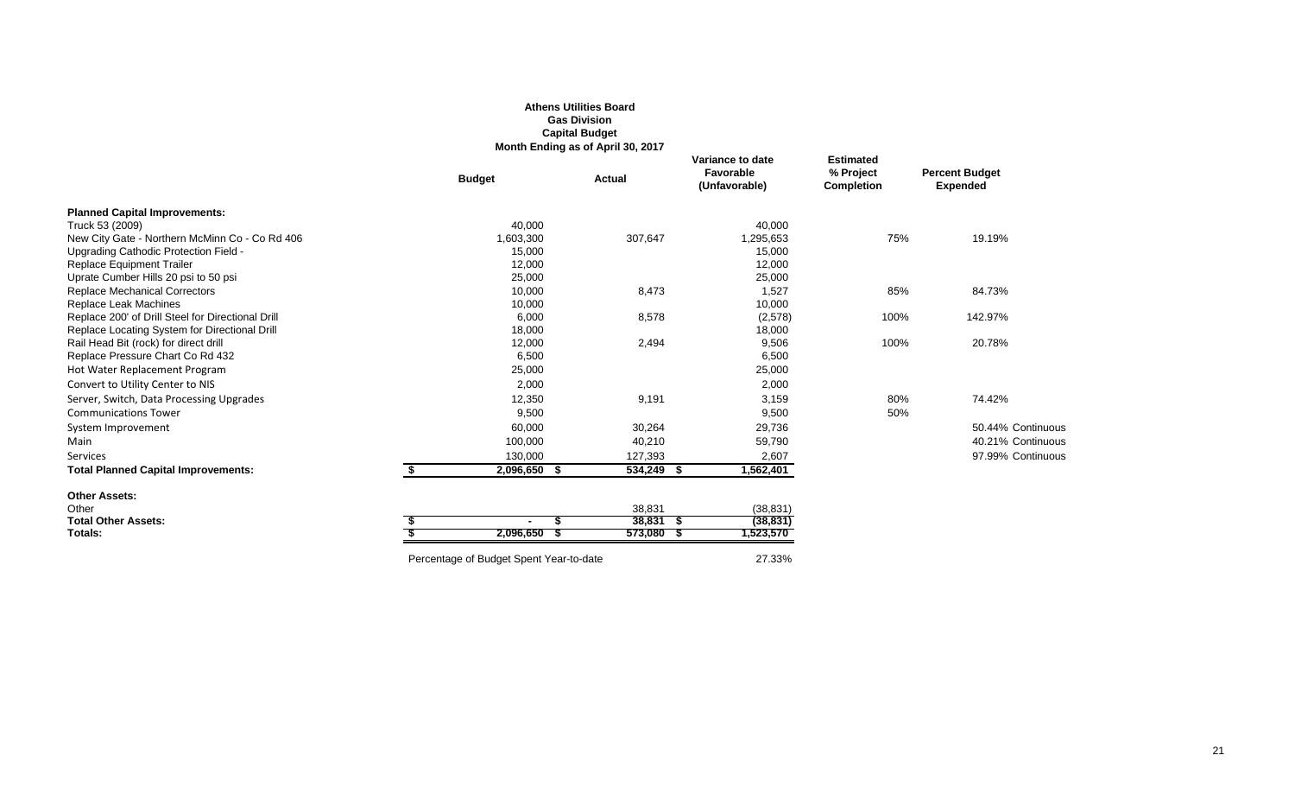## **Athens Utilities Board Gas Division Capital Budget**

**Month Ending as of April 30, 2017**

|                                                   |               | $m$ onan Enamg as or April 99, 2017 |                 |                                                |                                                    |                                          |
|---------------------------------------------------|---------------|-------------------------------------|-----------------|------------------------------------------------|----------------------------------------------------|------------------------------------------|
|                                                   | <b>Budget</b> | <b>Actual</b>                       |                 | Variance to date<br>Favorable<br>(Unfavorable) | <b>Estimated</b><br>% Project<br><b>Completion</b> | <b>Percent Budget</b><br><b>Expended</b> |
| <b>Planned Capital Improvements:</b>              |               |                                     |                 |                                                |                                                    |                                          |
| Truck 53 (2009)                                   | 40,000        |                                     |                 | 40,000                                         |                                                    |                                          |
| New City Gate - Northern McMinn Co - Co Rd 406    | 1,603,300     |                                     | 307,647         | 1,295,653                                      | 75%                                                | 19.19%                                   |
| Upgrading Cathodic Protection Field -             | 15,000        |                                     |                 | 15,000                                         |                                                    |                                          |
| <b>Replace Equipment Trailer</b>                  | 12,000        |                                     |                 | 12,000                                         |                                                    |                                          |
| Uprate Cumber Hills 20 psi to 50 psi              | 25,000        |                                     |                 | 25,000                                         |                                                    |                                          |
| <b>Replace Mechanical Correctors</b>              | 10,000        |                                     | 8,473           | 1,527                                          | 85%                                                | 84.73%                                   |
| Replace Leak Machines                             | 10,000        |                                     |                 | 10,000                                         |                                                    |                                          |
| Replace 200' of Drill Steel for Directional Drill | 6,000         |                                     | 8,578           | (2,578)                                        | 100%                                               | 142.97%                                  |
| Replace Locating System for Directional Drill     | 18,000        |                                     |                 | 18,000                                         |                                                    |                                          |
| Rail Head Bit (rock) for direct drill             | 12,000        |                                     | 2,494           | 9,506                                          | 100%                                               | 20.78%                                   |
| Replace Pressure Chart Co Rd 432                  | 6,500         |                                     |                 | 6,500                                          |                                                    |                                          |
| Hot Water Replacement Program                     | 25,000        |                                     |                 | 25,000                                         |                                                    |                                          |
| Convert to Utility Center to NIS                  | 2,000         |                                     |                 | 2,000                                          |                                                    |                                          |
| Server, Switch, Data Processing Upgrades          | 12,350        |                                     | 9,191           | 3,159                                          | 80%                                                | 74.42%                                   |
| <b>Communications Tower</b>                       | 9,500         |                                     |                 | 9,500                                          | 50%                                                |                                          |
| System Improvement                                | 60,000        |                                     | 30,264          | 29,736                                         |                                                    | 50.44% Continuous                        |
| Main                                              | 100,000       |                                     | 40,210          | 59,790                                         |                                                    | 40.21% Continuous                        |
| Services                                          | 130,000       |                                     | 127,393         | 2,607                                          |                                                    | 97.99% Continuous                        |
| <b>Total Planned Capital Improvements:</b>        | 2,096,650     | S                                   | 534,249<br>- 56 | 1,562,401                                      |                                                    |                                          |
| <b>Other Assets:</b>                              |               |                                     |                 |                                                |                                                    |                                          |
| Other                                             |               |                                     | 38,831          | (38, 831)                                      |                                                    |                                          |
| <b>Total Other Assets:</b>                        |               |                                     | $38,831$ \$     | (38, 831)                                      |                                                    |                                          |
| Totals:                                           | 2,096,650     |                                     | $573,080$ \$    | 1,523,570                                      |                                                    |                                          |
|                                                   |               |                                     |                 |                                                |                                                    |                                          |

Percentage of Budget Spent Year-to-date 27.33%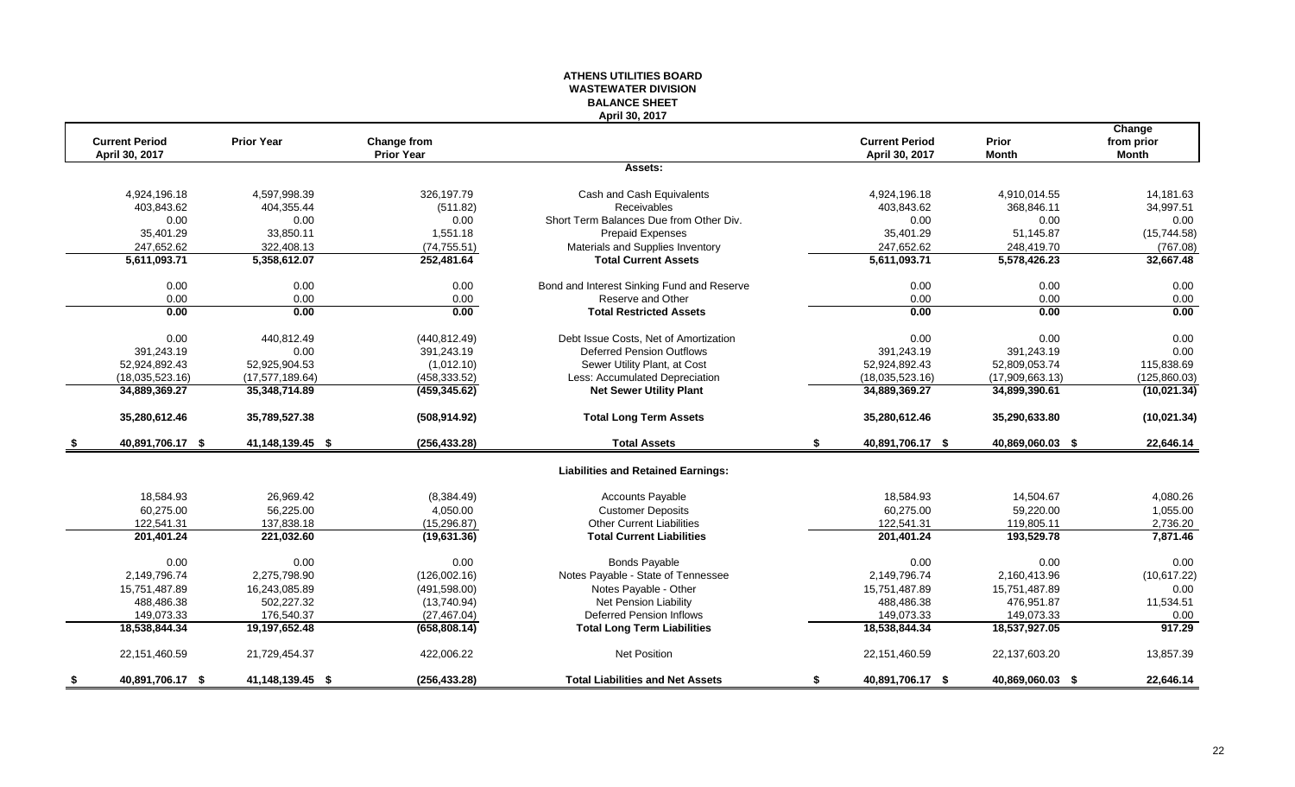#### **ATHENS UTILITIES BOARD WASTEWATER DIVISION BALANCE SHEET April 30, 2017**

|                        |                   |                   |                                            |    |                       |                  | Change       |
|------------------------|-------------------|-------------------|--------------------------------------------|----|-----------------------|------------------|--------------|
| <b>Current Period</b>  | <b>Prior Year</b> | Change from       |                                            |    | <b>Current Period</b> | Prior            | from prior   |
| April 30, 2017         |                   | <b>Prior Year</b> |                                            |    | April 30, 2017        | <b>Month</b>     | <b>Month</b> |
|                        |                   |                   | Assets:                                    |    |                       |                  |              |
| 4,924,196.18           | 4,597,998.39      | 326,197.79        | Cash and Cash Equivalents                  |    | 4,924,196.18          | 4,910,014.55     | 14,181.63    |
| 403,843.62             | 404,355.44        | (511.82)          | <b>Receivables</b>                         |    | 403,843.62            | 368,846.11       | 34,997.51    |
| 0.00                   | 0.00              | 0.00              | Short Term Balances Due from Other Div.    |    | 0.00                  | 0.00             | 0.00         |
| 35,401.29              | 33,850.11         | 1,551.18          | <b>Prepaid Expenses</b>                    |    | 35,401.29             | 51,145.87        | (15,744.58)  |
| 247,652.62             | 322,408.13        | (74, 755.51)      | Materials and Supplies Inventory           |    | 247,652.62            | 248,419.70       | (767.08)     |
| 5,611,093.71           | 5,358,612.07      | 252,481.64        | <b>Total Current Assets</b>                |    | 5,611,093.71          | 5,578,426.23     | 32,667.48    |
| 0.00                   | 0.00              | 0.00              | Bond and Interest Sinking Fund and Reserve |    | 0.00                  | 0.00             | 0.00         |
| 0.00                   | 0.00              | 0.00              | Reserve and Other                          |    | 0.00                  | 0.00             | 0.00         |
| 0.00                   | 0.00              | 0.00              | <b>Total Restricted Assets</b>             |    | 0.00                  | 0.00             | 0.00         |
| 0.00                   | 440,812.49        | (440, 812.49)     | Debt Issue Costs, Net of Amortization      |    | 0.00                  | 0.00             | 0.00         |
| 391,243.19             | 0.00              | 391,243.19        | <b>Deferred Pension Outflows</b>           |    | 391,243.19            | 391,243.19       | 0.00         |
| 52,924,892.43          | 52,925,904.53     | (1,012.10)        | Sewer Utility Plant, at Cost               |    | 52,924,892.43         | 52,809,053.74    | 115,838.69   |
| (18,035,523.16)        | (17, 577, 189.64) | (458, 333.52)     | Less: Accumulated Depreciation             |    | (18,035,523.16)       | (17,909,663.13)  | (125,860.03) |
| 34,889,369.27          | 35,348,714.89     | (459, 345.62)     | <b>Net Sewer Utility Plant</b>             |    | 34,889,369.27         | 34,899,390.61    | (10, 021.34) |
| 35,280,612.46          | 35,789,527.38     | (508, 914.92)     | <b>Total Long Term Assets</b>              |    | 35,280,612.46         | 35,290,633.80    | (10,021.34)  |
| 40,891,706.17 \$       | 41,148,139.45 \$  | (256, 433.28)     | <b>Total Assets</b>                        | s. | 40,891,706.17 \$      | 40,869,060.03 \$ | 22,646.14    |
|                        |                   |                   | <b>Liabilities and Retained Earnings:</b>  |    |                       |                  |              |
| 18,584.93              | 26,969.42         | (8,384.49)        | <b>Accounts Payable</b>                    |    | 18,584.93             | 14,504.67        | 4,080.26     |
| 60,275.00              | 56,225.00         | 4,050.00          | <b>Customer Deposits</b>                   |    | 60,275.00             | 59,220.00        | 1,055.00     |
| 122,541.31             | 137,838.18        | (15, 296.87)      | <b>Other Current Liabilities</b>           |    | 122,541.31            | 119,805.11       | 2,736.20     |
| 201,401.24             | 221,032.60        | (19,631.36)       | <b>Total Current Liabilities</b>           |    | 201,401.24            | 193,529.78       | 7,871.46     |
| 0.00                   | 0.00              | 0.00              | <b>Bonds Payable</b>                       |    | 0.00                  | 0.00             | 0.00         |
| 2,149,796.74           | 2,275,798.90      | (126,002.16)      | Notes Payable - State of Tennessee         |    | 2,149,796.74          | 2,160,413.96     | (10,617.22)  |
| 15,751,487.89          | 16,243,085.89     | (491, 598.00)     | Notes Payable - Other                      |    | 15,751,487.89         | 15,751,487.89    | 0.00         |
| 488,486.38             | 502,227.32        | (13,740.94)       | <b>Net Pension Liability</b>               |    | 488,486.38            | 476,951.87       | 11,534.51    |
| 149,073.33             | 176,540.37        | (27, 467.04)      | Deferred Pension Inflows                   |    | 149,073.33            | 149,073.33       | 0.00         |
| 18,538,844.34          | 19,197,652.48     | (658, 808.14)     | <b>Total Long Term Liabilities</b>         |    | 18,538,844.34         | 18,537,927.05    | 917.29       |
| 22,151,460.59          | 21,729,454.37     | 422,006.22        | Net Position                               |    | 22, 151, 460.59       | 22,137,603.20    | 13,857.39    |
| \$<br>40,891,706.17 \$ | 41,148,139.45 \$  | (256, 433.28)     | <b>Total Liabilities and Net Assets</b>    | \$ | 40,891,706.17 \$      | 40,869,060.03 \$ | 22,646.14    |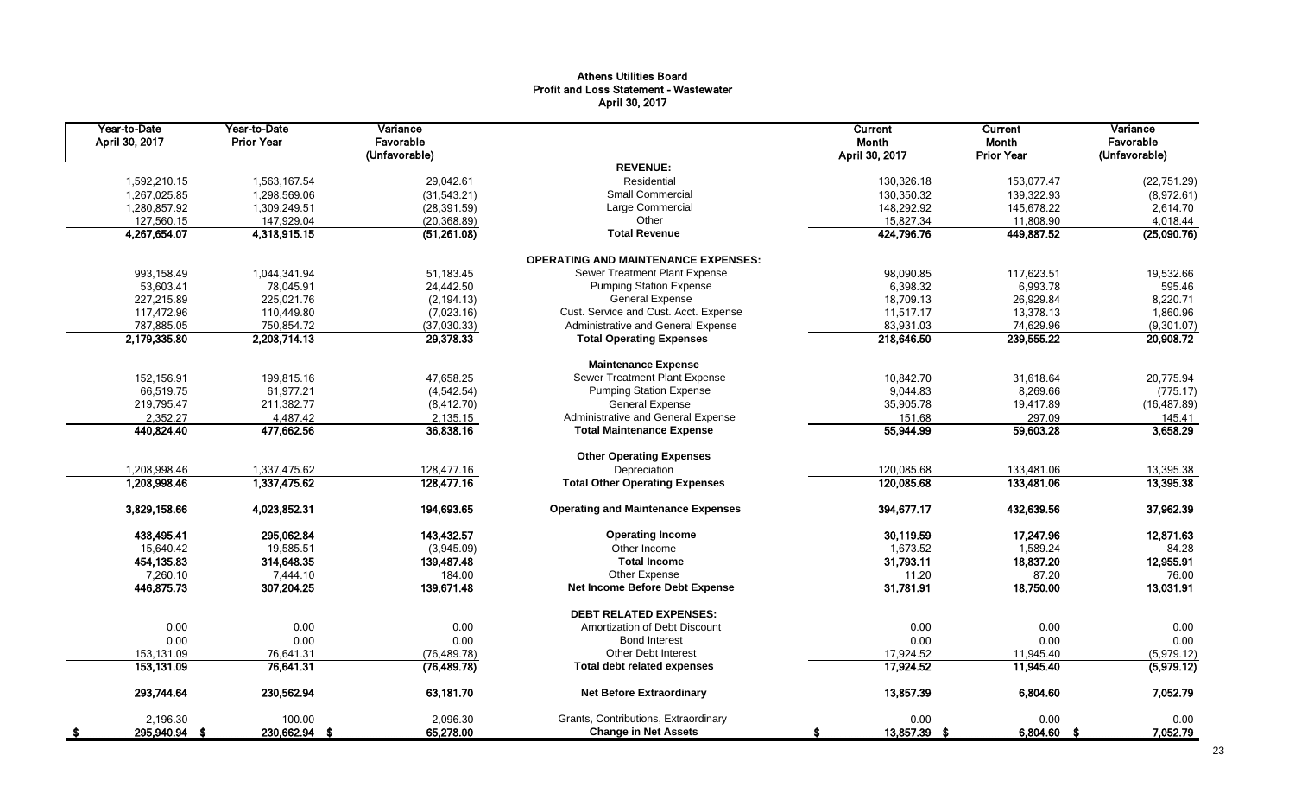## Athens Utilities Board Profit and Loss Statement - Wastewater April 30, 2017

| Year-to-Date<br>April 30, 2017 | Year-to-Date<br><b>Prior Year</b> | Variance<br>Favorable<br>(Unfavorable) |                                            | Current<br>Month<br>April 30, 2017 | <b>Current</b><br>Month<br><b>Prior Year</b> | Variance<br>Favorable<br>(Unfavorable) |
|--------------------------------|-----------------------------------|----------------------------------------|--------------------------------------------|------------------------------------|----------------------------------------------|----------------------------------------|
|                                |                                   |                                        | <b>REVENUE:</b>                            |                                    |                                              |                                        |
| 1,592,210.15                   | 1,563,167.54                      | 29,042.61                              | Residential                                | 130,326.18                         | 153,077.47                                   | (22, 751.29)                           |
| 1,267,025.85                   | 1,298,569.06                      | (31,543.21)                            | Small Commercial                           | 130,350.32                         | 139,322.93                                   | (8,972.61)                             |
| 1,280,857.92                   | 1,309,249.51                      | (28, 391.59)                           | Large Commercial                           | 148,292.92                         | 145,678.22                                   | 2,614.70                               |
| 127,560.15                     | 147,929.04                        | (20, 368.89)                           | Other                                      | 15,827.34                          | 11,808.90                                    | 4,018.44                               |
| 4,267,654.07                   | 4,318,915.15                      | (51,261.08)                            | <b>Total Revenue</b>                       | 424,796.76                         | 449,887.52                                   | (25,090.76)                            |
|                                |                                   |                                        | <b>OPERATING AND MAINTENANCE EXPENSES:</b> |                                    |                                              |                                        |
| 993,158.49                     | 1,044,341.94                      | 51,183.45                              | Sewer Treatment Plant Expense              | 98,090.85                          | 117,623.51                                   | 19,532.66                              |
| 53,603.41                      | 78,045.91                         | 24,442.50                              | <b>Pumping Station Expense</b>             | 6,398.32                           | 6,993.78                                     | 595.46                                 |
| 227,215.89                     | 225,021.76                        | (2, 194.13)                            | <b>General Expense</b>                     | 18,709.13                          | 26,929.84                                    | 8,220.71                               |
| 117,472.96                     | 110,449.80                        | (7,023.16)                             | Cust. Service and Cust. Acct. Expense      | 11,517.17                          | 13,378.13                                    | 1,860.96                               |
| 787,885.05                     | 750,854.72                        | (37,030.33)                            | Administrative and General Expense         | 83,931.03                          | 74,629.96                                    | (9,301.07)                             |
| 2,179,335.80                   | 2,208,714.13                      | 29,378.33                              | <b>Total Operating Expenses</b>            | 218,646.50                         | 239,555.22                                   | 20,908.72                              |
|                                |                                   |                                        | <b>Maintenance Expense</b>                 |                                    |                                              |                                        |
| 152.156.91                     | 199,815.16                        | 47.658.25                              | Sewer Treatment Plant Expense              | 10.842.70                          | 31.618.64                                    | 20.775.94                              |
| 66,519.75                      | 61,977.21                         | (4, 542.54)                            | <b>Pumping Station Expense</b>             | 9,044.83                           | 8,269.66                                     | (775.17)                               |
| 219,795.47                     | 211,382.77                        | (8,412.70)                             | <b>General Expense</b>                     | 35,905.78                          | 19,417.89                                    | (16, 487.89)                           |
| 2,352.27                       | 4,487.42                          | 2,135.15                               | Administrative and General Expense         | 151.68                             | 297.09                                       | 145.41                                 |
| 440,824.40                     | 477,662.56                        | 36,838.16                              | <b>Total Maintenance Expense</b>           | 55,944.99                          | 59,603.28                                    | 3,658.29                               |
|                                |                                   |                                        | <b>Other Operating Expenses</b>            |                                    |                                              |                                        |
| 1,208,998.46                   | 1,337,475.62                      | 128,477.16                             | Depreciation                               | 120,085.68                         | 133,481.06                                   | 13,395.38                              |
| 1,208,998.46                   | 1,337,475.62                      | 128,477.16                             | <b>Total Other Operating Expenses</b>      | 120,085.68                         | 133,481.06                                   | 13,395.38                              |
| 3,829,158.66                   | 4,023,852.31                      | 194,693.65                             | <b>Operating and Maintenance Expenses</b>  | 394,677.17                         | 432,639.56                                   | 37,962.39                              |
| 438,495.41                     | 295.062.84                        | 143,432.57                             | <b>Operating Income</b>                    | 30,119.59                          | 17,247.96                                    | 12,871.63                              |
| 15,640.42                      | 19,585.51                         | (3,945.09)                             | Other Income                               | 1,673.52                           | 1,589.24                                     | 84.28                                  |
| 454, 135.83                    | 314,648.35                        | 139,487.48                             | <b>Total Income</b>                        | 31,793.11                          | 18,837.20                                    | 12,955.91                              |
| 7,260.10                       | 7,444.10                          | 184.00                                 | Other Expense                              | 11.20                              | 87.20                                        | 76.00                                  |
| 446,875.73                     | 307,204.25                        | 139,671.48                             | Net Income Before Debt Expense             | 31,781.91                          | 18,750.00                                    | 13,031.91                              |
|                                |                                   |                                        | <b>DEBT RELATED EXPENSES:</b>              |                                    |                                              |                                        |
| 0.00                           | 0.00                              | 0.00                                   | Amortization of Debt Discount              | 0.00                               | 0.00                                         | 0.00                                   |
| 0.00                           | 0.00                              | 0.00                                   | <b>Bond Interest</b>                       | 0.00                               | 0.00                                         | 0.00                                   |
| 153,131.09                     | 76,641.31                         | (76, 489.78)                           | Other Debt Interest                        | 17,924.52                          | 11,945.40                                    | (5,979.12)                             |
| 153,131.09                     | 76,641.31                         | (76, 489.78)                           | <b>Total debt related expenses</b>         | 17,924.52                          | 11,945.40                                    | (5,979.12)                             |
| 293,744.64                     | 230,562.94                        | 63,181.70                              | <b>Net Before Extraordinary</b>            | 13,857.39                          | 6,804.60                                     | 7,052.79                               |
| 2.196.30                       | 100.00                            | 2.096.30                               | Grants, Contributions, Extraordinary       | 0.00                               | 0.00                                         | 0.00                                   |
| 295,940.94 \$                  | 230,662.94 \$                     | 65,278.00                              | <b>Change in Net Assets</b>                | 13,857.39 \$<br>£.                 | 6,804.60 \$                                  | 7,052.79                               |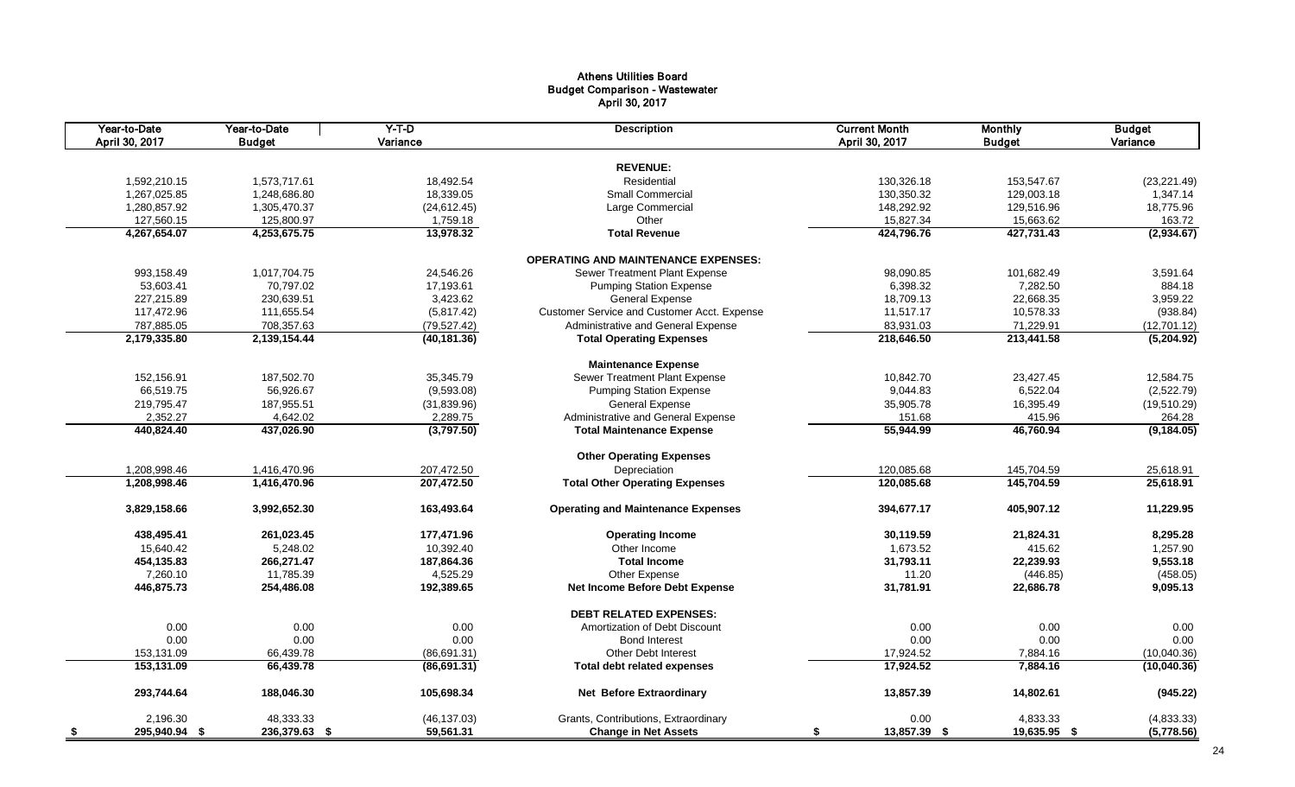#### Athens Utilities Board Budget Comparison - Wastewater April 30, 2017

| Year-to-Date<br>April 30, 2017 | Year-to-Date<br><b>Budget</b> | $Y-T-D$<br>Variance | <b>Description</b>                          | <b>Current Month</b><br>April 30, 2017 | <b>Monthly</b><br><b>Budget</b> | <b>Budget</b><br>Variance |
|--------------------------------|-------------------------------|---------------------|---------------------------------------------|----------------------------------------|---------------------------------|---------------------------|
|                                |                               |                     |                                             |                                        |                                 |                           |
|                                |                               |                     | <b>REVENUE:</b>                             |                                        |                                 |                           |
| 1,592,210.15                   | 1,573,717.61                  | 18,492.54           | Residential                                 | 130,326.18                             | 153,547.67                      | (23, 221.49)              |
| 1,267,025.85                   | 1,248,686.80                  | 18,339.05           | <b>Small Commercial</b>                     | 130,350.32                             | 129,003.18                      | 1,347.14                  |
| 1,280,857.92                   | 1,305,470.37                  | (24, 612.45)        | Large Commercial                            | 148,292.92                             | 129,516.96                      | 18,775.96                 |
| 127,560.15                     | 125,800.97                    | 1,759.18            | Other                                       | 15,827.34                              | 15,663.62                       | 163.72                    |
| 4,267,654.07                   | 4,253,675.75                  | 13,978.32           | <b>Total Revenue</b>                        | 424,796.76                             | 427,731.43                      | (2,934.67)                |
|                                |                               |                     | <b>OPERATING AND MAINTENANCE EXPENSES:</b>  |                                        |                                 |                           |
| 993,158.49                     | 1,017,704.75                  | 24,546.26           | Sewer Treatment Plant Expense               | 98,090.85                              | 101,682.49                      | 3,591.64                  |
| 53,603.41                      | 70,797.02                     | 17,193.61           | <b>Pumping Station Expense</b>              | 6,398.32                               | 7,282.50                        | 884.18                    |
| 227,215.89                     | 230,639.51                    | 3,423.62            | <b>General Expense</b>                      | 18,709.13                              | 22,668.35                       | 3,959.22                  |
| 117,472.96                     | 111,655.54                    | (5,817.42)          | Customer Service and Customer Acct. Expense | 11,517.17                              | 10,578.33                       | (938.84)                  |
| 787,885.05                     | 708,357.63                    | (79, 527.42)        | Administrative and General Expense          | 83,931.03                              | 71,229.91                       | (12,701.12)               |
| 2,179,335.80                   | 2,139,154.44                  | (40, 181.36)        | <b>Total Operating Expenses</b>             | 218,646.50                             | 213,441.58                      | (5,204.92)                |
|                                |                               |                     |                                             |                                        |                                 |                           |
|                                |                               |                     | <b>Maintenance Expense</b>                  |                                        |                                 |                           |
| 152,156.91                     | 187,502.70                    | 35,345.79           | Sewer Treatment Plant Expense               | 10,842.70                              | 23,427.45                       | 12,584.75                 |
| 66,519.75                      | 56,926.67                     | (9,593.08)          | <b>Pumping Station Expense</b>              | 9,044.83                               | 6,522.04                        | (2,522.79)                |
| 219,795.47                     | 187,955.51                    | (31,839.96)         | <b>General Expense</b>                      | 35,905.78                              | 16,395.49                       | (19,510.29)               |
| 2,352.27                       | 4,642.02                      | 2,289.75            | Administrative and General Expense          | 151.68                                 | 415.96                          | 264.28                    |
| 440,824.40                     | 437,026.90                    | (3,797.50)          | <b>Total Maintenance Expense</b>            | 55,944.99                              | 46,760.94                       | (9, 184.05)               |
|                                |                               |                     | <b>Other Operating Expenses</b>             |                                        |                                 |                           |
| 1,208,998.46                   | 1,416,470.96                  | 207,472.50          | Depreciation                                | 120,085.68                             | 145,704.59                      | 25,618.91                 |
| 1,208,998.46                   | 1,416,470.96                  | 207,472.50          | <b>Total Other Operating Expenses</b>       | 120,085.68                             | 145,704.59                      | 25,618.91                 |
| 3,829,158.66                   | 3,992,652.30                  | 163,493.64          | <b>Operating and Maintenance Expenses</b>   | 394,677.17                             | 405,907.12                      | 11,229.95                 |
| 438,495.41                     | 261,023.45                    | 177,471.96          | <b>Operating Income</b>                     | 30,119.59                              | 21,824.31                       | 8,295.28                  |
| 15,640.42                      | 5,248.02                      | 10,392.40           | Other Income                                | 1,673.52                               | 415.62                          | 1,257.90                  |
| 454,135.83                     | 266,271.47                    | 187,864.36          | <b>Total Income</b>                         | 31,793.11                              | 22,239.93                       | 9,553.18                  |
| 7,260.10                       | 11,785.39                     | 4,525.29            | Other Expense                               | 11.20                                  | (446.85)                        | (458.05)                  |
| 446,875.73                     | 254,486.08                    | 192,389.65          | Net Income Before Debt Expense              | 31,781.91                              | 22,686.78                       | 9,095.13                  |
|                                |                               |                     |                                             |                                        |                                 |                           |
|                                |                               |                     | <b>DEBT RELATED EXPENSES:</b>               |                                        |                                 |                           |
| 0.00                           | 0.00                          | 0.00                | Amortization of Debt Discount               | 0.00                                   | 0.00                            | 0.00                      |
| 0.00                           | 0.00                          | 0.00                | <b>Bond Interest</b>                        | 0.00                                   | 0.00                            | 0.00                      |
| 153,131.09                     | 66,439.78                     | (86,691.31)         | <b>Other Debt Interest</b>                  | 17,924.52                              | 7,884.16                        | (10,040.36)               |
| 153,131.09                     | 66,439.78                     | (86, 691.31)        | <b>Total debt related expenses</b>          | 17,924.52                              | 7,884.16                        | (10,040.36)               |
| 293,744.64                     | 188,046.30                    | 105,698.34          | <b>Net Before Extraordinary</b>             | 13,857.39                              | 14,802.61                       | (945.22)                  |
| 2,196.30                       | 48,333.33                     | (46, 137.03)        | Grants, Contributions, Extraordinary        | 0.00                                   | 4,833.33                        | (4,833.33)                |
| 295,940.94 \$<br>- \$          | 236,379.63 \$                 | 59,561.31           | <b>Change in Net Assets</b>                 | \$<br>13,857.39 \$                     | 19,635.95 \$                    | (5,778.56)                |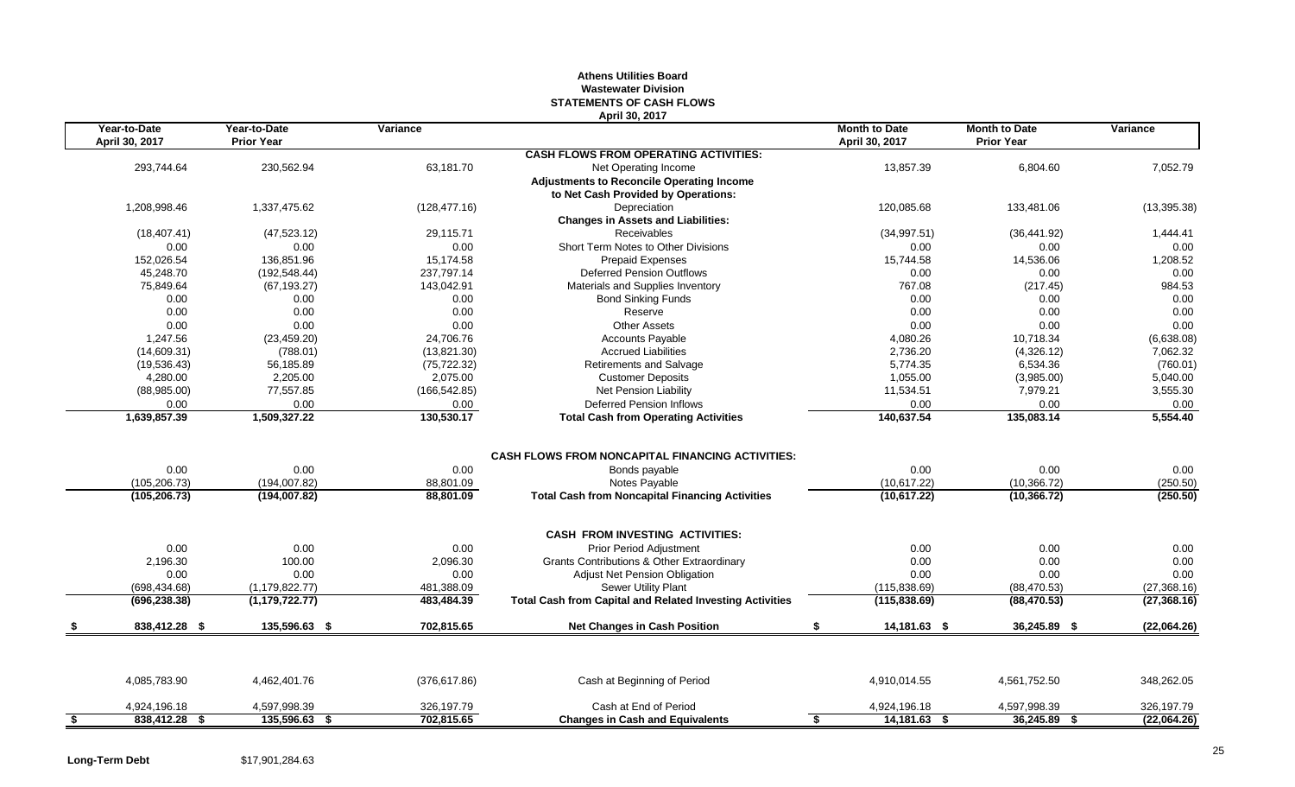## **Athens Utilities Board Wastewater Division STATEMENTS OF CASH FLOWS April 30, 2017**

|      | Year-to-Date<br>April 30, 2017 | Year-to-Date<br><b>Prior Year</b> | Variance          |                                                                                           | <b>Month to Date</b><br>April 30, 2017 | <b>Month to Date</b><br><b>Prior Year</b> | Variance         |
|------|--------------------------------|-----------------------------------|-------------------|-------------------------------------------------------------------------------------------|----------------------------------------|-------------------------------------------|------------------|
|      |                                |                                   |                   | <b>CASH FLOWS FROM OPERATING ACTIVITIES:</b>                                              |                                        |                                           |                  |
|      | 293,744.64                     | 230,562.94                        | 63,181.70         | Net Operating Income                                                                      | 13,857.39                              | 6,804.60                                  | 7,052.79         |
|      |                                |                                   |                   | <b>Adjustments to Reconcile Operating Income</b>                                          |                                        |                                           |                  |
|      |                                |                                   |                   | to Net Cash Provided by Operations:                                                       |                                        |                                           |                  |
|      | 1,208,998.46                   | 1,337,475.62                      | (128, 477.16)     | Depreciation                                                                              | 120,085.68                             | 133,481.06                                | (13, 395.38)     |
|      |                                |                                   |                   | <b>Changes in Assets and Liabilities:</b>                                                 |                                        |                                           |                  |
|      | (18, 407.41)                   | (47, 523.12)                      | 29,115.71         | Receivables                                                                               | (34,997.51)                            | (36, 441.92)                              | 1,444.41         |
|      | 0.00                           | 0.00                              | 0.00              | Short Term Notes to Other Divisions                                                       | 0.00                                   | 0.00                                      | 0.00             |
|      | 152,026.54                     | 136,851.96                        | 15,174.58         | <b>Prepaid Expenses</b>                                                                   | 15,744.58                              | 14,536.06                                 | 1,208.52         |
|      | 45,248.70                      | (192, 548.44)                     | 237,797.14        | <b>Deferred Pension Outflows</b>                                                          | 0.00                                   | 0.00                                      | 0.00             |
|      | 75,849.64                      | (67, 193.27)                      | 143,042.91        | Materials and Supplies Inventory                                                          | 767.08                                 | (217.45)                                  | 984.53           |
|      | 0.00                           | 0.00                              | 0.00              | <b>Bond Sinking Funds</b>                                                                 | 0.00                                   | 0.00                                      | 0.00             |
|      | 0.00                           | 0.00                              | 0.00              | Reserve                                                                                   | 0.00                                   | 0.00                                      | 0.00             |
|      | 0.00                           | 0.00                              | 0.00              | <b>Other Assets</b>                                                                       | 0.00                                   | 0.00                                      | 0.00             |
|      | 1,247.56                       | (23, 459.20)                      | 24,706.76         | <b>Accounts Payable</b>                                                                   | 4,080.26                               | 10,718.34                                 | (6,638.08)       |
|      | (14,609.31)                    | (788.01)                          | (13,821.30)       | <b>Accrued Liabilities</b>                                                                | 2,736.20                               | (4,326.12)                                | 7,062.32         |
|      | (19, 536.43)                   | 56,185.89                         | (75, 722.32)      | Retirements and Salvage                                                                   | 5,774.35                               | 6,534.36                                  | (760.01)         |
|      | 4,280.00                       | 2,205.00                          | 2,075.00          | <b>Customer Deposits</b>                                                                  | 1,055.00                               | (3,985.00)                                | 5,040.00         |
|      | (88,985.00)                    | 77,557.85                         | (166, 542.85)     | Net Pension Liability                                                                     | 11,534.51                              | 7,979.21                                  | 3,555.30         |
|      | 0.00                           | 0.00                              | 0.00              | <b>Deferred Pension Inflows</b>                                                           | 0.00                                   | 0.00                                      | 0.00             |
|      | 1,639,857.39                   | 1,509,327.22                      | 130,530.17        | <b>Total Cash from Operating Activities</b>                                               | 140,637.54                             | 135,083.14                                | 5,554.40         |
|      | 0.00<br>(105, 206.73)          | 0.00<br>(194,007.82)              | 0.00<br>88,801.09 | <b>CASH FLOWS FROM NONCAPITAL FINANCING ACTIVITIES:</b><br>Bonds payable<br>Notes Payable | 0.00<br>(10,617.22)                    | 0.00<br>(10, 366.72)                      | 0.00<br>(250.50) |
|      | (105, 206.73)                  | (194,007.82)                      | 88,801.09         | <b>Total Cash from Noncapital Financing Activities</b>                                    | (10,617.22)                            | (10, 366.72)                              | (250.50)         |
|      |                                |                                   |                   | <b>CASH FROM INVESTING ACTIVITIES:</b>                                                    |                                        |                                           |                  |
|      | 0.00                           | 0.00                              | 0.00              | <b>Prior Period Adjustment</b>                                                            | 0.00                                   | 0.00                                      | 0.00             |
|      | 2,196.30                       | 100.00                            | 2,096.30          | <b>Grants Contributions &amp; Other Extraordinary</b>                                     | 0.00                                   | 0.00                                      | 0.00             |
|      | 0.00                           | 0.00                              | 0.00              | <b>Adjust Net Pension Obligation</b>                                                      | 0.00                                   | 0.00                                      | 0.00             |
|      | (698, 434.68)                  | (1, 179, 822.77)                  | 481,388.09        | Sewer Utility Plant                                                                       | (115, 838.69)                          | (88, 470.53)                              | (27, 368.16)     |
|      | (696, 238.38)                  | (1, 179, 722.77)                  | 483,484.39        | <b>Total Cash from Capital and Related Investing Activities</b>                           | (115, 838.69)                          | (88, 470.53)                              | (27, 368.16)     |
|      | 838,412.28 \$                  | 135,596.63 \$                     | 702,815.65        | <b>Net Changes in Cash Position</b>                                                       | \$<br>14,181.63 \$                     | 36,245.89 \$                              | (22,064.26)      |
|      |                                |                                   |                   |                                                                                           |                                        |                                           |                  |
|      | 4,085,783.90                   | 4,462,401.76                      | (376, 617.86)     | Cash at Beginning of Period                                                               | 4,910,014.55                           | 4,561,752.50                              | 348,262.05       |
|      | 4,924,196.18                   | 4,597,998.39                      | 326,197.79        | Cash at End of Period                                                                     | 4,924,196.18                           | 4,597,998.39                              | 326,197.79       |
| - \$ | 838,412.28 \$                  | 135,596.63 \$                     | 702.815.65        | <b>Changes in Cash and Equivalents</b>                                                    | $14,181.63$ \$<br>S.                   | $36,245.89$ \$                            | (22,064.26)      |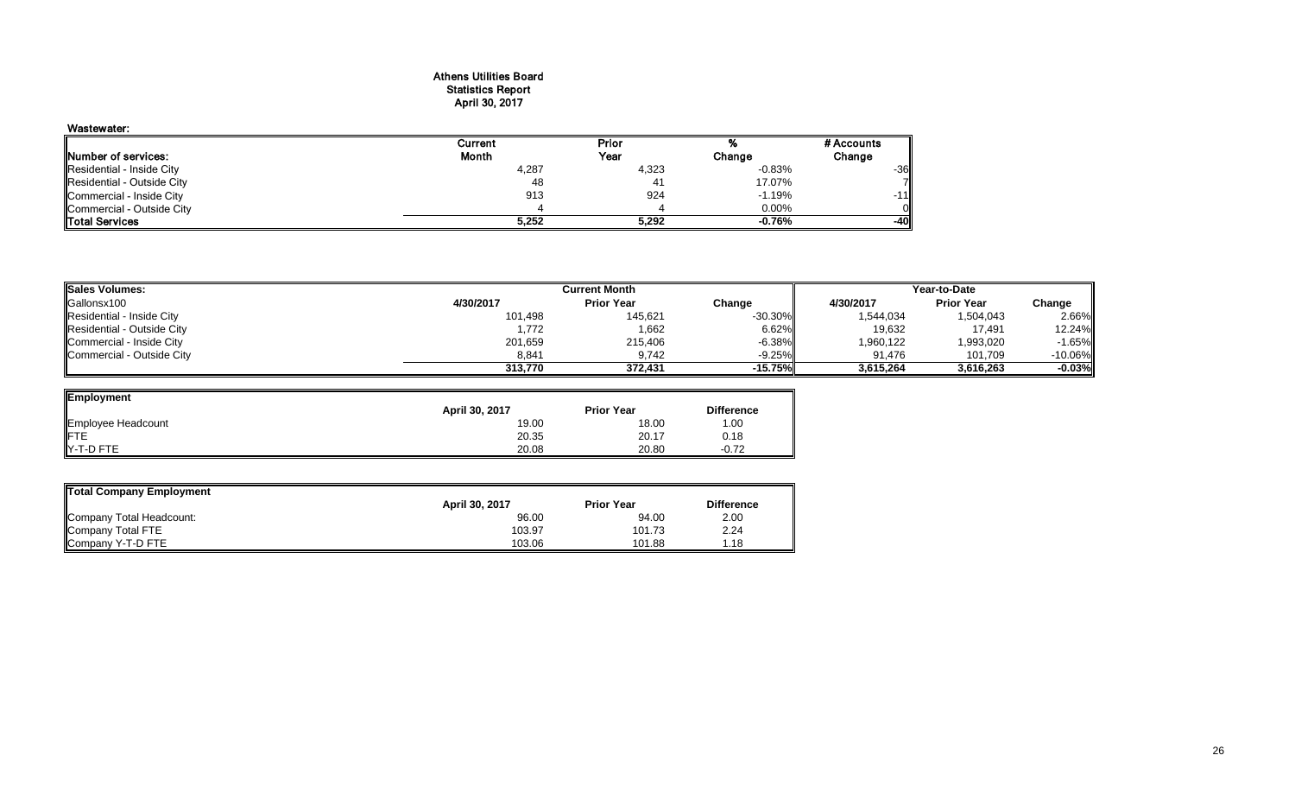## Athens Utilities Board Statistics Report April 30, 2017

## Wastewater: Current Prior % #Accounts<br>
Month Year Change Change Change Number of services:<br>
Residential - Inside City **Change**<br>
Residential - Inside City **Change**<br>
2.83% Residential - Inside City مي المستخدم المستخدم المستخدم المستخدم المستخدم المستخدم المستخدم المستخدم المستخدم المستخدم المستخدم المستخدم المستخدم المستخدم المستخدم المستخدم المستخدم المستخدم المستخدم المستخدم المستخدم الم Residential - Outside City 48 41 17.07% 7 Commercial - Inside City 913 924 -1.19% -11 Commercial - Outside City 4 4 0.00% 0 Total Services **5,252 5,292 -0.76% -40**

| Sales Volumes:             |           | <b>Current Month</b> |            |           | Year-to-Date      |           |
|----------------------------|-----------|----------------------|------------|-----------|-------------------|-----------|
| Gallonsx100                | 4/30/2017 | <b>Prior Year</b>    | Change     | 4/30/2017 | <b>Prior Year</b> | Change    |
| Residential - Inside City  | 101,498   | 145,621              | $-30.30\%$ | 1,544,034 | 1,504,043         | 2.66%     |
| Residential - Outside City | 1,772     | 1,662                | 6.62%      | 19,632    | 17,491            | 12.24%    |
| Commercial - Inside City   | 201,659   | 215,406              | $-6.38\%$  | 1,960,122 | 1,993,020         | $-1.65\%$ |
| Commercial - Outside City  | 8.841     | 9.742                | $-9.25\%$  | 91.476    | 101.709           | $-10.06%$ |
|                            | 313,770   | 372.431              | $-15.75%$  | 3,615,264 | 3.616.263         | $-0.03%$  |

| Employment         |                |                   |                   |
|--------------------|----------------|-------------------|-------------------|
|                    | April 30, 2017 | <b>Prior Year</b> | <b>Difference</b> |
| Employee Headcount | 19.00          | 18.00             | 1.00              |
| <b>IFTE</b>        | 20.35          | 20.17             | 0.18              |
| Y-T-D FTE          | 20.08          | 20.80             | $-0.72$           |

| Total Company Employment |                |                   |                   |
|--------------------------|----------------|-------------------|-------------------|
|                          | April 30, 2017 | <b>Prior Year</b> | <b>Difference</b> |
| Company Total Headcount: | 96.00          | 94.00             | 2.00              |
| Company Total FTE        | 103.97         | 101.73            | 2.24              |
| Company Y-T-D FTE        | 103.06         | 101.88            | 1.18              |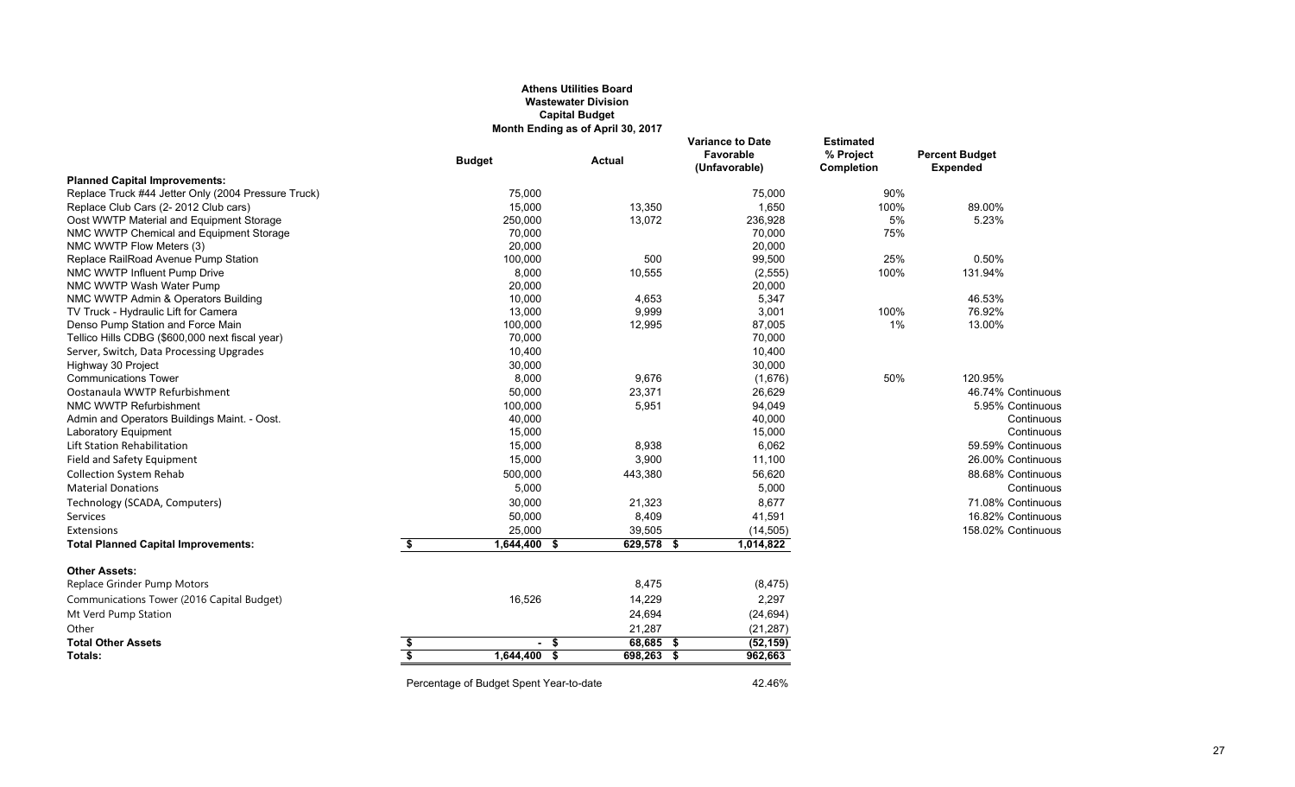#### **Athens Utilities Board Wastewater Division Capital Budget Month Ending as of April 30, 2017**

|                                                     |    | <b>Budget</b>                           | <b>Actual</b> | <b>Variance to Date</b><br>Favorable<br>(Unfavorable) | <b>Estimated</b><br>% Project<br>Completion | <b>Percent Budget</b><br><b>Expended</b> |
|-----------------------------------------------------|----|-----------------------------------------|---------------|-------------------------------------------------------|---------------------------------------------|------------------------------------------|
| <b>Planned Capital Improvements:</b>                |    |                                         |               |                                                       |                                             |                                          |
| Replace Truck #44 Jetter Only (2004 Pressure Truck) |    | 75.000                                  |               | 75,000                                                | 90%                                         |                                          |
| Replace Club Cars (2-2012 Club cars)                |    | 15,000                                  | 13,350        | 1,650                                                 | 100%                                        | 89.00%                                   |
| Oost WWTP Material and Equipment Storage            |    | 250,000                                 | 13,072        | 236,928                                               | 5%                                          | 5.23%                                    |
| NMC WWTP Chemical and Equipment Storage             |    | 70,000                                  |               | 70,000                                                | 75%                                         |                                          |
| NMC WWTP Flow Meters (3)                            |    | 20,000                                  |               | 20,000                                                |                                             |                                          |
| Replace RailRoad Avenue Pump Station                |    | 100,000                                 | 500           | 99,500                                                | 25%                                         | 0.50%                                    |
| NMC WWTP Influent Pump Drive                        |    | 8,000                                   | 10,555        | (2, 555)                                              | 100%                                        | 131.94%                                  |
| NMC WWTP Wash Water Pump                            |    | 20,000                                  |               | 20,000                                                |                                             |                                          |
| NMC WWTP Admin & Operators Building                 |    | 10,000                                  | 4,653         | 5,347                                                 |                                             | 46.53%                                   |
| TV Truck - Hydraulic Lift for Camera                |    | 13,000                                  | 9,999         | 3,001                                                 | 100%                                        | 76.92%                                   |
| Denso Pump Station and Force Main                   |    | 100,000                                 | 12,995        | 87,005                                                | 1%                                          | 13.00%                                   |
| Tellico Hills CDBG (\$600,000 next fiscal year)     |    | 70,000                                  |               | 70,000                                                |                                             |                                          |
| Server, Switch, Data Processing Upgrades            |    | 10,400                                  |               | 10,400                                                |                                             |                                          |
| Highway 30 Project                                  |    | 30,000                                  |               | 30,000                                                |                                             |                                          |
| <b>Communications Tower</b>                         |    | 8,000                                   | 9,676         | (1,676)                                               | 50%                                         | 120.95%                                  |
| Oostanaula WWTP Refurbishment                       |    | 50,000                                  | 23,371        | 26,629                                                |                                             | 46.74% Continuous                        |
| NMC WWTP Refurbishment                              |    | 100,000                                 | 5,951         | 94,049                                                |                                             | 5.95% Continuous                         |
| Admin and Operators Buildings Maint. - Oost.        |    | 40,000                                  |               | 40,000                                                |                                             | Continuous                               |
| Laboratory Equipment                                |    | 15,000                                  |               | 15,000                                                |                                             | Continuous                               |
| Lift Station Rehabilitation                         |    | 15,000                                  | 8,938         | 6,062                                                 |                                             | 59.59% Continuous                        |
| Field and Safety Equipment                          |    | 15,000                                  | 3,900         | 11,100                                                |                                             | 26.00% Continuous                        |
| <b>Collection System Rehab</b>                      |    | 500,000                                 | 443,380       | 56,620                                                |                                             | 88.68% Continuous                        |
| <b>Material Donations</b>                           |    | 5,000                                   |               | 5,000                                                 |                                             | Continuous                               |
| Technology (SCADA, Computers)                       |    | 30,000                                  | 21,323        | 8,677                                                 |                                             | 71.08% Continuous                        |
| Services                                            |    | 50,000                                  | 8,409         | 41,591                                                |                                             | 16.82% Continuous                        |
| Extensions                                          |    | 25,000                                  | 39,505        | (14, 505)                                             |                                             | 158.02% Continuous                       |
| <b>Total Planned Capital Improvements:</b>          | \$ | 1,644,400 \$                            | 629,578 \$    | 1,014,822                                             |                                             |                                          |
| <b>Other Assets:</b>                                |    |                                         |               |                                                       |                                             |                                          |
| Replace Grinder Pump Motors                         |    |                                         | 8,475         | (8, 475)                                              |                                             |                                          |
| Communications Tower (2016 Capital Budget)          |    | 16,526                                  | 14,229        | 2,297                                                 |                                             |                                          |
| Mt Verd Pump Station                                |    |                                         | 24,694        | (24, 694)                                             |                                             |                                          |
| Other                                               |    |                                         | 21,287        | (21, 287)                                             |                                             |                                          |
| <b>Total Other Assets</b>                           | \$ | - \$                                    | $68,685$ \$   | (52, 159)                                             |                                             |                                          |
| Totals:                                             | s. | 1,644,400 \$                            | 698,263 \$    | 962,663                                               |                                             |                                          |
|                                                     |    |                                         |               |                                                       |                                             |                                          |
|                                                     |    | Percentage of Budget Spent Year-to-date |               | 42.46%                                                |                                             |                                          |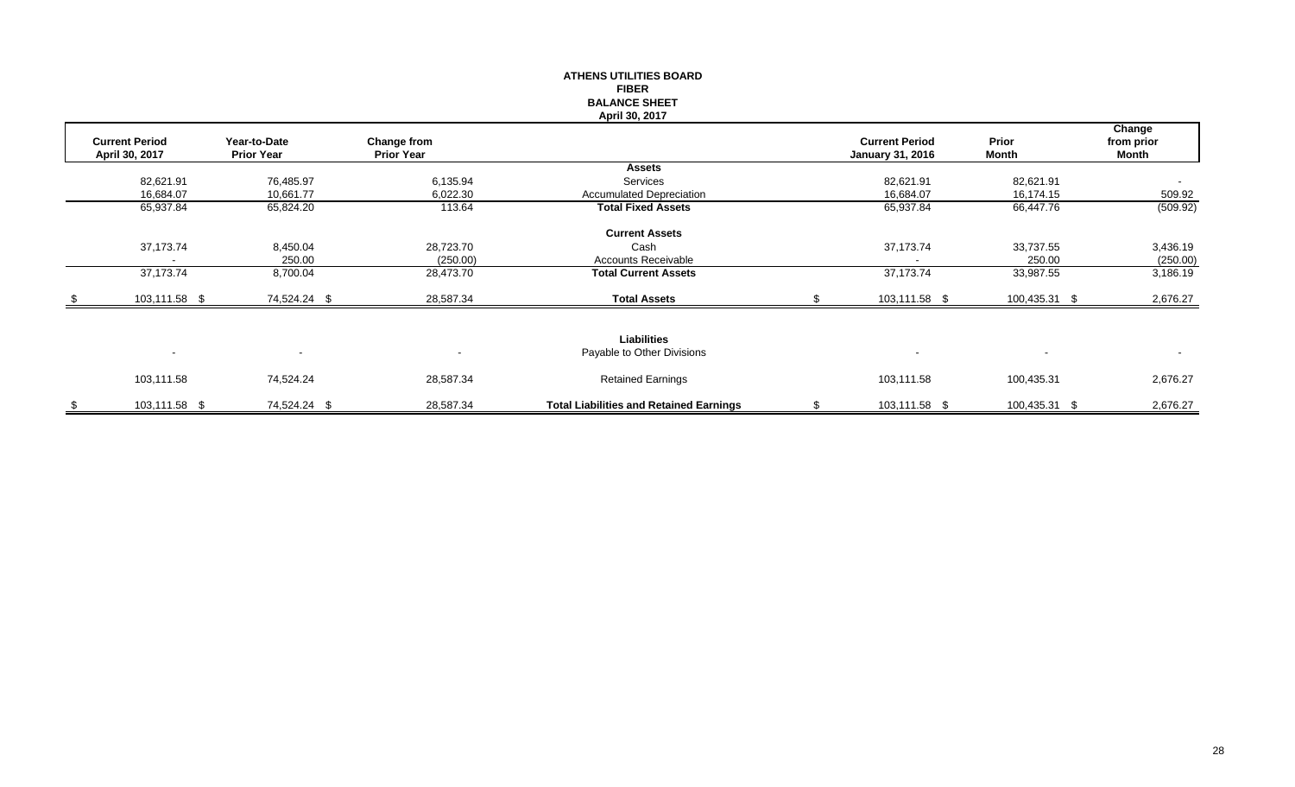|      |                                         |                                   |                                         | <b>ATHENS UTILITIES BOARD</b><br><b>FIBER</b><br><b>BALANCE SHEET</b><br>April 30, 2017 |                                                  |                       |                               |
|------|-----------------------------------------|-----------------------------------|-----------------------------------------|-----------------------------------------------------------------------------------------|--------------------------------------------------|-----------------------|-------------------------------|
|      | <b>Current Period</b><br>April 30, 2017 | Year-to-Date<br><b>Prior Year</b> | <b>Change from</b><br><b>Prior Year</b> |                                                                                         | <b>Current Period</b><br><b>January 31, 2016</b> | Prior<br><b>Month</b> | Change<br>from prior<br>Month |
|      |                                         |                                   |                                         | <b>Assets</b>                                                                           |                                                  |                       |                               |
|      | 82,621.91                               | 76,485.97                         | 6,135.94                                | Services                                                                                | 82,621.91                                        | 82,621.91             |                               |
|      | 16,684.07                               | 10,661.77                         | 6,022.30                                | <b>Accumulated Depreciation</b>                                                         | 16,684.07                                        | 16,174.15             | 509.92                        |
|      | 65,937.84                               | 65,824.20                         | 113.64                                  | <b>Total Fixed Assets</b>                                                               | 65,937.84                                        | 66,447.76             | (509.92)                      |
|      |                                         |                                   |                                         | <b>Current Assets</b>                                                                   |                                                  |                       |                               |
|      | 37,173.74                               | 8,450.04                          | 28,723.70                               | Cash                                                                                    | 37,173.74                                        | 33,737.55             | 3,436.19                      |
|      |                                         | 250.00                            | (250.00)                                | <b>Accounts Receivable</b>                                                              |                                                  | 250.00                | (250.00)                      |
|      | 37,173.74                               | 8,700.04                          | 28,473.70                               | <b>Total Current Assets</b>                                                             | 37,173.74                                        | 33,987.55             | 3,186.19                      |
| - \$ | 103,111.58 \$                           | 74,524.24 \$                      | 28,587.34                               | <b>Total Assets</b>                                                                     | 103,111.58 \$                                    | 100,435.31 \$         | 2,676.27                      |
|      |                                         |                                   |                                         |                                                                                         |                                                  |                       |                               |
|      |                                         |                                   |                                         | <b>Liabilities</b>                                                                      |                                                  |                       |                               |
|      |                                         | $\overline{\phantom{a}}$          |                                         | Payable to Other Divisions                                                              |                                                  |                       |                               |
|      | 103,111.58                              | 74,524.24                         | 28,587.34                               | <b>Retained Earnings</b>                                                                | 103,111.58                                       | 100,435.31            | 2,676.27                      |
| \$   | 103,111.58 \$                           | 74,524.24 \$                      | 28,587.34                               | <b>Total Liabilities and Retained Earnings</b>                                          | \$<br>103,111.58 \$                              | 100,435.31 \$         | 2,676.27                      |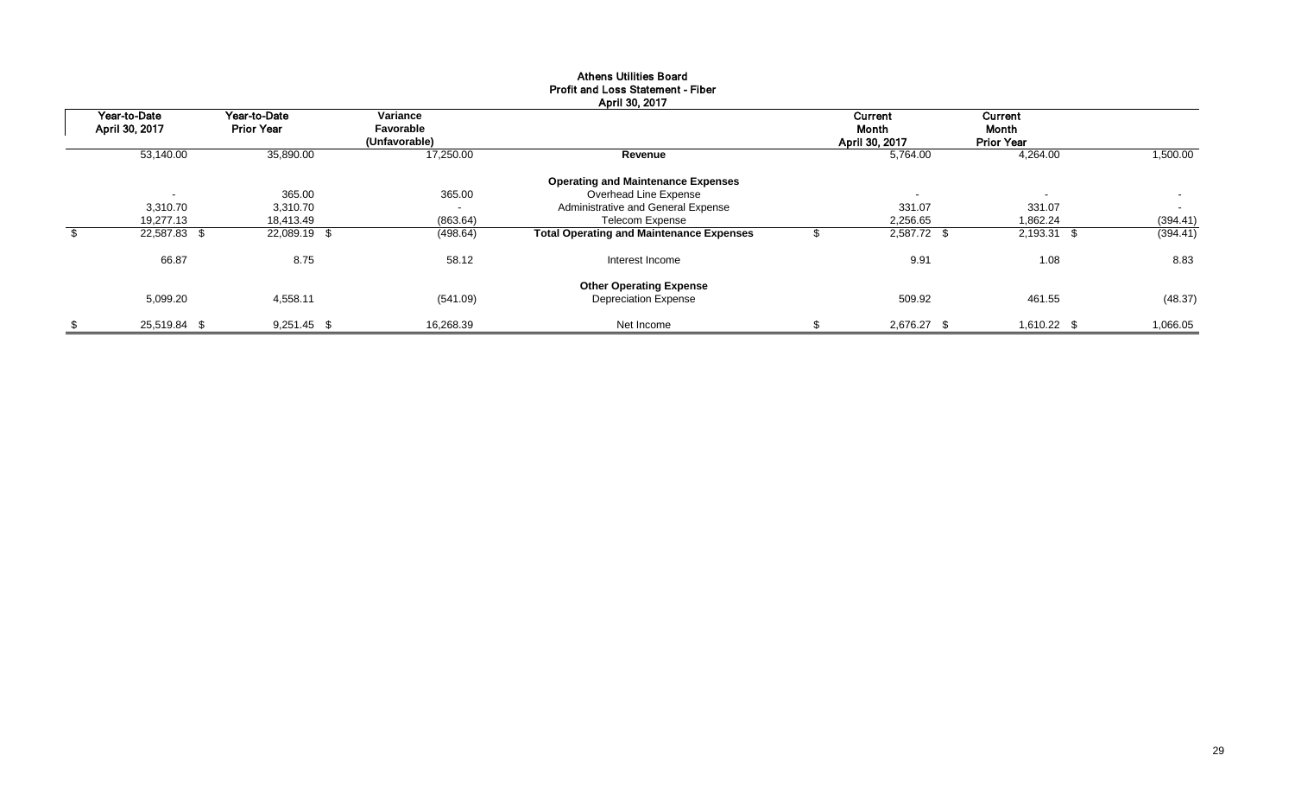|                          |                   |               | April 30, 2017                                  |                          |                          |          |
|--------------------------|-------------------|---------------|-------------------------------------------------|--------------------------|--------------------------|----------|
| Year-to-Date             | Year-to-Date      | Variance      |                                                 | Current                  | Current                  |          |
| April 30, 2017           | <b>Prior Year</b> | Favorable     |                                                 | Month                    | Month                    |          |
|                          |                   | (Unfavorable) |                                                 | April 30, 2017           | <b>Prior Year</b>        |          |
| 53,140.00                | 35,890.00         | 17,250.00     | Revenue                                         | 5,764.00                 | 4,264.00                 | 1,500.00 |
|                          |                   |               | <b>Operating and Maintenance Expenses</b>       |                          |                          |          |
| $\overline{\phantom{0}}$ | 365.00            | 365.00        | Overhead Line Expense                           | $\overline{\phantom{a}}$ | $\overline{\phantom{a}}$ | $\sim$   |
| 3.310.70                 | 3,310.70          | $\sim$        | Administrative and General Expense              | 331.07                   | 331.07                   | $\sim$   |
| 19,277.13                | 18,413.49         | (863.64)      | <b>Telecom Expense</b>                          | 2,256.65                 | 1,862.24                 | (394.41) |
| 22,587.83 \$             | 22,089.19 \$      | (498.64)      | <b>Total Operating and Maintenance Expenses</b> | 2,587.72 \$              | 2,193.31 \$              | (394.41) |
| 66.87                    | 8.75              | 58.12         | Interest Income                                 | 9.91                     | 1.08                     | 8.83     |
|                          |                   |               | <b>Other Operating Expense</b>                  |                          |                          |          |
| 5,099.20                 | 4,558.11          | (541.09)      | <b>Depreciation Expense</b>                     | 509.92                   | 461.55                   | (48.37)  |
| \$<br>25,519.84 \$       | $9,251.45$ \$     | 16,268.39     | Net Income                                      | \$<br>2,676.27 \$        | 1,610.22 \$              | 1,066.05 |

## Athens Utilities Board Profit and Loss Statement - Fiber